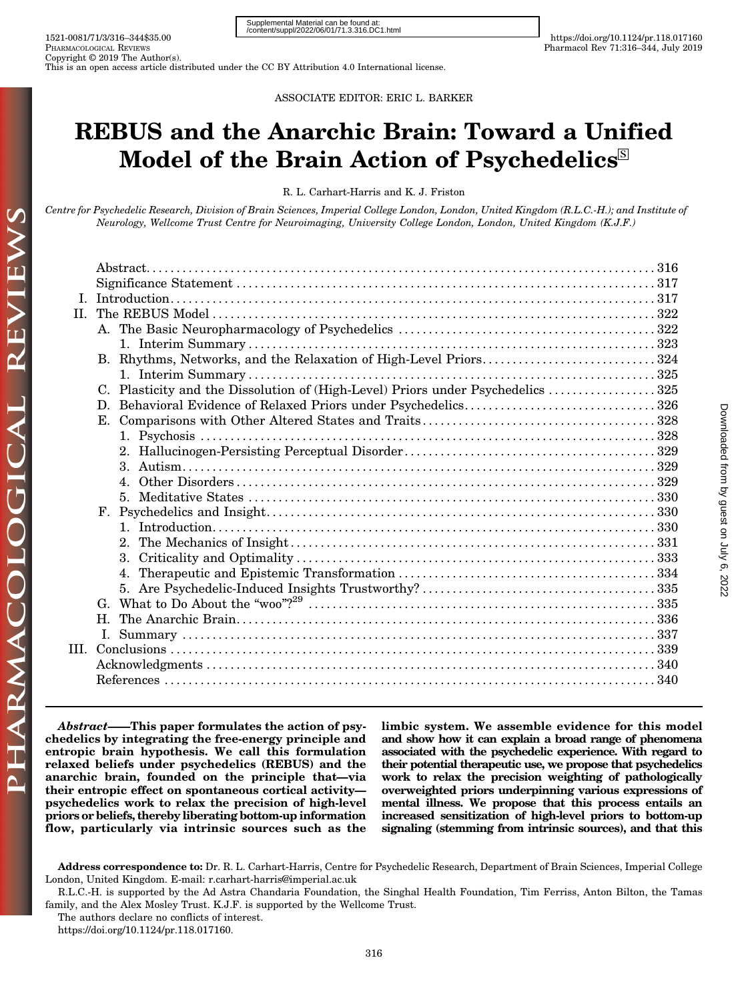ASSOCIATE EDITOR: ERIC L. BARKER

# REBUS and the Anarchic Brain: Toward a Unified Model of the Brain Action of Psychedelics<sup>S</sup>

R. L. Carhart-Harris and K. J. Friston

Centre for Psychedelic Research, Division of Brain Sciences, Imperial College London, London, United Kingdom (R.L.C.-H.); and Institute of Neurology, Wellcome Trust Centre for Neuroimaging, University College London, London, United Kingdom (K.J.F.)

| L.           |                                                                                 |     |
|--------------|---------------------------------------------------------------------------------|-----|
| $H_{\rm{L}}$ |                                                                                 |     |
|              |                                                                                 |     |
|              |                                                                                 |     |
|              | B. Rhythms, Networks, and the Relaxation of High-Level Priors324                |     |
|              |                                                                                 |     |
|              | C. Plasticity and the Dissolution of (High-Level) Priors under Psychedelics 325 |     |
|              | D. Behavioral Evidence of Relaxed Priors under Psychedelics326                  |     |
|              |                                                                                 |     |
|              |                                                                                 |     |
|              |                                                                                 |     |
|              |                                                                                 |     |
|              |                                                                                 |     |
|              |                                                                                 |     |
|              |                                                                                 |     |
|              |                                                                                 |     |
|              |                                                                                 |     |
|              |                                                                                 |     |
|              |                                                                                 |     |
|              |                                                                                 |     |
|              | $G_{\cdot}$                                                                     |     |
|              | Η.                                                                              |     |
|              |                                                                                 |     |
| HL.          |                                                                                 |     |
|              |                                                                                 |     |
|              |                                                                                 | 340 |
|              |                                                                                 |     |

Abstract——This paper formulates the action of psychedelics by integrating the free-energy principle and entropic brain hypothesis. We call this formulation relaxed beliefs under psychedelics (REBUS) and the anarchic brain, founded on the principle that—via their entropic effect on spontaneous cortical activity psychedelics work to relax the precision of high-level priors or beliefs, thereby liberating bottom-up information flow, particularly via intrinsic sources such as the

limbic system. We assemble evidence for this model and show how it can explain a broad range of phenomena associated with the psychedelic experience. With regard to their potential therapeutic use, we propose that psychedelics work to relax the precision weighting of pathologically overweighted priors underpinning various expressions of mental illness. We propose that this process entails an increased sensitization of high-level priors to bottom-up signaling (stemming from intrinsic sources), and that this

The authors declare no conflicts of interest.

<https://doi.org/10.1124/pr.118.017160>.

PHARMACOLOGICAL REV

Address correspondence to: Dr. R. L. Carhart-Harris, Centre for Psychedelic Research, Department of Brain Sciences, Imperial College London, United Kingdom. E-mail: [r.carhart-harris@imperial.ac.uk](mailto:r.carhart-harris@imperial.ac.uk)

R.L.C.-H. is supported by the Ad Astra Chandaria Foundation, the Singhal Health Foundation, Tim Ferriss, Anton Bilton, the Tamas family, and the Alex Mosley Trust. K.J.F. is supported by the Wellcome Trust.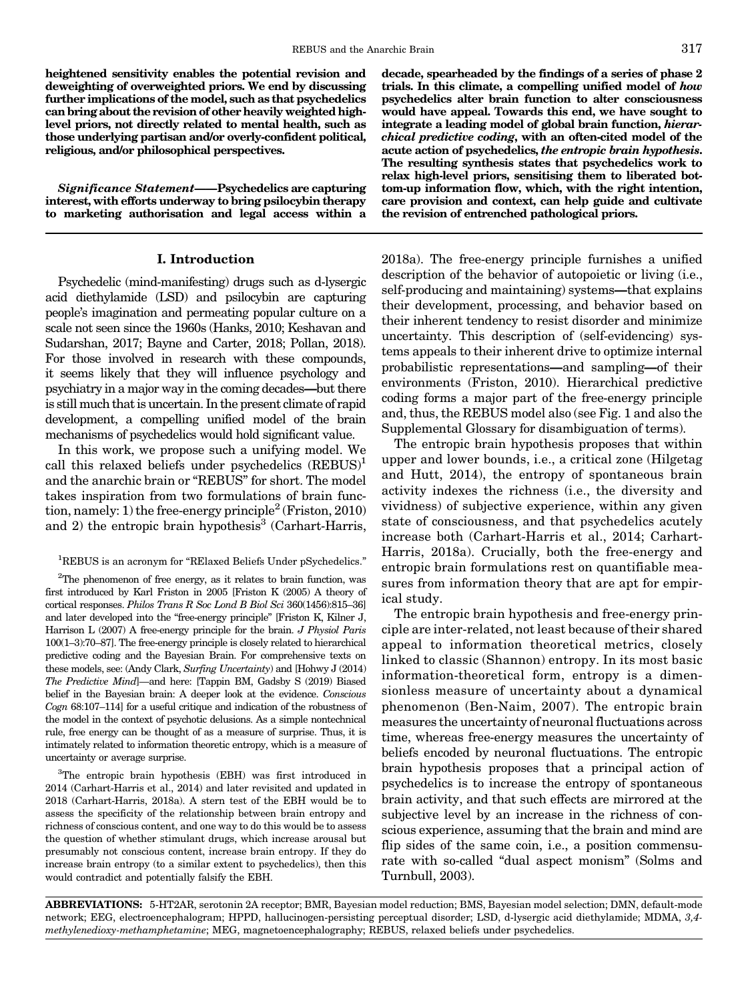<span id="page-1-0"></span>heightened sensitivity enables the potential revision and deweighting of overweighted priors. We end by discussing further implications of the model, such as that psychedelics can bring about the revision of other heavily weighted highlevel priors, not directly related to mental health, such as those underlying partisan and/or overly-confident political, religious, and/or philosophical perspectives.

Significance Statement——Psychedelics are capturing interest, with efforts underway to bring psilocybin therapy to marketing authorisation and legal access within a

### I. Introduction

Psychedelic (mind-manifesting) drugs such as d-lysergic acid diethylamide (LSD) and psilocybin are capturing people's imagination and permeating popular culture on a scale not seen since the 1960s (Hanks, 2010; Keshavan and Sudarshan, 2017; Bayne and Carter, 2018; Pollan, 2018). For those involved in research with these compounds, it seems likely that they will influence psychology and psychiatry in a major way in the coming decades—but there is still much that is uncertain. In the present climate of rapid development, a compelling unified model of the brain mechanisms of psychedelics would hold significant value.

In this work, we propose such a unifying model. We call this relaxed beliefs under psychedelics  $(REBUS)^1$ and the anarchic brain or "REBUS" for short. The model takes inspiration from two formulations of brain function, namely: 1) the free-energy principle<sup>2</sup> (Friston, 2010) and 2) the entropic brain hypothesis<sup>3</sup> (Carhart-Harris,

### <sup>1</sup>REBUS is an acronym for "RElaxed Beliefs Under pSychedelics."

 $2$ The phenomenon of free energy, as it relates to brain function, was first introduced by Karl Friston in 2005 [Friston K (2005) A theory of cortical responses. Philos Trans R Soc Lond B Biol Sci 360(1456):815–36] and later developed into the "free-energy principle" [Friston K, Kilner J, Harrison L (2007) A free-energy principle for the brain. J Physiol Paris 100(1–3):70–87]. The free-energy principle is closely related to hierarchical predictive coding and the Bayesian Brain. For comprehensive texts on these models, see: (Andy Clark, Surfing Uncertainty) and [Hohwy J (2014) The Predictive Mind]—and here: [Tappin BM, Gadsby S (2019) Biased belief in the Bayesian brain: A deeper look at the evidence. Conscious Cogn 68:107–114] for a useful critique and indication of the robustness of the model in the context of psychotic delusions. As a simple nontechnical rule, free energy can be thought of as a measure of surprise. Thus, it is intimately related to information theoretic entropy, which is a measure of uncertainty or average surprise.

<sup>3</sup>The entropic brain hypothesis (EBH) was first introduced in 2014 (Carhart-Harris et al., 2014) and later revisited and updated in 2018 (Carhart-Harris, 2018a). A stern test of the EBH would be to assess the specificity of the relationship between brain entropy and richness of conscious content, and one way to do this would be to assess the question of whether stimulant drugs, which increase arousal but presumably not conscious content, increase brain entropy. If they do increase brain entropy (to a similar extent to psychedelics), then this would contradict and potentially falsify the EBH.

decade, spearheaded by the findings of a series of phase 2 trials. In this climate, a compelling unified model of how psychedelics alter brain function to alter consciousness would have appeal. Towards this end, we have sought to integrate a leading model of global brain function, hierarchical predictive coding, with an often-cited model of the acute action of psychedelics, the entropic brain hypothesis. The resulting synthesis states that psychedelics work to relax high-level priors, sensitising them to liberated bottom-up information flow, which, with the right intention, care provision and context, can help guide and cultivate the revision of entrenched pathological priors.

2018a). The free-energy principle furnishes a unified description of the behavior of autopoietic or living (i.e., self-producing and maintaining) systems—that explains their development, processing, and behavior based on their inherent tendency to resist disorder and minimize uncertainty. This description of (self-evidencing) systems appeals to their inherent drive to optimize internal probabilistic representations—and sampling—of their environments (Friston, 2010). Hierarchical predictive coding forms a major part of the free-energy principle and, thus, the REBUS model also (see Fig. 1 and also the [Supplemental Glossary](http://pharmrev.aspetjournals.org/lookup/suppl/doi:10.1124/pr.118.017160/-/DC1) for disambiguation of terms).

The entropic brain hypothesis proposes that within upper and lower bounds, i.e., a critical zone (Hilgetag and Hutt, 2014), the entropy of spontaneous brain activity indexes the richness (i.e., the diversity and vividness) of subjective experience, within any given state of consciousness, and that psychedelics acutely increase both (Carhart-Harris et al., 2014; Carhart-Harris, 2018a). Crucially, both the free-energy and entropic brain formulations rest on quantifiable measures from information theory that are apt for empirical study.

The entropic brain hypothesis and free-energy principle are inter-related, not least because of their shared appeal to information theoretical metrics, closely linked to classic (Shannon) entropy. In its most basic information-theoretical form, entropy is a dimensionless measure of uncertainty about a dynamical phenomenon (Ben-Naim, 2007). The entropic brain measures the uncertainty of neuronal fluctuations across time, whereas free-energy measures the uncertainty of beliefs encoded by neuronal fluctuations. The entropic brain hypothesis proposes that a principal action of psychedelics is to increase the entropy of spontaneous brain activity, and that such effects are mirrored at the subjective level by an increase in the richness of conscious experience, assuming that the brain and mind are flip sides of the same coin, i.e., a position commensurate with so-called "dual aspect monism" (Solms and Turnbull, 2003).

ABBREVIATIONS: 5-HT2AR, serotonin 2A receptor; BMR, Bayesian model reduction; BMS, Bayesian model selection; DMN, default-mode network; EEG, electroencephalogram; HPPD, hallucinogen-persisting perceptual disorder; LSD, d-lysergic acid diethylamide; MDMA, 3,4 methylenedioxy-methamphetamine; MEG, magnetoencephalography; REBUS, relaxed beliefs under psychedelics.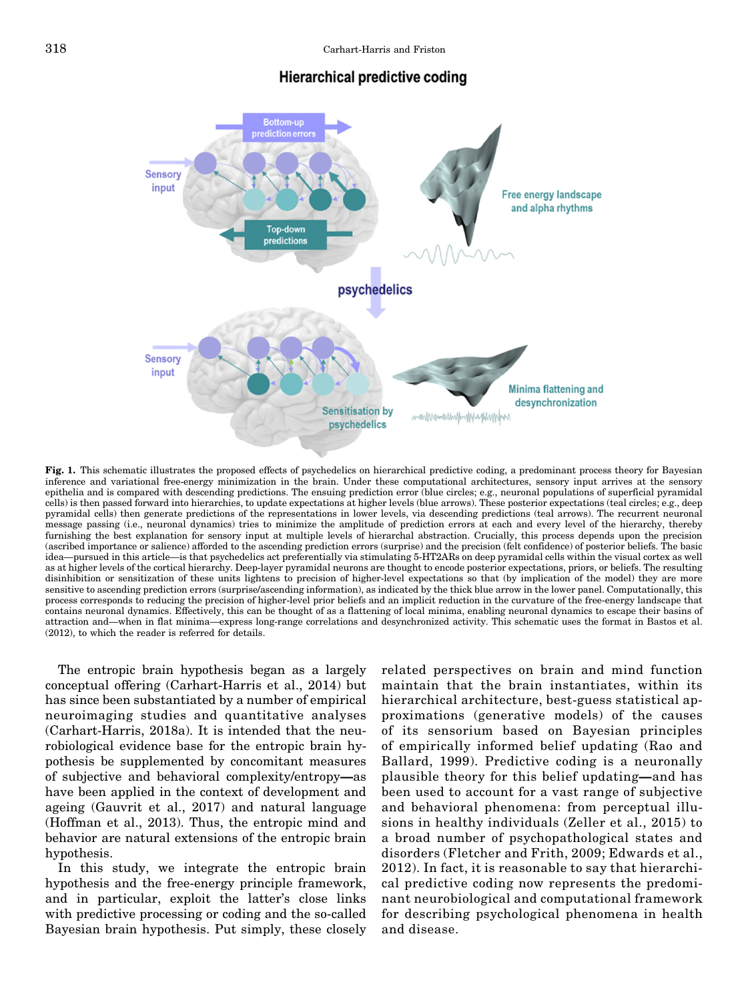### **Hierarchical predictive coding**



Fig. 1. This schematic illustrates the proposed effects of psychedelics on hierarchical predictive coding, a predominant process theory for Bayesian inference and variational free-energy minimization in the brain. Under these computational architectures, sensory input arrives at the sensory epithelia and is compared with descending predictions. The ensuing prediction error (blue circles; e.g., neuronal populations of superficial pyramidal cells) is then passed forward into hierarchies, to update expectations at higher levels (blue arrows). These posterior expectations (teal circles; e.g., deep pyramidal cells) then generate predictions of the representations in lower levels, via descending predictions (teal arrows). The recurrent neuronal message passing (i.e., neuronal dynamics) tries to minimize the amplitude of prediction errors at each and every level of the hierarchy, thereby furnishing the best explanation for sensory input at multiple levels of hierarchal abstraction. Crucially, this process depends upon the precision (ascribed importance or salience) afforded to the ascending prediction errors (surprise) and the precision (felt confidence) of posterior beliefs. The basic idea—pursued in this article—is that psychedelics act preferentially via stimulating 5-HT2ARs on deep pyramidal cells within the visual cortex as well as at higher levels of the cortical hierarchy. Deep-layer pyramidal neurons are thought to encode posterior expectations, priors, or beliefs. The resulting disinhibition or sensitization of these units lightens to precision of higher-level expectations so that (by implication of the model) they are more sensitive to ascending prediction errors (surprise/ascending information), as indicated by the thick blue arrow in the lower panel. Computationally, this process corresponds to reducing the precision of higher-level prior beliefs and an implicit reduction in the curvature of the free-energy landscape that contains neuronal dynamics. Effectively, this can be thought of as a flattening of local minima, enabling neuronal dynamics to escape their basins of attraction and—when in flat minima—express long-range correlations and desynchronized activity. This schematic uses the format in Bastos et al. (2012), to which the reader is referred for details.

The entropic brain hypothesis began as a largely conceptual offering (Carhart-Harris et al., 2014) but has since been substantiated by a number of empirical neuroimaging studies and quantitative analyses (Carhart-Harris, 2018a). It is intended that the neurobiological evidence base for the entropic brain hypothesis be supplemented by concomitant measures of subjective and behavioral complexity/entropy—as have been applied in the context of development and ageing (Gauvrit et al., 2017) and natural language (Hoffman et al., 2013). Thus, the entropic mind and behavior are natural extensions of the entropic brain hypothesis.

In this study, we integrate the entropic brain hypothesis and the free-energy principle framework, and in particular, exploit the latter's close links with predictive processing or coding and the so-called Bayesian brain hypothesis. Put simply, these closely

related perspectives on brain and mind function maintain that the brain instantiates, within its hierarchical architecture, best-guess statistical approximations (generative models) of the causes of its sensorium based on Bayesian principles of empirically informed belief updating (Rao and Ballard, 1999). Predictive coding is a neuronally plausible theory for this belief updating—and has been used to account for a vast range of subjective and behavioral phenomena: from perceptual illusions in healthy individuals (Zeller et al., 2015) to a broad number of psychopathological states and disorders (Fletcher and Frith, 2009; Edwards et al., 2012). In fact, it is reasonable to say that hierarchical predictive coding now represents the predominant neurobiological and computational framework for describing psychological phenomena in health and disease.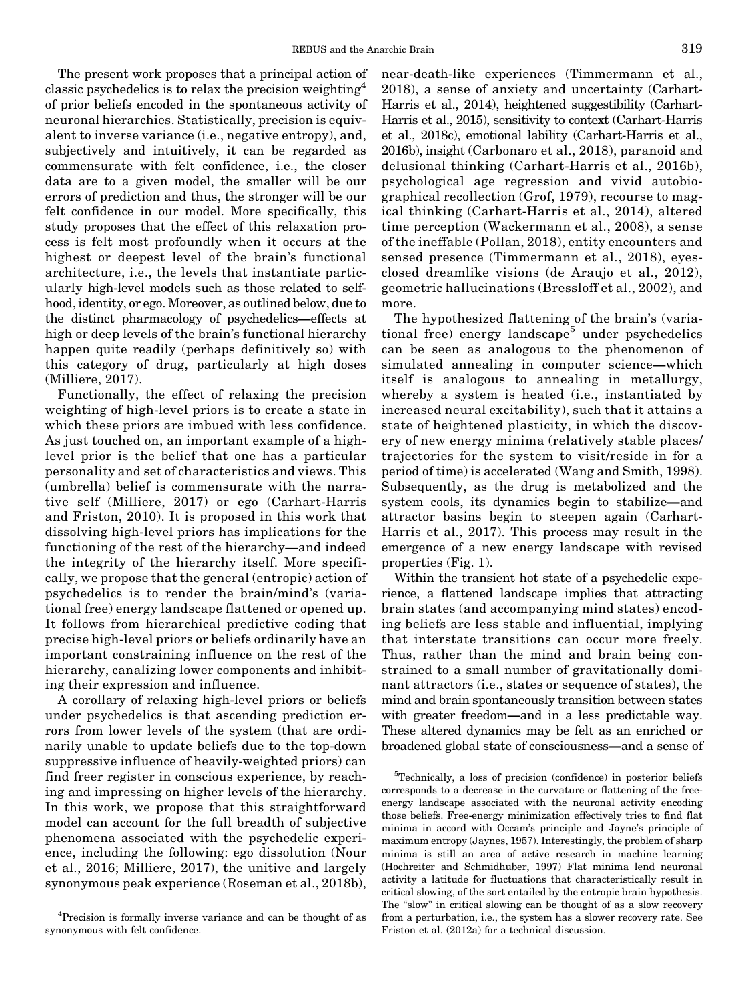The present work proposes that a principal action of classic psychedelics is to relax the precision weighting4 of prior beliefs encoded in the spontaneous activity of neuronal hierarchies. Statistically, precision is equivalent to inverse variance (i.e., negative entropy), and, subjectively and intuitively, it can be regarded as commensurate with felt confidence, i.e., the closer data are to a given model, the smaller will be our errors of prediction and thus, the stronger will be our felt confidence in our model. More specifically, this study proposes that the effect of this relaxation process is felt most profoundly when it occurs at the highest or deepest level of the brain's functional architecture, i.e., the levels that instantiate particularly high-level models such as those related to selfhood, identity, or ego. Moreover, as outlined below, due to the distinct pharmacology of psychedelics—effects at high or deep levels of the brain's functional hierarchy happen quite readily (perhaps definitively so) with this category of drug, particularly at high doses (Milliere, 2017).

Functionally, the effect of relaxing the precision weighting of high-level priors is to create a state in which these priors are imbued with less confidence. As just touched on, an important example of a highlevel prior is the belief that one has a particular personality and set of characteristics and views. This (umbrella) belief is commensurate with the narrative self (Milliere, 2017) or ego (Carhart-Harris and Friston, 2010). It is proposed in this work that dissolving high-level priors has implications for the functioning of the rest of the hierarchy—and indeed the integrity of the hierarchy itself. More specifically, we propose that the general (entropic) action of psychedelics is to render the brain/mind's (variational free) energy landscape flattened or opened up. It follows from hierarchical predictive coding that precise high-level priors or beliefs ordinarily have an important constraining influence on the rest of the hierarchy, canalizing lower components and inhibiting their expression and influence.

A corollary of relaxing high-level priors or beliefs under psychedelics is that ascending prediction errors from lower levels of the system (that are ordinarily unable to update beliefs due to the top-down suppressive influence of heavily-weighted priors) can find freer register in conscious experience, by reaching and impressing on higher levels of the hierarchy. In this work, we propose that this straightforward model can account for the full breadth of subjective phenomena associated with the psychedelic experience, including the following: ego dissolution (Nour et al., 2016; Milliere, 2017), the unitive and largely synonymous peak experience (Roseman et al., 2018b),

near-death-like experiences (Timmermann et al., 2018), a sense of anxiety and uncertainty (Carhart-Harris et al., 2014), heightened suggestibility (Carhart-Harris et al., 2015), sensitivity to context (Carhart-Harris et al., 2018c), emotional lability (Carhart-Harris et al., 2016b), insight (Carbonaro et al., 2018), paranoid and delusional thinking (Carhart-Harris et al., 2016b), psychological age regression and vivid autobiographical recollection (Grof, 1979), recourse to magical thinking (Carhart-Harris et al., 2014), altered time perception (Wackermann et al., 2008), a sense of the ineffable (Pollan, 2018), entity encounters and sensed presence (Timmermann et al., 2018), eyesclosed dreamlike visions (de Araujo et al., 2012), geometric hallucinations (Bressloff et al., 2002), and more.

The hypothesized flattening of the brain's (variational free) energy landscape<sup>5</sup> under psychedelics can be seen as analogous to the phenomenon of simulated annealing in computer science—which itself is analogous to annealing in metallurgy, whereby a system is heated (i.e., instantiated by increased neural excitability), such that it attains a state of heightened plasticity, in which the discovery of new energy minima (relatively stable places/ trajectories for the system to visit/reside in for a period of time) is accelerated (Wang and Smith, 1998). Subsequently, as the drug is metabolized and the system cools, its dynamics begin to stabilize—and attractor basins begin to steepen again (Carhart-Harris et al., 2017). This process may result in the emergence of a new energy landscape with revised properties (Fig. 1).

Within the transient hot state of a psychedelic experience, a flattened landscape implies that attracting brain states (and accompanying mind states) encoding beliefs are less stable and influential, implying that interstate transitions can occur more freely. Thus, rather than the mind and brain being constrained to a small number of gravitationally dominant attractors (i.e., states or sequence of states), the mind and brain spontaneously transition between states with greater freedom—and in a less predictable way. These altered dynamics may be felt as an enriched or broadened global state of consciousness—and a sense of

<sup>5</sup>Technically, a loss of precision (confidence) in posterior beliefs corresponds to a decrease in the curvature or flattening of the freeenergy landscape associated with the neuronal activity encoding those beliefs. Free-energy minimization effectively tries to find flat minima in accord with Occam's principle and Jayne's principle of maximum entropy (Jaynes, 1957). Interestingly, the problem of sharp minima is still an area of active research in machine learning (Hochreiter and Schmidhuber, 1997) Flat minima lend neuronal activity a latitude for fluctuations that characteristically result in critical slowing, of the sort entailed by the entropic brain hypothesis. The "slow" in critical slowing can be thought of as a slow recovery from a perturbation, i.e., the system has a slower recovery rate. See Friston et al. (2012a) for a technical discussion.

<sup>4</sup> Precision is formally inverse variance and can be thought of as synonymous with felt confidence.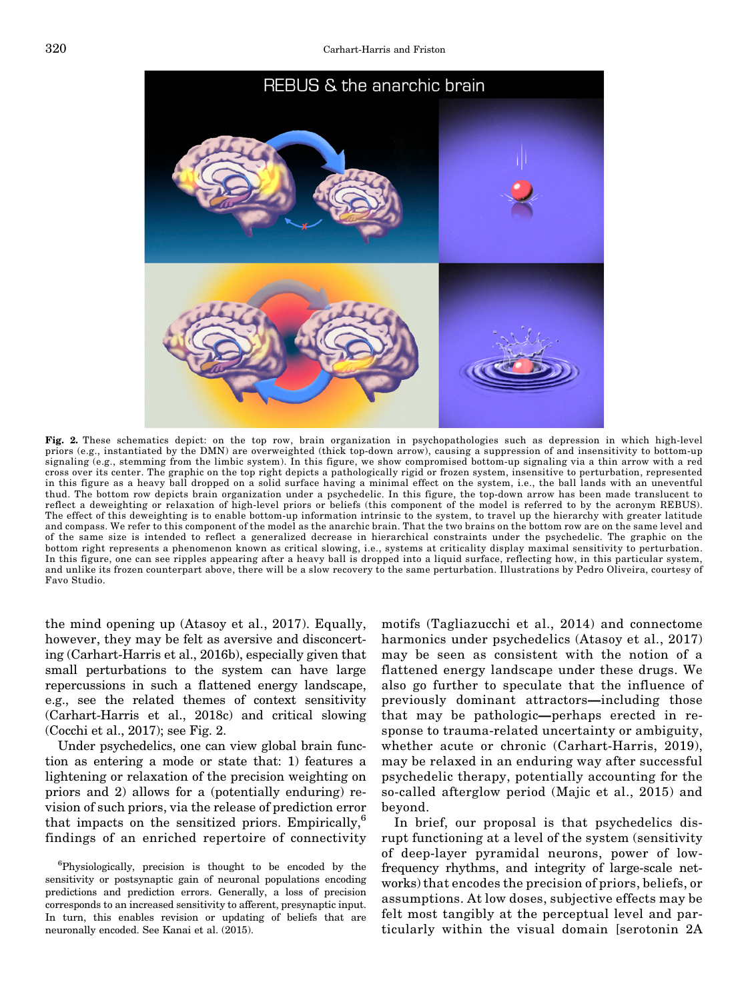

Fig. 2. These schematics depict: on the top row, brain organization in psychopathologies such as depression in which high-level priors (e.g., instantiated by the DMN) are overweighted (thick top-down arrow), causing a suppression of and insensitivity to bottom-up signaling (e.g., stemming from the limbic system). In this figure, we show compromised bottom-up signaling via a thin arrow with a red cross over its center. The graphic on the top right depicts a pathologically rigid or frozen system, insensitive to perturbation, represented in this figure as a heavy ball dropped on a solid surface having a minimal effect on the system, i.e., the ball lands with an uneventful thud. The bottom row depicts brain organization under a psychedelic. In this figure, the top-down arrow has been made translucent to reflect a deweighting or relaxation of high-level priors or beliefs (this component of the model is referred to by the acronym REBUS). The effect of this deweighting is to enable bottom-up information intrinsic to the system, to travel up the hierarchy with greater latitude and compass. We refer to this component of the model as the anarchic brain. That the two brains on the bottom row are on the same level and of the same size is intended to reflect a generalized decrease in hierarchical constraints under the psychedelic. The graphic on the bottom right represents a phenomenon known as critical slowing, i.e., systems at criticality display maximal sensitivity to perturbation. In this figure, one can see ripples appearing after a heavy ball is dropped into a liquid surface, reflecting how, in this particular system, and unlike its frozen counterpart above, there will be a slow recovery to the same perturbation. Illustrations by Pedro Oliveira, courtesy of Favo Studio.

the mind opening up (Atasoy et al., 2017). Equally, however, they may be felt as aversive and disconcerting (Carhart-Harris et al., 2016b), especially given that small perturbations to the system can have large repercussions in such a flattened energy landscape, e.g., see the related themes of context sensitivity (Carhart-Harris et al., 2018c) and critical slowing (Cocchi et al., 2017); see Fig. 2.

Under psychedelics, one can view global brain function as entering a mode or state that: 1) features a lightening or relaxation of the precision weighting on priors and 2) allows for a (potentially enduring) revision of such priors, via the release of prediction error that impacts on the sensitized priors. Empirically,<sup>6</sup> findings of an enriched repertoire of connectivity motifs (Tagliazucchi et al., 2014) and connectome harmonics under psychedelics (Atasoy et al., 2017) may be seen as consistent with the notion of a flattened energy landscape under these drugs. We also go further to speculate that the influence of previously dominant attractors—including those that may be pathologic—perhaps erected in response to trauma-related uncertainty or ambiguity, whether acute or chronic (Carhart-Harris, 2019), may be relaxed in an enduring way after successful psychedelic therapy, potentially accounting for the so-called afterglow period (Majic et al., 2015) and beyond.

In brief, our proposal is that psychedelics disrupt functioning at a level of the system (sensitivity of deep-layer pyramidal neurons, power of lowfrequency rhythms, and integrity of large-scale networks) that encodes the precision of priors, beliefs, or assumptions. At low doses, subjective effects may be felt most tangibly at the perceptual level and particularly within the visual domain [serotonin 2A

<sup>6</sup> Physiologically, precision is thought to be encoded by the sensitivity or postsynaptic gain of neuronal populations encoding predictions and prediction errors. Generally, a loss of precision corresponds to an increased sensitivity to afferent, presynaptic input. In turn, this enables revision or updating of beliefs that are neuronally encoded. See Kanai et al. (2015).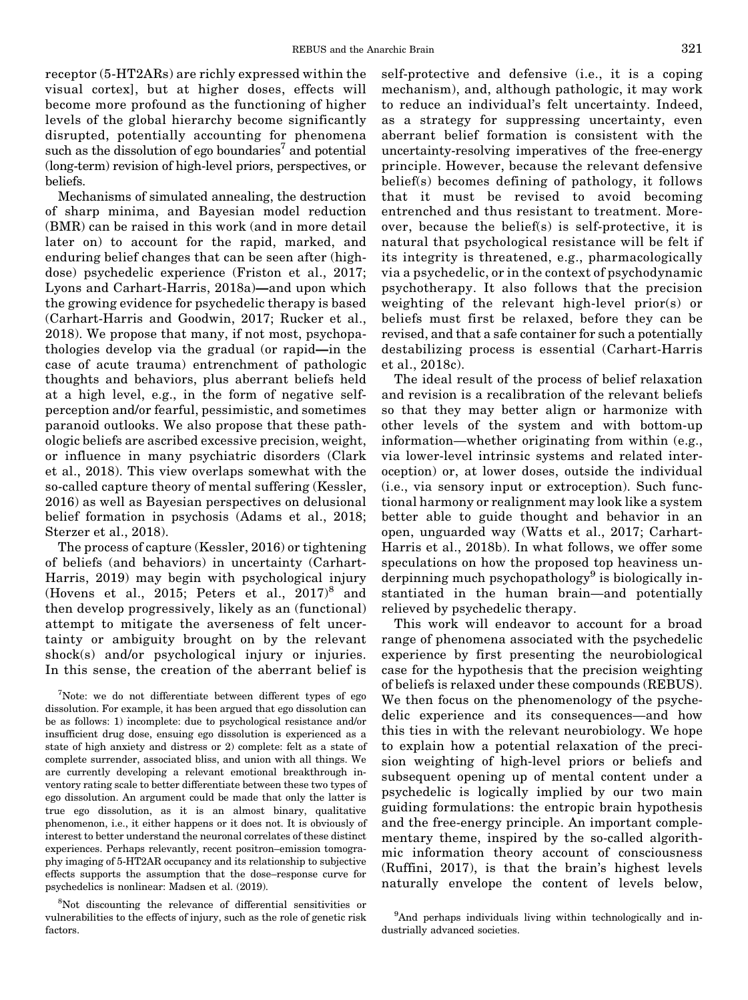receptor (5-HT2ARs) are richly expressed within the visual cortex], but at higher doses, effects will become more profound as the functioning of higher levels of the global hierarchy become significantly disrupted, potentially accounting for phenomena such as the dissolution of ego boundaries<sup>7</sup> and potential (long-term) revision of high-level priors, perspectives, or beliefs.

Mechanisms of simulated annealing, the destruction of sharp minima, and Bayesian model reduction (BMR) can be raised in this work (and in more detail later on) to account for the rapid, marked, and enduring belief changes that can be seen after (highdose) psychedelic experience (Friston et al., 2017; Lyons and Carhart-Harris, 2018a)—and upon which the growing evidence for psychedelic therapy is based (Carhart-Harris and Goodwin, 2017; Rucker et al., 2018). We propose that many, if not most, psychopathologies develop via the gradual (or rapid—in the case of acute trauma) entrenchment of pathologic thoughts and behaviors, plus aberrant beliefs held at a high level, e.g., in the form of negative selfperception and/or fearful, pessimistic, and sometimes paranoid outlooks. We also propose that these pathologic beliefs are ascribed excessive precision, weight, or influence in many psychiatric disorders (Clark et al., 2018). This view overlaps somewhat with the so-called capture theory of mental suffering (Kessler, 2016) as well as Bayesian perspectives on delusional belief formation in psychosis (Adams et al., 2018; Sterzer et al., 2018).

The process of capture (Kessler, 2016) or tightening of beliefs (and behaviors) in uncertainty (Carhart-Harris, 2019) may begin with psychological injury (Hovens et al., 2015; Peters et al.,  $2017$ <sup>8</sup> and then develop progressively, likely as an (functional) attempt to mitigate the averseness of felt uncertainty or ambiguity brought on by the relevant shock(s) and/or psychological injury or injuries. In this sense, the creation of the aberrant belief is

<sup>7</sup>Note: we do not differentiate between different types of ego dissolution. For example, it has been argued that ego dissolution can be as follows: 1) incomplete: due to psychological resistance and/or insufficient drug dose, ensuing ego dissolution is experienced as a state of high anxiety and distress or 2) complete: felt as a state of complete surrender, associated bliss, and union with all things. We are currently developing a relevant emotional breakthrough inventory rating scale to better differentiate between these two types of ego dissolution. An argument could be made that only the latter is true ego dissolution, as it is an almost binary, qualitative phenomenon, i.e., it either happens or it does not. It is obviously of interest to better understand the neuronal correlates of these distinct experiences. Perhaps relevantly, recent positron–emission tomography imaging of 5-HT2AR occupancy and its relationship to subjective effects supports the assumption that the dose–response curve for psychedelics is nonlinear: Madsen et al. (2019).

8 Not discounting the relevance of differential sensitivities or vulnerabilities to the effects of injury, such as the role of genetic risk factors.

self-protective and defensive (i.e., it is a coping mechanism), and, although pathologic, it may work to reduce an individual's felt uncertainty. Indeed, as a strategy for suppressing uncertainty, even aberrant belief formation is consistent with the uncertainty-resolving imperatives of the free-energy principle. However, because the relevant defensive belief(s) becomes defining of pathology, it follows that it must be revised to avoid becoming entrenched and thus resistant to treatment. Moreover, because the belief(s) is self-protective, it is natural that psychological resistance will be felt if its integrity is threatened, e.g., pharmacologically via a psychedelic, or in the context of psychodynamic psychotherapy. It also follows that the precision weighting of the relevant high-level prior(s) or beliefs must first be relaxed, before they can be revised, and that a safe container for such a potentially destabilizing process is essential (Carhart-Harris et al., 2018c).

The ideal result of the process of belief relaxation and revision is a recalibration of the relevant beliefs so that they may better align or harmonize with other levels of the system and with bottom-up information—whether originating from within (e.g., via lower-level intrinsic systems and related interoception) or, at lower doses, outside the individual (i.e., via sensory input or extroception). Such functional harmony or realignment may look like a system better able to guide thought and behavior in an open, unguarded way (Watts et al., 2017; Carhart-Harris et al., 2018b). In what follows, we offer some speculations on how the proposed top heaviness underpinning much psychopathology<sup>9</sup> is biologically instantiated in the human brain—and potentially relieved by psychedelic therapy.

This work will endeavor to account for a broad range of phenomena associated with the psychedelic experience by first presenting the neurobiological case for the hypothesis that the precision weighting of beliefs is relaxed under these compounds (REBUS). We then focus on the phenomenology of the psychedelic experience and its consequences—and how this ties in with the relevant neurobiology. We hope to explain how a potential relaxation of the precision weighting of high-level priors or beliefs and subsequent opening up of mental content under a psychedelic is logically implied by our two main guiding formulations: the entropic brain hypothesis and the free-energy principle. An important complementary theme, inspired by the so-called algorithmic information theory account of consciousness (Ruffini, 2017), is that the brain's highest levels naturally envelope the content of levels below,

<sup>9</sup>And perhaps individuals living within technologically and industrially advanced societies.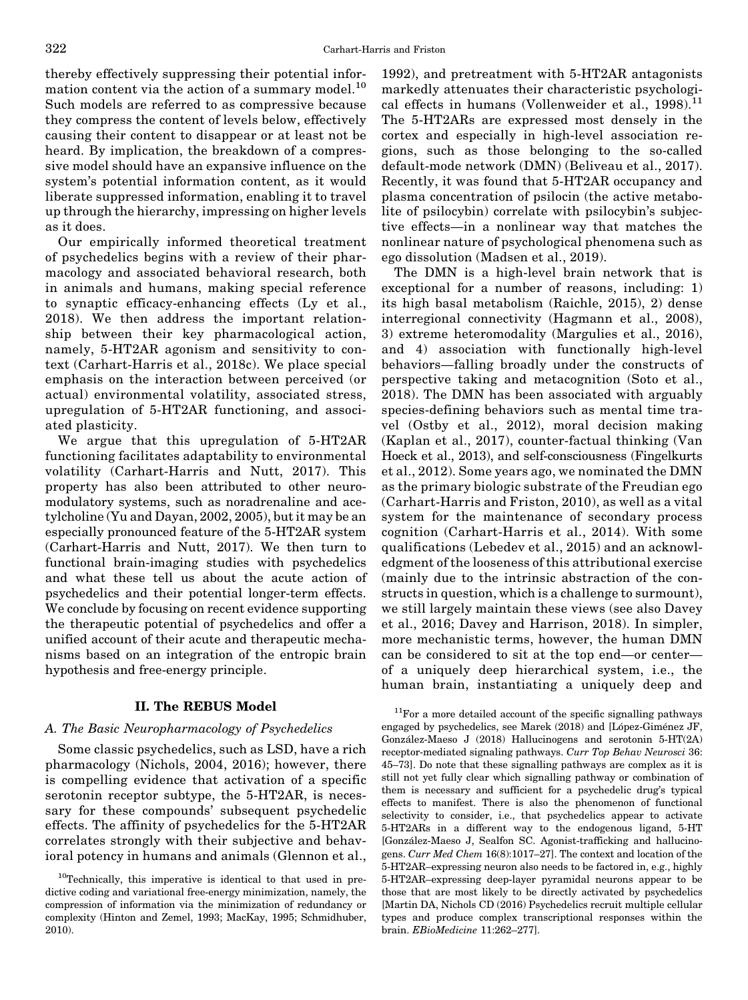<span id="page-6-0"></span>thereby effectively suppressing their potential information content via the action of a summary model. $^{10}$ Such models are referred to as compressive because they compress the content of levels below, effectively causing their content to disappear or at least not be heard. By implication, the breakdown of a compressive model should have an expansive influence on the system's potential information content, as it would liberate suppressed information, enabling it to travel up through the hierarchy, impressing on higher levels as it does.

Our empirically informed theoretical treatment of psychedelics begins with a review of their pharmacology and associated behavioral research, both in animals and humans, making special reference to synaptic efficacy-enhancing effects (Ly et al., 2018). We then address the important relationship between their key pharmacological action, namely, 5-HT2AR agonism and sensitivity to context (Carhart-Harris et al., 2018c). We place special emphasis on the interaction between perceived (or actual) environmental volatility, associated stress, upregulation of 5-HT2AR functioning, and associated plasticity.

We argue that this upregulation of 5-HT2AR functioning facilitates adaptability to environmental volatility (Carhart-Harris and Nutt, 2017). This property has also been attributed to other neuromodulatory systems, such as noradrenaline and acetylcholine (Yu and Dayan, 2002, 2005), but it may be an especially pronounced feature of the 5-HT2AR system (Carhart-Harris and Nutt, 2017). We then turn to functional brain-imaging studies with psychedelics and what these tell us about the acute action of psychedelics and their potential longer-term effects. We conclude by focusing on recent evidence supporting the therapeutic potential of psychedelics and offer a unified account of their acute and therapeutic mechanisms based on an integration of the entropic brain hypothesis and free-energy principle.

### II. The REBUS Model

### A. The Basic Neuropharmacology of Psychedelics

Some classic psychedelics, such as LSD, have a rich pharmacology (Nichols, 2004, 2016); however, there is compelling evidence that activation of a specific serotonin receptor subtype, the 5-HT2AR, is necessary for these compounds' subsequent psychedelic effects. The affinity of psychedelics for the 5-HT2AR correlates strongly with their subjective and behavioral potency in humans and animals (Glennon et al.,

1992), and pretreatment with 5-HT2AR antagonists markedly attenuates their characteristic psychological effects in humans (Vollenweider et al.,  $1998$ ).<sup>11</sup> The 5-HT2ARs are expressed most densely in the cortex and especially in high-level association regions, such as those belonging to the so-called default-mode network (DMN) (Beliveau et al., 2017). Recently, it was found that 5-HT2AR occupancy and plasma concentration of psilocin (the active metabolite of psilocybin) correlate with psilocybin's subjective effects—in a nonlinear way that matches the nonlinear nature of psychological phenomena such as ego dissolution (Madsen et al., 2019).

The DMN is a high-level brain network that is exceptional for a number of reasons, including: 1) its high basal metabolism (Raichle, 2015), 2) dense interregional connectivity (Hagmann et al., 2008), 3) extreme heteromodality (Margulies et al., 2016), and 4) association with functionally high-level behaviors—falling broadly under the constructs of perspective taking and metacognition (Soto et al., 2018). The DMN has been associated with arguably species-defining behaviors such as mental time travel (Ostby et al., 2012), moral decision making (Kaplan et al., 2017), counter-factual thinking (Van Hoeck et al., 2013), and self-consciousness (Fingelkurts et al., 2012). Some years ago, we nominated the DMN as the primary biologic substrate of the Freudian ego (Carhart-Harris and Friston, 2010), as well as a vital system for the maintenance of secondary process cognition (Carhart-Harris et al., 2014). With some qualifications (Lebedev et al., 2015) and an acknowledgment of the looseness of this attributional exercise (mainly due to the intrinsic abstraction of the constructs in question, which is a challenge to surmount), we still largely maintain these views (see also Davey et al., 2016; Davey and Harrison, 2018). In simpler, more mechanistic terms, however, the human DMN can be considered to sit at the top end—or center of a uniquely deep hierarchical system, i.e., the human brain, instantiating a uniquely deep and

 $11$ For a more detailed account of the specific signalling pathways engaged by psychedelics, see Marek (2018) and [López-Giménez JF, González-Maeso J (2018) Hallucinogens and serotonin 5-HT(2A) receptor-mediated signaling pathways. Curr Top Behav Neurosci 36: 45–73]. Do note that these signalling pathways are complex as it is still not yet fully clear which signalling pathway or combination of them is necessary and sufficient for a psychedelic drug's typical effects to manifest. There is also the phenomenon of functional selectivity to consider, i.e., that psychedelics appear to activate 5-HT2ARs in a different way to the endogenous ligand, 5-HT [González-Maeso J, Sealfon SC. Agonist-trafficking and hallucinogens. Curr Med Chem 16(8):1017–27]. The context and location of the 5-HT2AR–expressing neuron also needs to be factored in, e.g., highly 5-HT2AR–expressing deep-layer pyramidal neurons appear to be those that are most likely to be directly activated by psychedelics [Martin DA, Nichols CD (2016) Psychedelics recruit multiple cellular types and produce complex transcriptional responses within the brain. EBioMedicine 11:262–277].

<sup>10</sup>Technically, this imperative is identical to that used in predictive coding and variational free-energy minimization, namely, the compression of information via the minimization of redundancy or complexity (Hinton and Zemel, 1993; MacKay, 1995; Schmidhuber, 2010).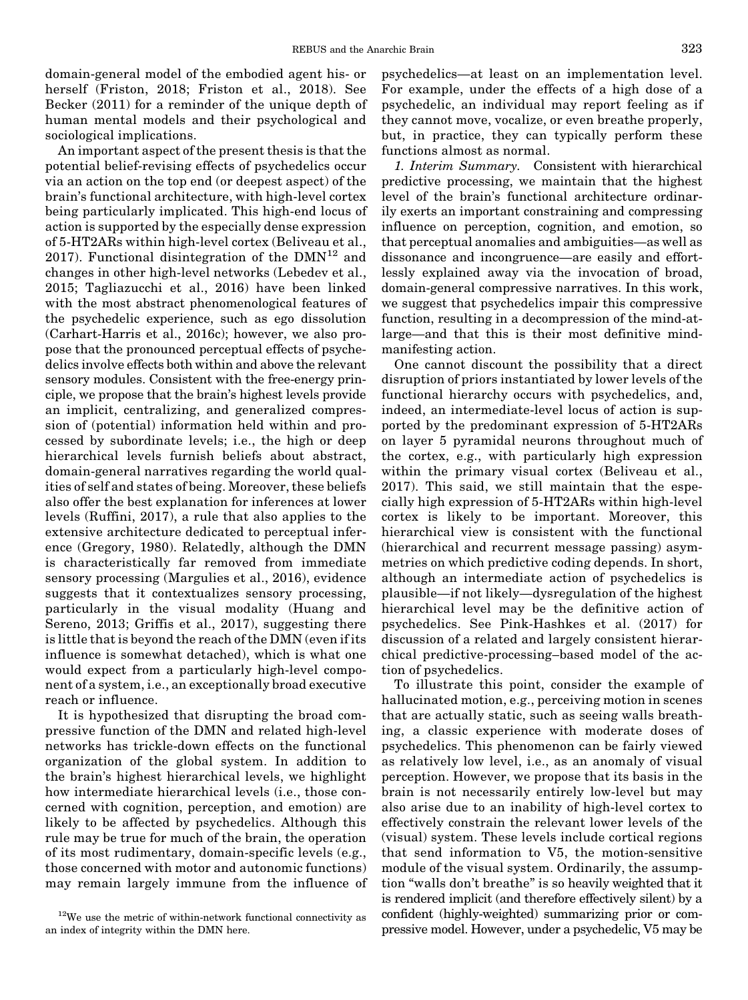<span id="page-7-0"></span>domain-general model of the embodied agent his- or herself (Friston, 2018; Friston et al., 2018). See Becker (2011) for a reminder of the unique depth of human mental models and their psychological and sociological implications.

An important aspect of the present thesis is that the potential belief-revising effects of psychedelics occur via an action on the top end (or deepest aspect) of the brain's functional architecture, with high-level cortex being particularly implicated. This high-end locus of action is supported by the especially dense expression of 5-HT2ARs within high-level cortex (Beliveau et al., 2017). Functional disintegration of the  $DMN<sup>12</sup>$  and changes in other high-level networks (Lebedev et al., 2015; Tagliazucchi et al., 2016) have been linked with the most abstract phenomenological features of the psychedelic experience, such as ego dissolution (Carhart-Harris et al., 2016c); however, we also propose that the pronounced perceptual effects of psychedelics involve effects both within and above the relevant sensory modules. Consistent with the free-energy principle, we propose that the brain's highest levels provide an implicit, centralizing, and generalized compression of (potential) information held within and processed by subordinate levels; i.e., the high or deep hierarchical levels furnish beliefs about abstract, domain-general narratives regarding the world qualities of self and states of being. Moreover, these beliefs also offer the best explanation for inferences at lower levels (Ruffini, 2017), a rule that also applies to the extensive architecture dedicated to perceptual inference (Gregory, 1980). Relatedly, although the DMN is characteristically far removed from immediate sensory processing (Margulies et al., 2016), evidence suggests that it contextualizes sensory processing, particularly in the visual modality (Huang and Sereno, 2013; Griffis et al., 2017), suggesting there is little that is beyond the reach of the DMN (even if its influence is somewhat detached), which is what one would expect from a particularly high-level component of a system, i.e., an exceptionally broad executive reach or influence.

It is hypothesized that disrupting the broad compressive function of the DMN and related high-level networks has trickle-down effects on the functional organization of the global system. In addition to the brain's highest hierarchical levels, we highlight how intermediate hierarchical levels (i.e., those concerned with cognition, perception, and emotion) are likely to be affected by psychedelics. Although this rule may be true for much of the brain, the operation of its most rudimentary, domain-specific levels (e.g., those concerned with motor and autonomic functions) may remain largely immune from the influence of psychedelics—at least on an implementation level. For example, under the effects of a high dose of a psychedelic, an individual may report feeling as if they cannot move, vocalize, or even breathe properly, but, in practice, they can typically perform these functions almost as normal.

1. Interim Summary. Consistent with hierarchical predictive processing, we maintain that the highest level of the brain's functional architecture ordinarily exerts an important constraining and compressing influence on perception, cognition, and emotion, so that perceptual anomalies and ambiguities—as well as dissonance and incongruence—are easily and effortlessly explained away via the invocation of broad, domain-general compressive narratives. In this work, we suggest that psychedelics impair this compressive function, resulting in a decompression of the mind-atlarge—and that this is their most definitive mindmanifesting action.

One cannot discount the possibility that a direct disruption of priors instantiated by lower levels of the functional hierarchy occurs with psychedelics, and, indeed, an intermediate-level locus of action is supported by the predominant expression of 5-HT2ARs on layer 5 pyramidal neurons throughout much of the cortex, e.g., with particularly high expression within the primary visual cortex (Beliveau et al., 2017). This said, we still maintain that the especially high expression of 5-HT2ARs within high-level cortex is likely to be important. Moreover, this hierarchical view is consistent with the functional (hierarchical and recurrent message passing) asymmetries on which predictive coding depends. In short, although an intermediate action of psychedelics is plausible—if not likely—dysregulation of the highest hierarchical level may be the definitive action of psychedelics. See Pink-Hashkes et al. (2017) for discussion of a related and largely consistent hierarchical predictive-processing–based model of the action of psychedelics.

To illustrate this point, consider the example of hallucinated motion, e.g., perceiving motion in scenes that are actually static, such as seeing walls breathing, a classic experience with moderate doses of psychedelics. This phenomenon can be fairly viewed as relatively low level, i.e., as an anomaly of visual perception. However, we propose that its basis in the brain is not necessarily entirely low-level but may also arise due to an inability of high-level cortex to effectively constrain the relevant lower levels of the (visual) system. These levels include cortical regions that send information to V5, the motion-sensitive module of the visual system. Ordinarily, the assumption "walls don't breathe" is so heavily weighted that it is rendered implicit (and therefore effectively silent) by a confident (highly-weighted) summarizing prior or compressive model. However, under a psychedelic, V5 may be

 $12$ We use the metric of within-network functional connectivity as an index of integrity within the DMN here.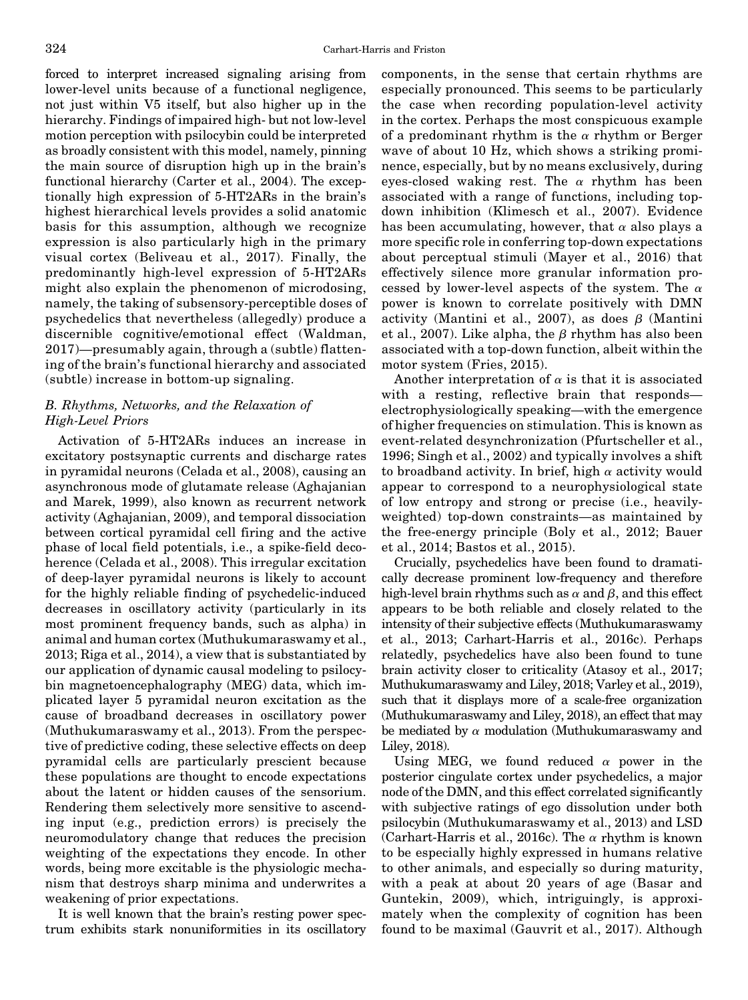<span id="page-8-0"></span>forced to interpret increased signaling arising from lower-level units because of a functional negligence, not just within V5 itself, but also higher up in the hierarchy. Findings of impaired high- but not low-level motion perception with psilocybin could be interpreted as broadly consistent with this model, namely, pinning the main source of disruption high up in the brain's functional hierarchy (Carter et al., 2004). The exceptionally high expression of 5-HT2ARs in the brain's highest hierarchical levels provides a solid anatomic basis for this assumption, although we recognize expression is also particularly high in the primary visual cortex (Beliveau et al., 2017). Finally, the predominantly high-level expression of 5-HT2ARs might also explain the phenomenon of microdosing, namely, the taking of subsensory-perceptible doses of psychedelics that nevertheless (allegedly) produce a discernible cognitive/emotional effect (Waldman, 2017)—presumably again, through a (subtle) flattening of the brain's functional hierarchy and associated (subtle) increase in bottom-up signaling.

### B. Rhythms, Networks, and the Relaxation of High-Level Priors

Activation of 5-HT2ARs induces an increase in excitatory postsynaptic currents and discharge rates in pyramidal neurons (Celada et al., 2008), causing an asynchronous mode of glutamate release (Aghajanian and Marek, 1999), also known as recurrent network activity (Aghajanian, 2009), and temporal dissociation between cortical pyramidal cell firing and the active phase of local field potentials, i.e., a spike-field decoherence (Celada et al., 2008). This irregular excitation of deep-layer pyramidal neurons is likely to account for the highly reliable finding of psychedelic-induced decreases in oscillatory activity (particularly in its most prominent frequency bands, such as alpha) in animal and human cortex (Muthukumaraswamy et al., 2013; Riga et al., 2014), a view that is substantiated by our application of dynamic causal modeling to psilocybin magnetoencephalography (MEG) data, which implicated layer 5 pyramidal neuron excitation as the cause of broadband decreases in oscillatory power (Muthukumaraswamy et al., 2013). From the perspective of predictive coding, these selective effects on deep pyramidal cells are particularly prescient because these populations are thought to encode expectations about the latent or hidden causes of the sensorium. Rendering them selectively more sensitive to ascending input (e.g., prediction errors) is precisely the neuromodulatory change that reduces the precision weighting of the expectations they encode. In other words, being more excitable is the physiologic mechanism that destroys sharp minima and underwrites a weakening of prior expectations.

It is well known that the brain's resting power spectrum exhibits stark nonuniformities in its oscillatory

components, in the sense that certain rhythms are especially pronounced. This seems to be particularly the case when recording population-level activity in the cortex. Perhaps the most conspicuous example of a predominant rhythm is the  $\alpha$  rhythm or Berger wave of about 10 Hz, which shows a striking prominence, especially, but by no means exclusively, during eyes-closed waking rest. The  $\alpha$  rhythm has been associated with a range of functions, including topdown inhibition (Klimesch et al., 2007). Evidence has been accumulating, however, that  $\alpha$  also plays a more specific role in conferring top-down expectations about perceptual stimuli (Mayer et al., 2016) that effectively silence more granular information processed by lower-level aspects of the system. The  $\alpha$ power is known to correlate positively with DMN activity (Mantini et al., 2007), as does  $\beta$  (Mantini et al., 2007). Like alpha, the  $\beta$  rhythm has also been associated with a top-down function, albeit within the motor system (Fries, 2015).

Another interpretation of  $\alpha$  is that it is associated with a resting, reflective brain that responds electrophysiologically speaking—with the emergence of higher frequencies on stimulation. This is known as event-related desynchronization (Pfurtscheller et al., 1996; Singh et al., 2002) and typically involves a shift to broadband activity. In brief, high  $\alpha$  activity would appear to correspond to a neurophysiological state of low entropy and strong or precise (i.e., heavilyweighted) top-down constraints—as maintained by the free-energy principle (Boly et al., 2012; Bauer et al., 2014; Bastos et al., 2015).

Crucially, psychedelics have been found to dramatically decrease prominent low-frequency and therefore high-level brain rhythms such as  $\alpha$  and  $\beta$ , and this effect appears to be both reliable and closely related to the intensity of their subjective effects (Muthukumaraswamy et al., 2013; Carhart-Harris et al., 2016c). Perhaps relatedly, psychedelics have also been found to tune brain activity closer to criticality (Atasoy et al., 2017; Muthukumaraswamy and Liley, 2018; Varley et al., 2019), such that it displays more of a scale-free organization (Muthukumaraswamy and Liley, 2018), an effect that may be mediated by  $\alpha$  modulation (Muthukumaraswamy and Liley, 2018).

Using MEG, we found reduced  $\alpha$  power in the posterior cingulate cortex under psychedelics, a major node of the DMN, and this effect correlated significantly with subjective ratings of ego dissolution under both psilocybin (Muthukumaraswamy et al., 2013) and LSD (Carhart-Harris et al., 2016c). The  $\alpha$  rhythm is known to be especially highly expressed in humans relative to other animals, and especially so during maturity, with a peak at about 20 years of age (Basar and Guntekin, 2009), which, intriguingly, is approximately when the complexity of cognition has been found to be maximal (Gauvrit et al., 2017). Although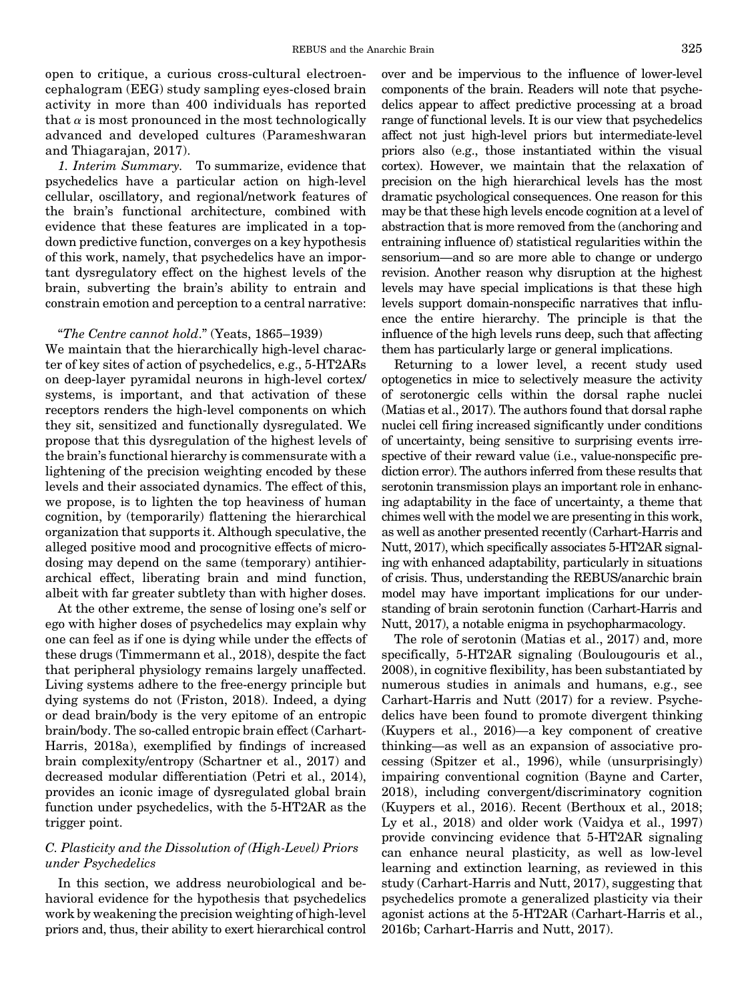<span id="page-9-0"></span>open to critique, a curious cross-cultural electroencephalogram (EEG) study sampling eyes-closed brain activity in more than 400 individuals has reported that  $\alpha$  is most pronounced in the most technologically advanced and developed cultures (Parameshwaran and Thiagarajan, 2017).

1. Interim Summary. To summarize, evidence that psychedelics have a particular action on high-level cellular, oscillatory, and regional/network features of the brain's functional architecture, combined with evidence that these features are implicated in a topdown predictive function, converges on a key hypothesis of this work, namely, that psychedelics have an important dysregulatory effect on the highest levels of the brain, subverting the brain's ability to entrain and constrain emotion and perception to a central narrative:

### "The Centre cannot hold." (Yeats, 1865–1939)

We maintain that the hierarchically high-level character of key sites of action of psychedelics, e.g., 5-HT2ARs on deep-layer pyramidal neurons in high-level cortex/ systems, is important, and that activation of these receptors renders the high-level components on which they sit, sensitized and functionally dysregulated. We propose that this dysregulation of the highest levels of the brain's functional hierarchy is commensurate with a lightening of the precision weighting encoded by these levels and their associated dynamics. The effect of this, we propose, is to lighten the top heaviness of human cognition, by (temporarily) flattening the hierarchical organization that supports it. Although speculative, the alleged positive mood and procognitive effects of microdosing may depend on the same (temporary) antihierarchical effect, liberating brain and mind function, albeit with far greater subtlety than with higher doses.

At the other extreme, the sense of losing one's self or ego with higher doses of psychedelics may explain why one can feel as if one is dying while under the effects of these drugs (Timmermann et al., 2018), despite the fact that peripheral physiology remains largely unaffected. Living systems adhere to the free-energy principle but dying systems do not (Friston, 2018). Indeed, a dying or dead brain/body is the very epitome of an entropic brain/body. The so-called entropic brain effect (Carhart-Harris, 2018a), exemplified by findings of increased brain complexity/entropy (Schartner et al., 2017) and decreased modular differentiation (Petri et al., 2014), provides an iconic image of dysregulated global brain function under psychedelics, with the 5-HT2AR as the trigger point.

### C. Plasticity and the Dissolution of (High-Level) Priors under Psychedelics

In this section, we address neurobiological and behavioral evidence for the hypothesis that psychedelics work by weakening the precision weighting of high-level priors and, thus, their ability to exert hierarchical control over and be impervious to the influence of lower-level components of the brain. Readers will note that psychedelics appear to affect predictive processing at a broad range of functional levels. It is our view that psychedelics affect not just high-level priors but intermediate-level priors also (e.g., those instantiated within the visual cortex). However, we maintain that the relaxation of precision on the high hierarchical levels has the most dramatic psychological consequences. One reason for this may be that these high levels encode cognition at a level of abstraction that is more removed from the (anchoring and entraining influence of) statistical regularities within the sensorium—and so are more able to change or undergo revision. Another reason why disruption at the highest levels may have special implications is that these high levels support domain-nonspecific narratives that influence the entire hierarchy. The principle is that the influence of the high levels runs deep, such that affecting them has particularly large or general implications.

Returning to a lower level, a recent study used optogenetics in mice to selectively measure the activity of serotonergic cells within the dorsal raphe nuclei (Matias et al., 2017). The authors found that dorsal raphe nuclei cell firing increased significantly under conditions of uncertainty, being sensitive to surprising events irrespective of their reward value (i.e., value-nonspecific prediction error). The authors inferred from these results that serotonin transmission plays an important role in enhancing adaptability in the face of uncertainty, a theme that chimes well with the model we are presenting in this work, as well as another presented recently (Carhart-Harris and Nutt, 2017), which specifically associates 5-HT2AR signaling with enhanced adaptability, particularly in situations of crisis. Thus, understanding the REBUS/anarchic brain model may have important implications for our understanding of brain serotonin function (Carhart-Harris and Nutt, 2017), a notable enigma in psychopharmacology.

The role of serotonin (Matias et al., 2017) and, more specifically, 5-HT2AR signaling (Boulougouris et al., 2008), in cognitive flexibility, has been substantiated by numerous studies in animals and humans, e.g., see Carhart-Harris and Nutt (2017) for a review. Psychedelics have been found to promote divergent thinking (Kuypers et al., 2016)—a key component of creative thinking—as well as an expansion of associative processing (Spitzer et al., 1996), while (unsurprisingly) impairing conventional cognition (Bayne and Carter, 2018), including convergent/discriminatory cognition (Kuypers et al., 2016). Recent (Berthoux et al., 2018; Ly et al., 2018) and older work (Vaidya et al., 1997) provide convincing evidence that 5-HT2AR signaling can enhance neural plasticity, as well as low-level learning and extinction learning, as reviewed in this study (Carhart-Harris and Nutt, 2017), suggesting that psychedelics promote a generalized plasticity via their agonist actions at the 5-HT2AR (Carhart-Harris et al., 2016b; Carhart-Harris and Nutt, 2017).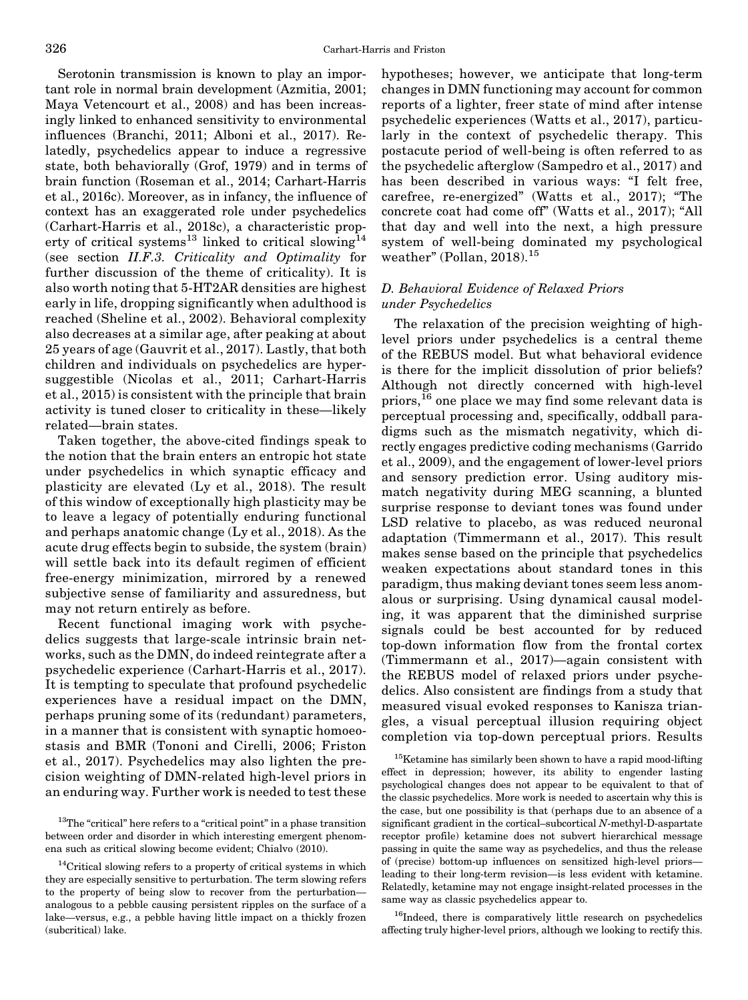<span id="page-10-0"></span>Serotonin transmission is known to play an important role in normal brain development (Azmitia, 2001; Maya Vetencourt et al., 2008) and has been increasingly linked to enhanced sensitivity to environmental influences (Branchi, 2011; Alboni et al., 2017). Relatedly, psychedelics appear to induce a regressive state, both behaviorally (Grof, 1979) and in terms of brain function (Roseman et al., 2014; Carhart-Harris et al., 2016c). Moreover, as in infancy, the influence of context has an exaggerated role under psychedelics (Carhart-Harris et al., 2018c), a characteristic property of critical systems<sup>13</sup> linked to critical slowing<sup>14</sup> (see section II.F.3. Criticality and Optimality for further discussion of the theme of criticality). It is also worth noting that 5-HT2AR densities are highest early in life, dropping significantly when adulthood is reached (Sheline et al., 2002). Behavioral complexity also decreases at a similar age, after peaking at about 25 years of age (Gauvrit et al., 2017). Lastly, that both children and individuals on psychedelics are hypersuggestible (Nicolas et al., 2011; Carhart-Harris et al., 2015) is consistent with the principle that brain activity is tuned closer to criticality in these—likely related—brain states.

Taken together, the above-cited findings speak to the notion that the brain enters an entropic hot state under psychedelics in which synaptic efficacy and plasticity are elevated (Ly et al., 2018). The result of this window of exceptionally high plasticity may be to leave a legacy of potentially enduring functional and perhaps anatomic change (Ly et al., 2018). As the acute drug effects begin to subside, the system (brain) will settle back into its default regimen of efficient free-energy minimization, mirrored by a renewed subjective sense of familiarity and assuredness, but may not return entirely as before.

Recent functional imaging work with psychedelics suggests that large-scale intrinsic brain networks, such as the DMN, do indeed reintegrate after a psychedelic experience (Carhart-Harris et al., 2017). It is tempting to speculate that profound psychedelic experiences have a residual impact on the DMN, perhaps pruning some of its (redundant) parameters, in a manner that is consistent with synaptic homoeostasis and BMR (Tononi and Cirelli, 2006; Friston et al., 2017). Psychedelics may also lighten the precision weighting of DMN-related high-level priors in an enduring way. Further work is needed to test these hypotheses; however, we anticipate that long-term changes in DMN functioning may account for common reports of a lighter, freer state of mind after intense psychedelic experiences (Watts et al., 2017), particularly in the context of psychedelic therapy. This postacute period of well-being is often referred to as the psychedelic afterglow (Sampedro et al., 2017) and has been described in various ways: "I felt free, carefree, re-energized" (Watts et al., 2017); "The concrete coat had come off" (Watts et al., 2017); "All that day and well into the next, a high pressure system of well-being dominated my psychological weather" (Pollan,  $2018$ ).<sup>15</sup>

### D. Behavioral Evidence of Relaxed Priors under Psychedelics

The relaxation of the precision weighting of highlevel priors under psychedelics is a central theme of the REBUS model. But what behavioral evidence is there for the implicit dissolution of prior beliefs? Although not directly concerned with high-level priors,<sup>16</sup> one place we may find some relevant data is perceptual processing and, specifically, oddball paradigms such as the mismatch negativity, which directly engages predictive coding mechanisms (Garrido et al., 2009), and the engagement of lower-level priors and sensory prediction error. Using auditory mismatch negativity during MEG scanning, a blunted surprise response to deviant tones was found under LSD relative to placebo, as was reduced neuronal adaptation (Timmermann et al., 2017). This result makes sense based on the principle that psychedelics weaken expectations about standard tones in this paradigm, thus making deviant tones seem less anomalous or surprising. Using dynamical causal modeling, it was apparent that the diminished surprise signals could be best accounted for by reduced top-down information flow from the frontal cortex (Timmermann et al., 2017)—again consistent with the REBUS model of relaxed priors under psychedelics. Also consistent are findings from a study that measured visual evoked responses to Kanisza triangles, a visual perceptual illusion requiring object completion via top-down perceptual priors. Results

<sup>15</sup>Ketamine has similarly been shown to have a rapid mood-lifting effect in depression; however, its ability to engender lasting psychological changes does not appear to be equivalent to that of the classic psychedelics. More work is needed to ascertain why this is the case, but one possibility is that (perhaps due to an absence of a significant gradient in the cortical–subcortical N-methyl-D-aspartate receptor profile) ketamine does not subvert hierarchical message passing in quite the same way as psychedelics, and thus the release of (precise) bottom-up influences on sensitized high-level priors leading to their long-term revision—is less evident with ketamine. Relatedly, ketamine may not engage insight-related processes in the same way as classic psychedelics appear to.

<sup>16</sup>Indeed, there is comparatively little research on psychedelics affecting truly higher-level priors, although we looking to rectify this.

<sup>&</sup>lt;sup>13</sup>The "critical" here refers to a "critical point" in a phase transition between order and disorder in which interesting emergent phenomena such as critical slowing become evident; Chialvo (2010).

 $14$ Critical slowing refers to a property of critical systems in which they are especially sensitive to perturbation. The term slowing refers to the property of being slow to recover from the perturbation analogous to a pebble causing persistent ripples on the surface of a lake—versus, e.g., a pebble having little impact on a thickly frozen (subcritical) lake.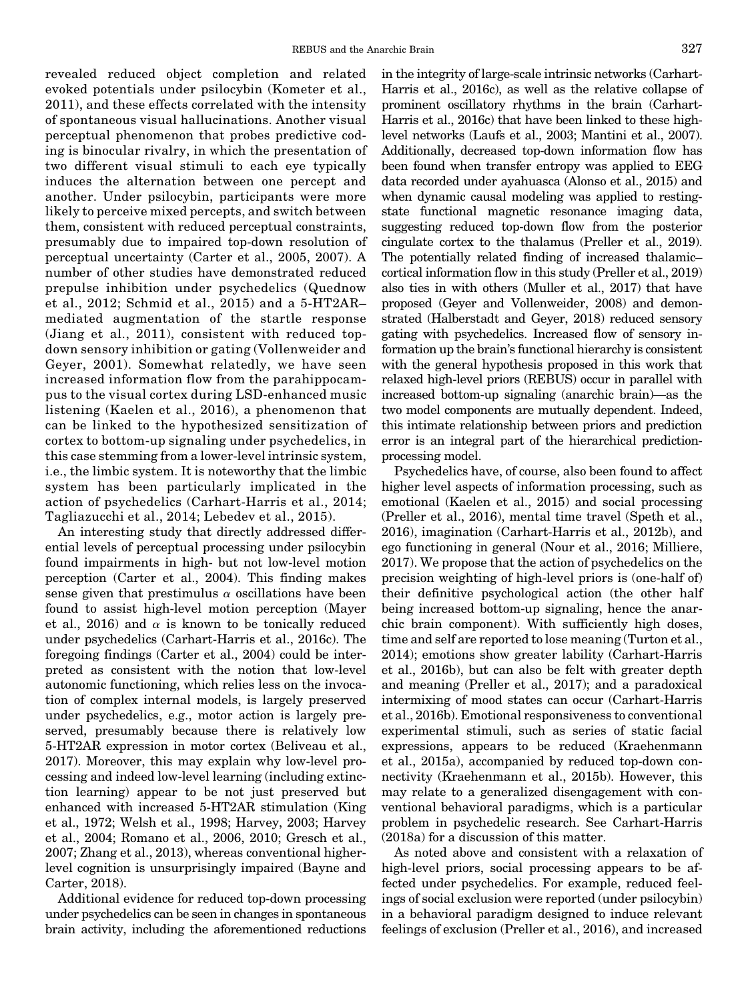revealed reduced object completion and related evoked potentials under psilocybin (Kometer et al., 2011), and these effects correlated with the intensity of spontaneous visual hallucinations. Another visual perceptual phenomenon that probes predictive coding is binocular rivalry, in which the presentation of two different visual stimuli to each eye typically induces the alternation between one percept and another. Under psilocybin, participants were more likely to perceive mixed percepts, and switch between them, consistent with reduced perceptual constraints, presumably due to impaired top-down resolution of perceptual uncertainty (Carter et al., 2005, 2007). A number of other studies have demonstrated reduced prepulse inhibition under psychedelics (Quednow et al., 2012; Schmid et al., 2015) and a 5-HT2AR– mediated augmentation of the startle response (Jiang et al., 2011), consistent with reduced topdown sensory inhibition or gating (Vollenweider and Geyer, 2001). Somewhat relatedly, we have seen increased information flow from the parahippocampus to the visual cortex during LSD-enhanced music listening (Kaelen et al., 2016), a phenomenon that can be linked to the hypothesized sensitization of cortex to bottom-up signaling under psychedelics, in this case stemming from a lower-level intrinsic system, i.e., the limbic system. It is noteworthy that the limbic system has been particularly implicated in the action of psychedelics (Carhart-Harris et al., 2014; Tagliazucchi et al., 2014; Lebedev et al., 2015).

An interesting study that directly addressed differential levels of perceptual processing under psilocybin found impairments in high- but not low-level motion perception (Carter et al., 2004). This finding makes sense given that prestimulus  $\alpha$  oscillations have been found to assist high-level motion perception (Mayer et al., 2016) and  $\alpha$  is known to be tonically reduced under psychedelics (Carhart-Harris et al., 2016c). The foregoing findings (Carter et al., 2004) could be interpreted as consistent with the notion that low-level autonomic functioning, which relies less on the invocation of complex internal models, is largely preserved under psychedelics, e.g., motor action is largely preserved, presumably because there is relatively low 5-HT2AR expression in motor cortex (Beliveau et al., 2017). Moreover, this may explain why low-level processing and indeed low-level learning (including extinction learning) appear to be not just preserved but enhanced with increased 5-HT2AR stimulation (King et al., 1972; Welsh et al., 1998; Harvey, 2003; Harvey et al., 2004; Romano et al., 2006, 2010; Gresch et al., 2007; Zhang et al., 2013), whereas conventional higherlevel cognition is unsurprisingly impaired (Bayne and Carter, 2018).

Additional evidence for reduced top-down processing under psychedelics can be seen in changes in spontaneous brain activity, including the aforementioned reductions in the integrity of large-scale intrinsic networks (Carhart-Harris et al., 2016c), as well as the relative collapse of prominent oscillatory rhythms in the brain (Carhart-Harris et al., 2016c) that have been linked to these highlevel networks (Laufs et al., 2003; Mantini et al., 2007). Additionally, decreased top-down information flow has been found when transfer entropy was applied to EEG data recorded under ayahuasca (Alonso et al., 2015) and when dynamic causal modeling was applied to restingstate functional magnetic resonance imaging data, suggesting reduced top-down flow from the posterior cingulate cortex to the thalamus (Preller et al., 2019). The potentially related finding of increased thalamic– cortical information flow in this study (Preller et al., 2019) also ties in with others (Muller et al., 2017) that have proposed (Geyer and Vollenweider, 2008) and demonstrated (Halberstadt and Geyer, 2018) reduced sensory gating with psychedelics. Increased flow of sensory information up the brain's functional hierarchy is consistent with the general hypothesis proposed in this work that relaxed high-level priors (REBUS) occur in parallel with increased bottom-up signaling (anarchic brain)—as the two model components are mutually dependent. Indeed, this intimate relationship between priors and prediction error is an integral part of the hierarchical predictionprocessing model.

Psychedelics have, of course, also been found to affect higher level aspects of information processing, such as emotional (Kaelen et al., 2015) and social processing (Preller et al., 2016), mental time travel (Speth et al., 2016), imagination (Carhart-Harris et al., 2012b), and ego functioning in general (Nour et al., 2016; Milliere, 2017). We propose that the action of psychedelics on the precision weighting of high-level priors is (one-half of) their definitive psychological action (the other half being increased bottom-up signaling, hence the anarchic brain component). With sufficiently high doses, time and self are reported to lose meaning (Turton et al., 2014); emotions show greater lability (Carhart-Harris et al., 2016b), but can also be felt with greater depth and meaning (Preller et al., 2017); and a paradoxical intermixing of mood states can occur (Carhart-Harris et al., 2016b). Emotional responsiveness to conventional experimental stimuli, such as series of static facial expressions, appears to be reduced (Kraehenmann et al., 2015a), accompanied by reduced top-down connectivity (Kraehenmann et al., 2015b). However, this may relate to a generalized disengagement with conventional behavioral paradigms, which is a particular problem in psychedelic research. See Carhart-Harris (2018a) for a discussion of this matter.

As noted above and consistent with a relaxation of high-level priors, social processing appears to be affected under psychedelics. For example, reduced feelings of social exclusion were reported (under psilocybin) in a behavioral paradigm designed to induce relevant feelings of exclusion (Preller et al., 2016), and increased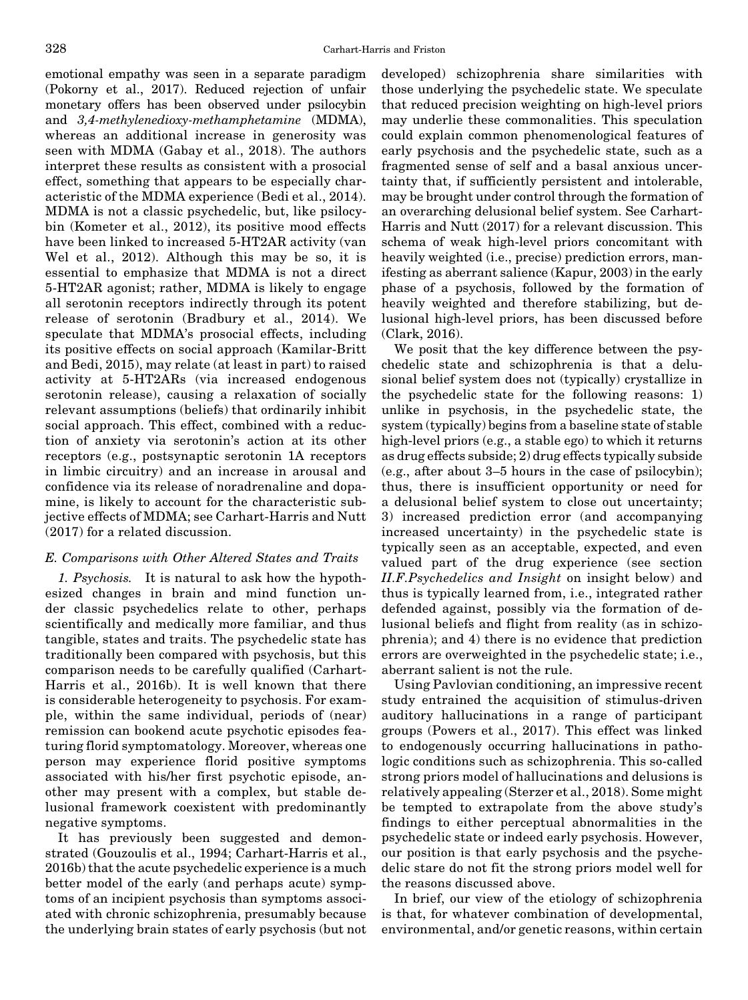<span id="page-12-0"></span>emotional empathy was seen in a separate paradigm (Pokorny et al., 2017). Reduced rejection of unfair monetary offers has been observed under psilocybin and 3,4-methylenedioxy-methamphetamine (MDMA), whereas an additional increase in generosity was seen with MDMA (Gabay et al., 2018). The authors interpret these results as consistent with a prosocial effect, something that appears to be especially characteristic of the MDMA experience (Bedi et al., 2014). MDMA is not a classic psychedelic, but, like psilocybin (Kometer et al., 2012), its positive mood effects have been linked to increased 5-HT2AR activity (van Wel et al., 2012). Although this may be so, it is essential to emphasize that MDMA is not a direct 5-HT2AR agonist; rather, MDMA is likely to engage all serotonin receptors indirectly through its potent release of serotonin (Bradbury et al., 2014). We speculate that MDMA's prosocial effects, including its positive effects on social approach (Kamilar-Britt and Bedi, 2015), may relate (at least in part) to raised activity at 5-HT2ARs (via increased endogenous serotonin release), causing a relaxation of socially relevant assumptions (beliefs) that ordinarily inhibit social approach. This effect, combined with a reduction of anxiety via serotonin's action at its other receptors (e.g., postsynaptic serotonin 1A receptors in limbic circuitry) and an increase in arousal and confidence via its release of noradrenaline and dopamine, is likely to account for the characteristic subjective effects of MDMA; see Carhart-Harris and Nutt (2017) for a related discussion.

### E. Comparisons with Other Altered States and Traits

1. Psychosis. It is natural to ask how the hypothesized changes in brain and mind function under classic psychedelics relate to other, perhaps scientifically and medically more familiar, and thus tangible, states and traits. The psychedelic state has traditionally been compared with psychosis, but this comparison needs to be carefully qualified (Carhart-Harris et al., 2016b). It is well known that there is considerable heterogeneity to psychosis. For example, within the same individual, periods of (near) remission can bookend acute psychotic episodes featuring florid symptomatology. Moreover, whereas one person may experience florid positive symptoms associated with his/her first psychotic episode, another may present with a complex, but stable delusional framework coexistent with predominantly negative symptoms.

It has previously been suggested and demonstrated (Gouzoulis et al., 1994; Carhart-Harris et al., 2016b) that the acute psychedelic experience is a much better model of the early (and perhaps acute) symptoms of an incipient psychosis than symptoms associated with chronic schizophrenia, presumably because the underlying brain states of early psychosis (but not

developed) schizophrenia share similarities with those underlying the psychedelic state. We speculate that reduced precision weighting on high-level priors may underlie these commonalities. This speculation could explain common phenomenological features of early psychosis and the psychedelic state, such as a fragmented sense of self and a basal anxious uncertainty that, if sufficiently persistent and intolerable, may be brought under control through the formation of an overarching delusional belief system. See Carhart-Harris and Nutt (2017) for a relevant discussion. This schema of weak high-level priors concomitant with heavily weighted (i.e., precise) prediction errors, manifesting as aberrant salience (Kapur, 2003) in the early phase of a psychosis, followed by the formation of heavily weighted and therefore stabilizing, but delusional high-level priors, has been discussed before (Clark, 2016).

We posit that the key difference between the psychedelic state and schizophrenia is that a delusional belief system does not (typically) crystallize in the psychedelic state for the following reasons: 1) unlike in psychosis, in the psychedelic state, the system (typically) begins from a baseline state of stable high-level priors (e.g., a stable ego) to which it returns as drug effects subside; 2) drug effects typically subside (e.g., after about 3–5 hours in the case of psilocybin); thus, there is insufficient opportunity or need for a delusional belief system to close out uncertainty; 3) increased prediction error (and accompanying increased uncertainty) in the psychedelic state is typically seen as an acceptable, expected, and even valued part of the drug experience (see section II.F.Psychedelics and Insight on insight below) and thus is typically learned from, i.e., integrated rather defended against, possibly via the formation of delusional beliefs and flight from reality (as in schizophrenia); and 4) there is no evidence that prediction errors are overweighted in the psychedelic state; i.e., aberrant salient is not the rule.

Using Pavlovian conditioning, an impressive recent study entrained the acquisition of stimulus-driven auditory hallucinations in a range of participant groups (Powers et al., 2017). This effect was linked to endogenously occurring hallucinations in pathologic conditions such as schizophrenia. This so-called strong priors model of hallucinations and delusions is relatively appealing (Sterzer et al., 2018). Some might be tempted to extrapolate from the above study's findings to either perceptual abnormalities in the psychedelic state or indeed early psychosis. However, our position is that early psychosis and the psychedelic stare do not fit the strong priors model well for the reasons discussed above.

In brief, our view of the etiology of schizophrenia is that, for whatever combination of developmental, environmental, and/or genetic reasons, within certain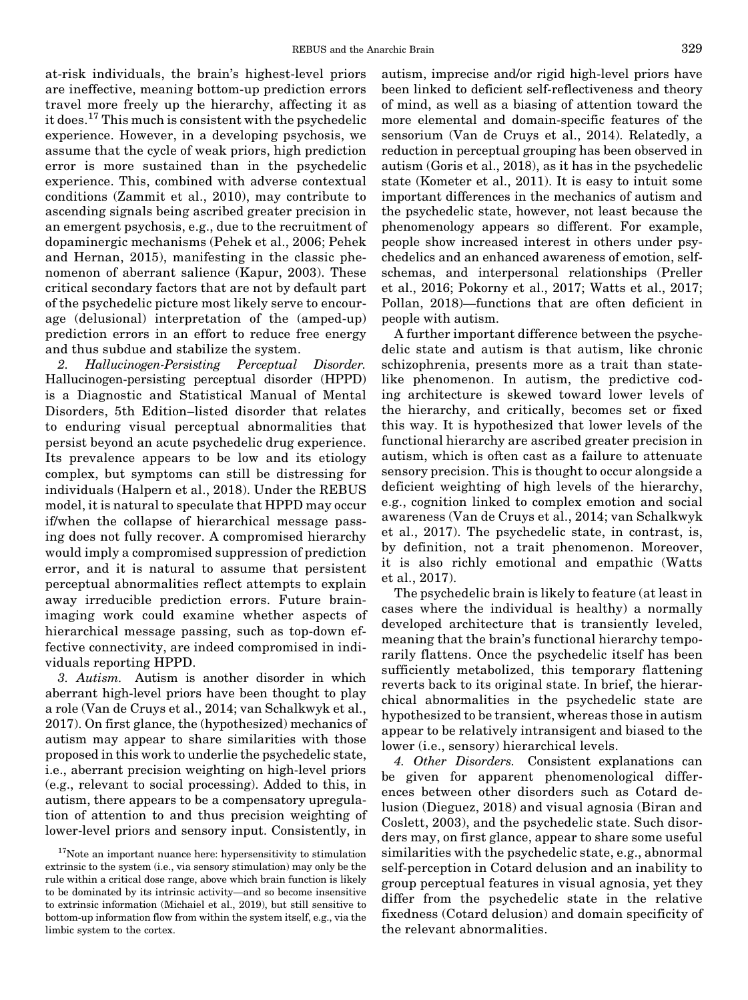<span id="page-13-0"></span>at-risk individuals, the brain's highest-level priors are ineffective, meaning bottom-up prediction errors travel more freely up the hierarchy, affecting it as it does.<sup>17</sup> This much is consistent with the psychedelic experience. However, in a developing psychosis, we assume that the cycle of weak priors, high prediction error is more sustained than in the psychedelic experience. This, combined with adverse contextual conditions (Zammit et al., 2010), may contribute to ascending signals being ascribed greater precision in an emergent psychosis, e.g., due to the recruitment of dopaminergic mechanisms (Pehek et al., 2006; Pehek and Hernan, 2015), manifesting in the classic phenomenon of aberrant salience (Kapur, 2003). These critical secondary factors that are not by default part of the psychedelic picture most likely serve to encourage (delusional) interpretation of the (amped-up) prediction errors in an effort to reduce free energy and thus subdue and stabilize the system.

2. Hallucinogen-Persisting Perceptual Disorder. Hallucinogen-persisting perceptual disorder (HPPD) is a Diagnostic and Statistical Manual of Mental Disorders, 5th Edition–listed disorder that relates to enduring visual perceptual abnormalities that persist beyond an acute psychedelic drug experience. Its prevalence appears to be low and its etiology complex, but symptoms can still be distressing for individuals (Halpern et al., 2018). Under the REBUS model, it is natural to speculate that HPPD may occur if/when the collapse of hierarchical message passing does not fully recover. A compromised hierarchy would imply a compromised suppression of prediction error, and it is natural to assume that persistent perceptual abnormalities reflect attempts to explain away irreducible prediction errors. Future brainimaging work could examine whether aspects of hierarchical message passing, such as top-down effective connectivity, are indeed compromised in individuals reporting HPPD.

3. Autism. Autism is another disorder in which aberrant high-level priors have been thought to play a role (Van de Cruys et al., 2014; van Schalkwyk et al., 2017). On first glance, the (hypothesized) mechanics of autism may appear to share similarities with those proposed in this work to underlie the psychedelic state, i.e., aberrant precision weighting on high-level priors (e.g., relevant to social processing). Added to this, in autism, there appears to be a compensatory upregulation of attention to and thus precision weighting of lower-level priors and sensory input. Consistently, in

 $17$ Note an important nuance here: hypersensitivity to stimulation extrinsic to the system (i.e., via sensory stimulation) may only be the rule within a critical dose range, above which brain function is likely to be dominated by its intrinsic activity—and so become insensitive to extrinsic information (Michaiel et al., 2019), but still sensitive to bottom-up information flow from within the system itself, e.g., via the limbic system to the cortex.

autism, imprecise and/or rigid high-level priors have been linked to deficient self-reflectiveness and theory of mind, as well as a biasing of attention toward the more elemental and domain-specific features of the sensorium (Van de Cruys et al., 2014). Relatedly, a reduction in perceptual grouping has been observed in autism (Goris et al., 2018), as it has in the psychedelic state (Kometer et al., 2011). It is easy to intuit some important differences in the mechanics of autism and the psychedelic state, however, not least because the phenomenology appears so different. For example, people show increased interest in others under psychedelics and an enhanced awareness of emotion, selfschemas, and interpersonal relationships (Preller et al., 2016; Pokorny et al., 2017; Watts et al., 2017; Pollan, 2018)—functions that are often deficient in people with autism.

A further important difference between the psychedelic state and autism is that autism, like chronic schizophrenia, presents more as a trait than statelike phenomenon. In autism, the predictive coding architecture is skewed toward lower levels of the hierarchy, and critically, becomes set or fixed this way. It is hypothesized that lower levels of the functional hierarchy are ascribed greater precision in autism, which is often cast as a failure to attenuate sensory precision. This is thought to occur alongside a deficient weighting of high levels of the hierarchy, e.g., cognition linked to complex emotion and social awareness (Van de Cruys et al., 2014; van Schalkwyk et al., 2017). The psychedelic state, in contrast, is, by definition, not a trait phenomenon. Moreover, it is also richly emotional and empathic (Watts et al., 2017).

The psychedelic brain is likely to feature (at least in cases where the individual is healthy) a normally developed architecture that is transiently leveled, meaning that the brain's functional hierarchy temporarily flattens. Once the psychedelic itself has been sufficiently metabolized, this temporary flattening reverts back to its original state. In brief, the hierarchical abnormalities in the psychedelic state are hypothesized to be transient, whereas those in autism appear to be relatively intransigent and biased to the lower (i.e., sensory) hierarchical levels.

4. Other Disorders. Consistent explanations can be given for apparent phenomenological differences between other disorders such as Cotard delusion (Dieguez, 2018) and visual agnosia (Biran and Coslett, 2003), and the psychedelic state. Such disorders may, on first glance, appear to share some useful similarities with the psychedelic state, e.g., abnormal self-perception in Cotard delusion and an inability to group perceptual features in visual agnosia, yet they differ from the psychedelic state in the relative fixedness (Cotard delusion) and domain specificity of the relevant abnormalities.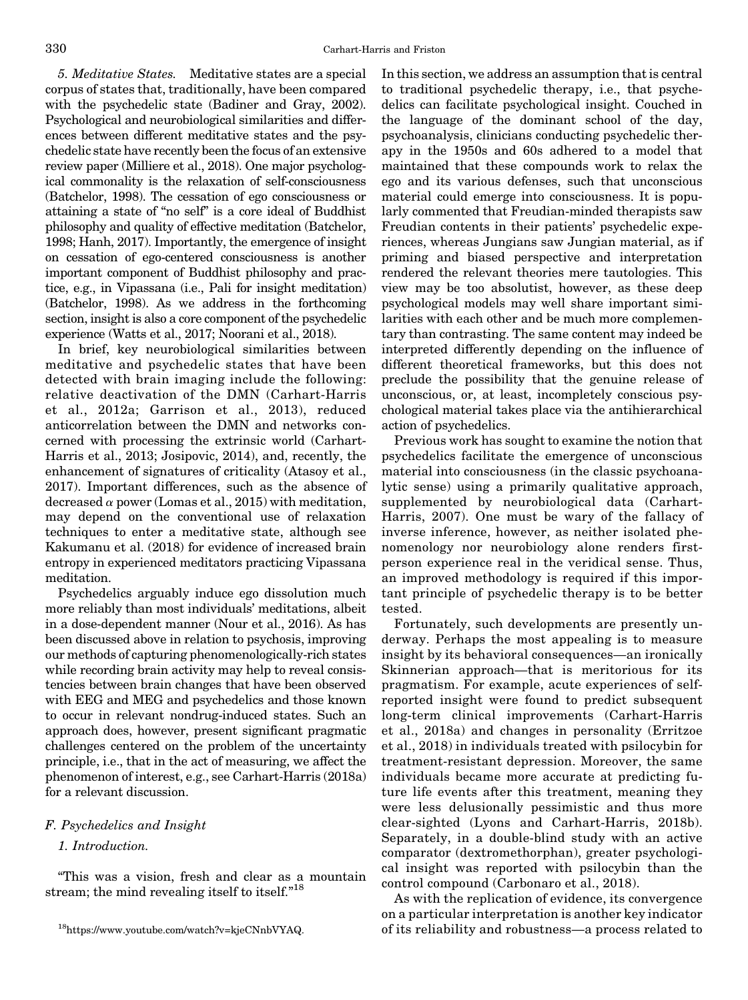<span id="page-14-0"></span>5. Meditative States. Meditative states are a special corpus of states that, traditionally, have been compared with the psychedelic state (Badiner and Gray, 2002). Psychological and neurobiological similarities and differences between different meditative states and the psychedelic state have recently been the focus of an extensive review paper (Milliere et al., 2018). One major psychological commonality is the relaxation of self-consciousness (Batchelor, 1998). The cessation of ego consciousness or attaining a state of "no self" is a core ideal of Buddhist philosophy and quality of effective meditation (Batchelor, 1998; Hanh, 2017). Importantly, the emergence of insight on cessation of ego-centered consciousness is another important component of Buddhist philosophy and practice, e.g., in Vipassana (i.e., Pali for insight meditation) (Batchelor, 1998). As we address in the forthcoming section, insight is also a core component of the psychedelic experience (Watts et al., 2017; Noorani et al., 2018).

In brief, key neurobiological similarities between meditative and psychedelic states that have been detected with brain imaging include the following: relative deactivation of the DMN (Carhart-Harris et al., 2012a; Garrison et al., 2013), reduced anticorrelation between the DMN and networks concerned with processing the extrinsic world (Carhart-Harris et al., 2013; Josipovic, 2014), and, recently, the enhancement of signatures of criticality (Atasoy et al., 2017). Important differences, such as the absence of decreased  $\alpha$  power (Lomas et al., 2015) with meditation, may depend on the conventional use of relaxation techniques to enter a meditative state, although see Kakumanu et al. (2018) for evidence of increased brain entropy in experienced meditators practicing Vipassana meditation.

Psychedelics arguably induce ego dissolution much more reliably than most individuals' meditations, albeit in a dose-dependent manner (Nour et al., 2016). As has been discussed above in relation to psychosis, improving our methods of capturing phenomenologically-rich states while recording brain activity may help to reveal consistencies between brain changes that have been observed with EEG and MEG and psychedelics and those known to occur in relevant nondrug-induced states. Such an approach does, however, present significant pragmatic challenges centered on the problem of the uncertainty principle, i.e., that in the act of measuring, we affect the phenomenon of interest, e.g., see Carhart-Harris (2018a) for a relevant discussion.

### F. Psychedelics and Insight

### 1. Introduction.

"This was a vision, fresh and clear as a mountain stream; the mind revealing itself to itself."<sup>18</sup>

In this section, we address an assumption that is central to traditional psychedelic therapy, i.e., that psychedelics can facilitate psychological insight. Couched in the language of the dominant school of the day, psychoanalysis, clinicians conducting psychedelic therapy in the 1950s and 60s adhered to a model that maintained that these compounds work to relax the ego and its various defenses, such that unconscious material could emerge into consciousness. It is popularly commented that Freudian-minded therapists saw Freudian contents in their patients' psychedelic experiences, whereas Jungians saw Jungian material, as if priming and biased perspective and interpretation rendered the relevant theories mere tautologies. This view may be too absolutist, however, as these deep psychological models may well share important similarities with each other and be much more complementary than contrasting. The same content may indeed be interpreted differently depending on the influence of different theoretical frameworks, but this does not preclude the possibility that the genuine release of unconscious, or, at least, incompletely conscious psychological material takes place via the antihierarchical action of psychedelics.

Previous work has sought to examine the notion that psychedelics facilitate the emergence of unconscious material into consciousness (in the classic psychoanalytic sense) using a primarily qualitative approach, supplemented by neurobiological data (Carhart-Harris, 2007). One must be wary of the fallacy of inverse inference, however, as neither isolated phenomenology nor neurobiology alone renders firstperson experience real in the veridical sense. Thus, an improved methodology is required if this important principle of psychedelic therapy is to be better tested.

Fortunately, such developments are presently underway. Perhaps the most appealing is to measure insight by its behavioral consequences—an ironically Skinnerian approach—that is meritorious for its pragmatism. For example, acute experiences of selfreported insight were found to predict subsequent long-term clinical improvements (Carhart-Harris et al., 2018a) and changes in personality (Erritzoe et al., 2018) in individuals treated with psilocybin for treatment-resistant depression. Moreover, the same individuals became more accurate at predicting future life events after this treatment, meaning they were less delusionally pessimistic and thus more clear-sighted (Lyons and Carhart-Harris, 2018b). Separately, in a double-blind study with an active comparator (dextromethorphan), greater psychological insight was reported with psilocybin than the control compound (Carbonaro et al., 2018).

As with the replication of evidence, its convergence on a particular interpretation is another key indicator <sup>18</sup>https://www.youtube.com/watch?v=kjeCNnbVYAQ. of its reliability and robustness—a process related to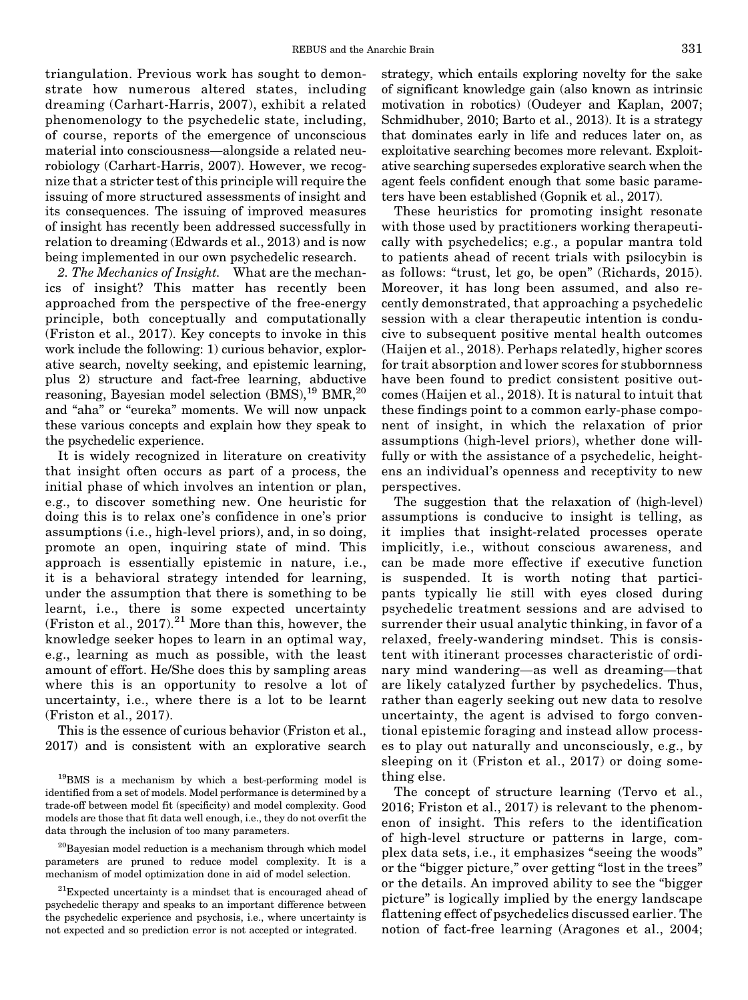<span id="page-15-0"></span>triangulation. Previous work has sought to demonstrate how numerous altered states, including dreaming (Carhart-Harris, 2007), exhibit a related phenomenology to the psychedelic state, including, of course, reports of the emergence of unconscious material into consciousness—alongside a related neurobiology (Carhart-Harris, 2007). However, we recognize that a stricter test of this principle will require the issuing of more structured assessments of insight and its consequences. The issuing of improved measures of insight has recently been addressed successfully in relation to dreaming (Edwards et al., 2013) and is now being implemented in our own psychedelic research.

2. The Mechanics of Insight. What are the mechanics of insight? This matter has recently been approached from the perspective of the free-energy principle, both conceptually and computationally (Friston et al., 2017). Key concepts to invoke in this work include the following: 1) curious behavior, explorative search, novelty seeking, and epistemic learning, plus 2) structure and fact-free learning, abductive reasoning, Bayesian model selection  $(BMS)$ , <sup>19</sup> BMR, <sup>20</sup> and "aha" or "eureka" moments. We will now unpack these various concepts and explain how they speak to the psychedelic experience.

It is widely recognized in literature on creativity that insight often occurs as part of a process, the initial phase of which involves an intention or plan, e.g., to discover something new. One heuristic for doing this is to relax one's confidence in one's prior assumptions (i.e., high-level priors), and, in so doing, promote an open, inquiring state of mind. This approach is essentially epistemic in nature, i.e., it is a behavioral strategy intended for learning, under the assumption that there is something to be learnt, i.e., there is some expected uncertainty (Friston et al., 2017).<sup>21</sup> More than this, however, the knowledge seeker hopes to learn in an optimal way, e.g., learning as much as possible, with the least amount of effort. He/She does this by sampling areas where this is an opportunity to resolve a lot of uncertainty, i.e., where there is a lot to be learnt (Friston et al., 2017).

This is the essence of curious behavior (Friston et al., 2017) and is consistent with an explorative search strategy, which entails exploring novelty for the sake of significant knowledge gain (also known as intrinsic motivation in robotics) (Oudeyer and Kaplan, 2007; Schmidhuber, 2010; Barto et al., 2013). It is a strategy that dominates early in life and reduces later on, as exploitative searching becomes more relevant. Exploitative searching supersedes explorative search when the agent feels confident enough that some basic parameters have been established (Gopnik et al., 2017).

These heuristics for promoting insight resonate with those used by practitioners working therapeutically with psychedelics; e.g., a popular mantra told to patients ahead of recent trials with psilocybin is as follows: "trust, let go, be open" (Richards, 2015). Moreover, it has long been assumed, and also recently demonstrated, that approaching a psychedelic session with a clear therapeutic intention is conducive to subsequent positive mental health outcomes (Haijen et al., 2018). Perhaps relatedly, higher scores for trait absorption and lower scores for stubbornness have been found to predict consistent positive outcomes (Haijen et al., 2018). It is natural to intuit that these findings point to a common early-phase component of insight, in which the relaxation of prior assumptions (high-level priors), whether done willfully or with the assistance of a psychedelic, heightens an individual's openness and receptivity to new perspectives.

The suggestion that the relaxation of (high-level) assumptions is conducive to insight is telling, as it implies that insight-related processes operate implicitly, i.e., without conscious awareness, and can be made more effective if executive function is suspended. It is worth noting that participants typically lie still with eyes closed during psychedelic treatment sessions and are advised to surrender their usual analytic thinking, in favor of a relaxed, freely-wandering mindset. This is consistent with itinerant processes characteristic of ordinary mind wandering—as well as dreaming—that are likely catalyzed further by psychedelics. Thus, rather than eagerly seeking out new data to resolve uncertainty, the agent is advised to forgo conventional epistemic foraging and instead allow processes to play out naturally and unconsciously, e.g., by sleeping on it (Friston et al., 2017) or doing something else.

The concept of structure learning (Tervo et al., 2016; Friston et al., 2017) is relevant to the phenomenon of insight. This refers to the identification of high-level structure or patterns in large, complex data sets, i.e., it emphasizes "seeing the woods" or the "bigger picture," over getting "lost in the trees" or the details. An improved ability to see the "bigger picture" is logically implied by the energy landscape flattening effect of psychedelics discussed earlier. The notion of fact-free learning (Aragones et al., 2004;

<sup>19</sup>BMS is a mechanism by which a best-performing model is identified from a set of models. Model performance is determined by a trade-off between model fit (specificity) and model complexity. Good models are those that fit data well enough, i.e., they do not overfit the data through the inclusion of too many parameters.

<sup>&</sup>lt;sup>20</sup>Bayesian model reduction is a mechanism through which model parameters are pruned to reduce model complexity. It is a mechanism of model optimization done in aid of model selection.

 ${}^{21}$ Expected uncertainty is a mindset that is encouraged ahead of psychedelic therapy and speaks to an important difference between the psychedelic experience and psychosis, i.e., where uncertainty is not expected and so prediction error is not accepted or integrated.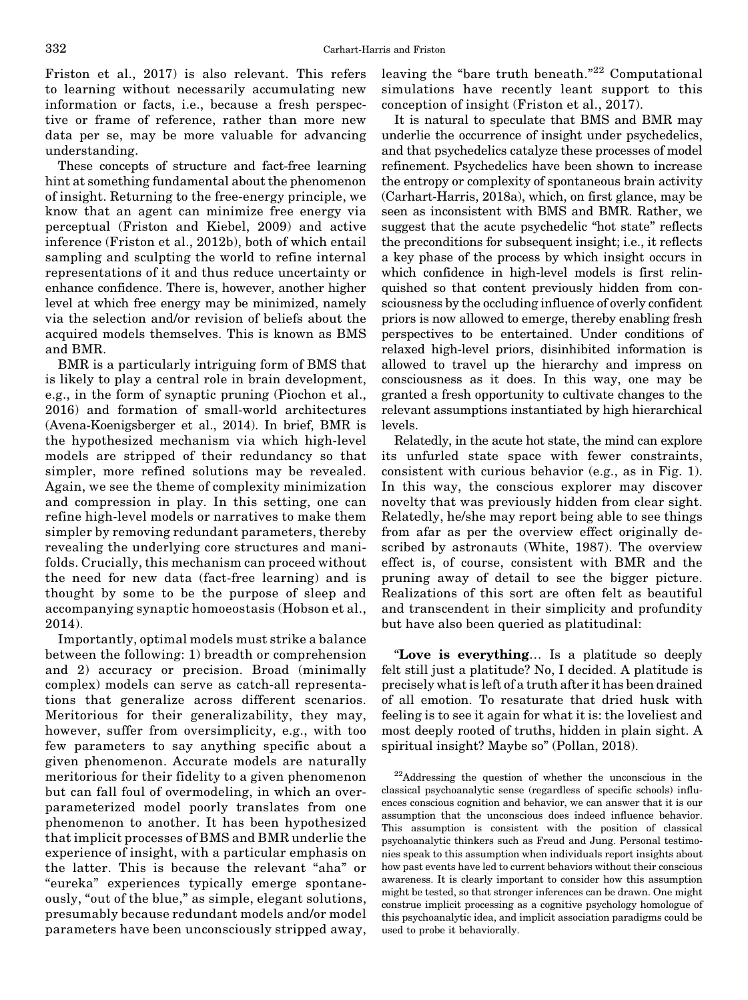Friston et al., 2017) is also relevant. This refers to learning without necessarily accumulating new information or facts, i.e., because a fresh perspective or frame of reference, rather than more new data per se, may be more valuable for advancing understanding.

These concepts of structure and fact-free learning hint at something fundamental about the phenomenon of insight. Returning to the free-energy principle, we know that an agent can minimize free energy via perceptual (Friston and Kiebel, 2009) and active inference (Friston et al., 2012b), both of which entail sampling and sculpting the world to refine internal representations of it and thus reduce uncertainty or enhance confidence. There is, however, another higher level at which free energy may be minimized, namely via the selection and/or revision of beliefs about the acquired models themselves. This is known as BMS and BMR.

BMR is a particularly intriguing form of BMS that is likely to play a central role in brain development, e.g., in the form of synaptic pruning (Piochon et al., 2016) and formation of small-world architectures (Avena-Koenigsberger et al., 2014). In brief, BMR is the hypothesized mechanism via which high-level models are stripped of their redundancy so that simpler, more refined solutions may be revealed. Again, we see the theme of complexity minimization and compression in play. In this setting, one can refine high-level models or narratives to make them simpler by removing redundant parameters, thereby revealing the underlying core structures and manifolds. Crucially, this mechanism can proceed without the need for new data (fact-free learning) and is thought by some to be the purpose of sleep and accompanying synaptic homoeostasis (Hobson et al., 2014).

Importantly, optimal models must strike a balance between the following: 1) breadth or comprehension and 2) accuracy or precision. Broad (minimally complex) models can serve as catch-all representations that generalize across different scenarios. Meritorious for their generalizability, they may, however, suffer from oversimplicity, e.g., with too few parameters to say anything specific about a given phenomenon. Accurate models are naturally meritorious for their fidelity to a given phenomenon but can fall foul of overmodeling, in which an overparameterized model poorly translates from one phenomenon to another. It has been hypothesized that implicit processes of BMS and BMR underlie the experience of insight, with a particular emphasis on the latter. This is because the relevant "aha" or "eureka" experiences typically emerge spontaneously, "out of the blue," as simple, elegant solutions, presumably because redundant models and/or model parameters have been unconsciously stripped away,

leaving the "bare truth beneath."<sup>22</sup> Computational simulations have recently leant support to this conception of insight (Friston et al., 2017).

It is natural to speculate that BMS and BMR may underlie the occurrence of insight under psychedelics, and that psychedelics catalyze these processes of model refinement. Psychedelics have been shown to increase the entropy or complexity of spontaneous brain activity (Carhart-Harris, 2018a), which, on first glance, may be seen as inconsistent with BMS and BMR. Rather, we suggest that the acute psychedelic "hot state" reflects the preconditions for subsequent insight; i.e., it reflects a key phase of the process by which insight occurs in which confidence in high-level models is first relinquished so that content previously hidden from consciousness by the occluding influence of overly confident priors is now allowed to emerge, thereby enabling fresh perspectives to be entertained. Under conditions of relaxed high-level priors, disinhibited information is allowed to travel up the hierarchy and impress on consciousness as it does. In this way, one may be granted a fresh opportunity to cultivate changes to the relevant assumptions instantiated by high hierarchical levels.

Relatedly, in the acute hot state, the mind can explore its unfurled state space with fewer constraints, consistent with curious behavior (e.g., as in Fig. 1). In this way, the conscious explorer may discover novelty that was previously hidden from clear sight. Relatedly, he/she may report being able to see things from afar as per the overview effect originally described by astronauts (White, 1987). The overview effect is, of course, consistent with BMR and the pruning away of detail to see the bigger picture. Realizations of this sort are often felt as beautiful and transcendent in their simplicity and profundity but have also been queried as platitudinal:

"Love is everything… Is a platitude so deeply felt still just a platitude? No, I decided. A platitude is precisely what is left of a truth after it has been drained of all emotion. To resaturate that dried husk with feeling is to see it again for what it is: the loveliest and most deeply rooted of truths, hidden in plain sight. A spiritual insight? Maybe so" (Pollan, 2018).

 $^{22}$ Addressing the question of whether the unconscious in the classical psychoanalytic sense (regardless of specific schools) influences conscious cognition and behavior, we can answer that it is our assumption that the unconscious does indeed influence behavior. This assumption is consistent with the position of classical psychoanalytic thinkers such as Freud and Jung. Personal testimonies speak to this assumption when individuals report insights about how past events have led to current behaviors without their conscious awareness. It is clearly important to consider how this assumption might be tested, so that stronger inferences can be drawn. One might construe implicit processing as a cognitive psychology homologue of this psychoanalytic idea, and implicit association paradigms could be used to probe it behaviorally.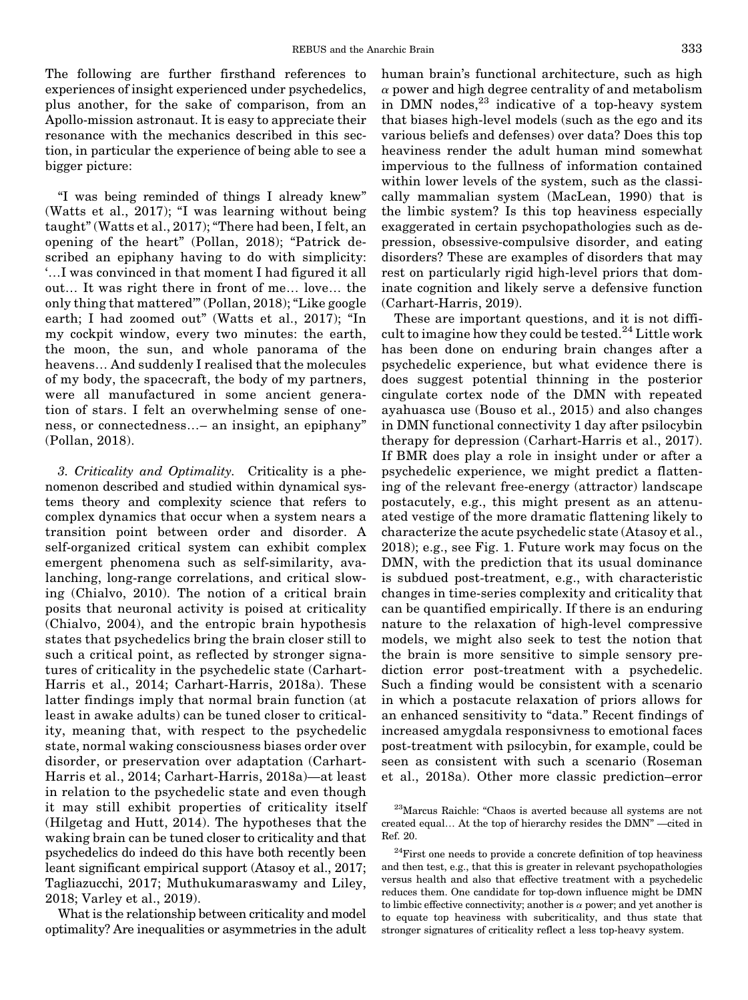<span id="page-17-0"></span>The following are further firsthand references to experiences of insight experienced under psychedelics, plus another, for the sake of comparison, from an Apollo-mission astronaut. It is easy to appreciate their resonance with the mechanics described in this section, in particular the experience of being able to see a bigger picture:

"I was being reminded of things I already knew" (Watts et al., 2017); "I was learning without being taught" (Watts et al., 2017); "There had been, I felt, an opening of the heart" (Pollan, 2018); "Patrick described an epiphany having to do with simplicity: '…I was convinced in that moment I had figured it all out… It was right there in front of me… love… the only thing that mattered'" (Pollan, 2018); "Like google earth; I had zoomed out" (Watts et al., 2017); "In my cockpit window, every two minutes: the earth, the moon, the sun, and whole panorama of the heavens… And suddenly I realised that the molecules of my body, the spacecraft, the body of my partners, were all manufactured in some ancient generation of stars. I felt an overwhelming sense of oneness, or connectedness…– an insight, an epiphany" (Pollan, 2018).

3. Criticality and Optimality. Criticality is a phenomenon described and studied within dynamical systems theory and complexity science that refers to complex dynamics that occur when a system nears a transition point between order and disorder. A self-organized critical system can exhibit complex emergent phenomena such as self-similarity, avalanching, long-range correlations, and critical slowing (Chialvo, 2010). The notion of a critical brain posits that neuronal activity is poised at criticality (Chialvo, 2004), and the entropic brain hypothesis states that psychedelics bring the brain closer still to such a critical point, as reflected by stronger signatures of criticality in the psychedelic state (Carhart-Harris et al., 2014; Carhart-Harris, 2018a). These latter findings imply that normal brain function (at least in awake adults) can be tuned closer to criticality, meaning that, with respect to the psychedelic state, normal waking consciousness biases order over disorder, or preservation over adaptation (Carhart-Harris et al., 2014; Carhart-Harris, 2018a)—at least in relation to the psychedelic state and even though it may still exhibit properties of criticality itself (Hilgetag and Hutt, 2014). The hypotheses that the waking brain can be tuned closer to criticality and that psychedelics do indeed do this have both recently been leant significant empirical support (Atasoy et al., 2017; Tagliazucchi, 2017; Muthukumaraswamy and Liley, 2018; Varley et al., 2019).

What is the relationship between criticality and model optimality? Are inequalities or asymmetries in the adult human brain's functional architecture, such as high  $\alpha$  power and high degree centrality of and metabolism in DMN nodes, $^{23}$  indicative of a top-heavy system that biases high-level models (such as the ego and its various beliefs and defenses) over data? Does this top heaviness render the adult human mind somewhat impervious to the fullness of information contained within lower levels of the system, such as the classically mammalian system (MacLean, 1990) that is the limbic system? Is this top heaviness especially exaggerated in certain psychopathologies such as depression, obsessive-compulsive disorder, and eating disorders? These are examples of disorders that may rest on particularly rigid high-level priors that dominate cognition and likely serve a defensive function (Carhart-Harris, 2019).

These are important questions, and it is not difficult to imagine how they could be tested.<sup>24</sup> Little work has been done on enduring brain changes after a psychedelic experience, but what evidence there is does suggest potential thinning in the posterior cingulate cortex node of the DMN with repeated ayahuasca use (Bouso et al., 2015) and also changes in DMN functional connectivity 1 day after psilocybin therapy for depression (Carhart-Harris et al., 2017). If BMR does play a role in insight under or after a psychedelic experience, we might predict a flattening of the relevant free-energy (attractor) landscape postacutely, e.g., this might present as an attenuated vestige of the more dramatic flattening likely to characterize the acute psychedelic state (Atasoy et al., 2018); e.g., see Fig. 1. Future work may focus on the DMN, with the prediction that its usual dominance is subdued post-treatment, e.g., with characteristic changes in time-series complexity and criticality that can be quantified empirically. If there is an enduring nature to the relaxation of high-level compressive models, we might also seek to test the notion that the brain is more sensitive to simple sensory prediction error post-treatment with a psychedelic. Such a finding would be consistent with a scenario in which a postacute relaxation of priors allows for an enhanced sensitivity to "data." Recent findings of increased amygdala responsivness to emotional faces post-treatment with psilocybin, for example, could be seen as consistent with such a scenario (Roseman et al., 2018a). Other more classic prediction–error

<sup>23</sup>Marcus Raichle: "Chaos is averted because all systems are not created equal… At the top of hierarchy resides the DMN" —cited in Ref. 20.

 $24$ First one needs to provide a concrete definition of top heaviness and then test, e.g., that this is greater in relevant psychopathologies versus health and also that effective treatment with a psychedelic reduces them. One candidate for top-down influence might be DMN to limbic effective connectivity; another is  $\alpha$  power; and yet another is to equate top heaviness with subcriticality, and thus state that stronger signatures of criticality reflect a less top-heavy system.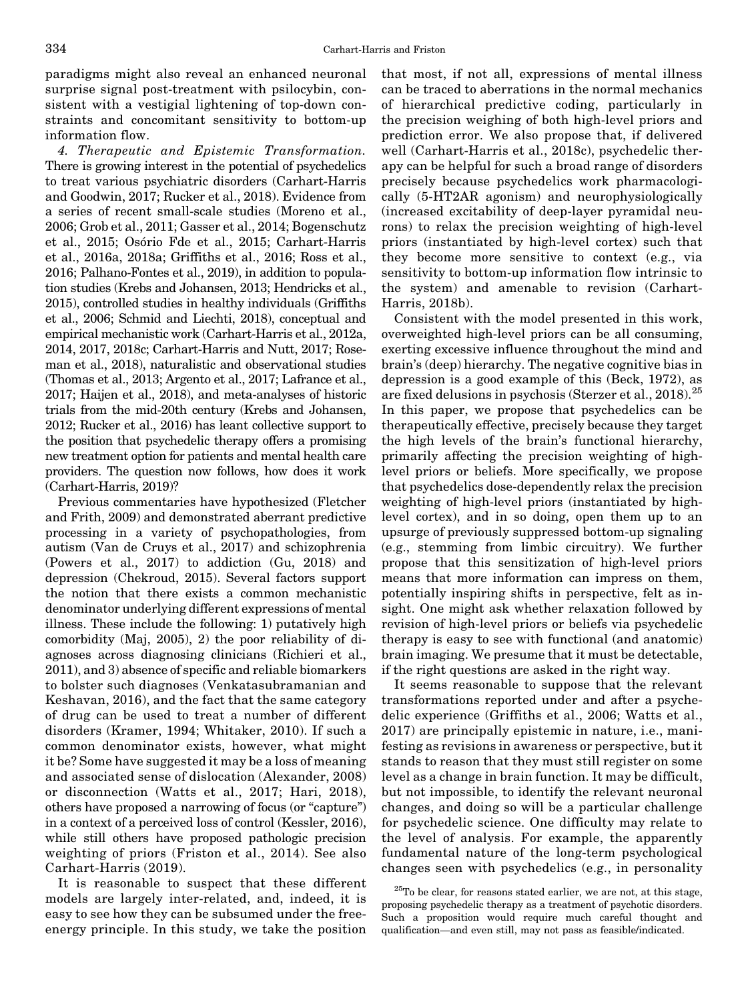<span id="page-18-0"></span>paradigms might also reveal an enhanced neuronal surprise signal post-treatment with psilocybin, consistent with a vestigial lightening of top-down constraints and concomitant sensitivity to bottom-up information flow.

4. Therapeutic and Epistemic Transformation. There is growing interest in the potential of psychedelics to treat various psychiatric disorders (Carhart-Harris and Goodwin, 2017; Rucker et al., 2018). Evidence from a series of recent small-scale studies (Moreno et al., 2006; Grob et al., 2011; Gasser et al., 2014; Bogenschutz et al., 2015; Osório Fde et al., 2015; Carhart-Harris et al., 2016a, 2018a; Griffiths et al., 2016; Ross et al., 2016; Palhano-Fontes et al., 2019), in addition to population studies (Krebs and Johansen, 2013; Hendricks et al., 2015), controlled studies in healthy individuals (Griffiths et al., 2006; Schmid and Liechti, 2018), conceptual and empirical mechanistic work (Carhart-Harris et al., 2012a, 2014, 2017, 2018c; Carhart-Harris and Nutt, 2017; Roseman et al., 2018), naturalistic and observational studies (Thomas et al., 2013; Argento et al., 2017; Lafrance et al., 2017; Haijen et al., 2018), and meta-analyses of historic trials from the mid-20th century (Krebs and Johansen, 2012; Rucker et al., 2016) has leant collective support to the position that psychedelic therapy offers a promising new treatment option for patients and mental health care providers. The question now follows, how does it work (Carhart-Harris, 2019)?

Previous commentaries have hypothesized (Fletcher and Frith, 2009) and demonstrated aberrant predictive processing in a variety of psychopathologies, from autism (Van de Cruys et al., 2017) and schizophrenia (Powers et al., 2017) to addiction (Gu, 2018) and depression (Chekroud, 2015). Several factors support the notion that there exists a common mechanistic denominator underlying different expressions of mental illness. These include the following: 1) putatively high comorbidity (Maj, 2005), 2) the poor reliability of diagnoses across diagnosing clinicians (Richieri et al., 2011), and 3) absence of specific and reliable biomarkers to bolster such diagnoses (Venkatasubramanian and Keshavan, 2016), and the fact that the same category of drug can be used to treat a number of different disorders (Kramer, 1994; Whitaker, 2010). If such a common denominator exists, however, what might it be? Some have suggested it may be a loss of meaning and associated sense of dislocation (Alexander, 2008) or disconnection (Watts et al., 2017; Hari, 2018), others have proposed a narrowing of focus (or "capture") in a context of a perceived loss of control (Kessler, 2016), while still others have proposed pathologic precision weighting of priors (Friston et al., 2014). See also Carhart-Harris (2019).

It is reasonable to suspect that these different models are largely inter-related, and, indeed, it is easy to see how they can be subsumed under the freeenergy principle. In this study, we take the position

that most, if not all, expressions of mental illness can be traced to aberrations in the normal mechanics of hierarchical predictive coding, particularly in the precision weighing of both high-level priors and prediction error. We also propose that, if delivered well (Carhart-Harris et al., 2018c), psychedelic therapy can be helpful for such a broad range of disorders precisely because psychedelics work pharmacologically (5-HT2AR agonism) and neurophysiologically (increased excitability of deep-layer pyramidal neurons) to relax the precision weighting of high-level priors (instantiated by high-level cortex) such that they become more sensitive to context (e.g., via sensitivity to bottom-up information flow intrinsic to the system) and amenable to revision (Carhart-Harris, 2018b).

Consistent with the model presented in this work, overweighted high-level priors can be all consuming, exerting excessive influence throughout the mind and brain's (deep) hierarchy. The negative cognitive bias in depression is a good example of this (Beck, 1972), as are fixed delusions in psychosis (Sterzer et al., 2018).<sup>25</sup> In this paper, we propose that psychedelics can be therapeutically effective, precisely because they target the high levels of the brain's functional hierarchy, primarily affecting the precision weighting of highlevel priors or beliefs. More specifically, we propose that psychedelics dose-dependently relax the precision weighting of high-level priors (instantiated by highlevel cortex), and in so doing, open them up to an upsurge of previously suppressed bottom-up signaling (e.g., stemming from limbic circuitry). We further propose that this sensitization of high-level priors means that more information can impress on them, potentially inspiring shifts in perspective, felt as insight. One might ask whether relaxation followed by revision of high-level priors or beliefs via psychedelic therapy is easy to see with functional (and anatomic) brain imaging. We presume that it must be detectable, if the right questions are asked in the right way.

It seems reasonable to suppose that the relevant transformations reported under and after a psychedelic experience (Griffiths et al., 2006; Watts et al., 2017) are principally epistemic in nature, i.e., manifesting as revisions in awareness or perspective, but it stands to reason that they must still register on some level as a change in brain function. It may be difficult, but not impossible, to identify the relevant neuronal changes, and doing so will be a particular challenge for psychedelic science. One difficulty may relate to the level of analysis. For example, the apparently fundamental nature of the long-term psychological changes seen with psychedelics (e.g., in personality

 ${}^{25}$ To be clear, for reasons stated earlier, we are not, at this stage, proposing psychedelic therapy as a treatment of psychotic disorders. Such a proposition would require much careful thought and qualification—and even still, may not pass as feasible/indicated.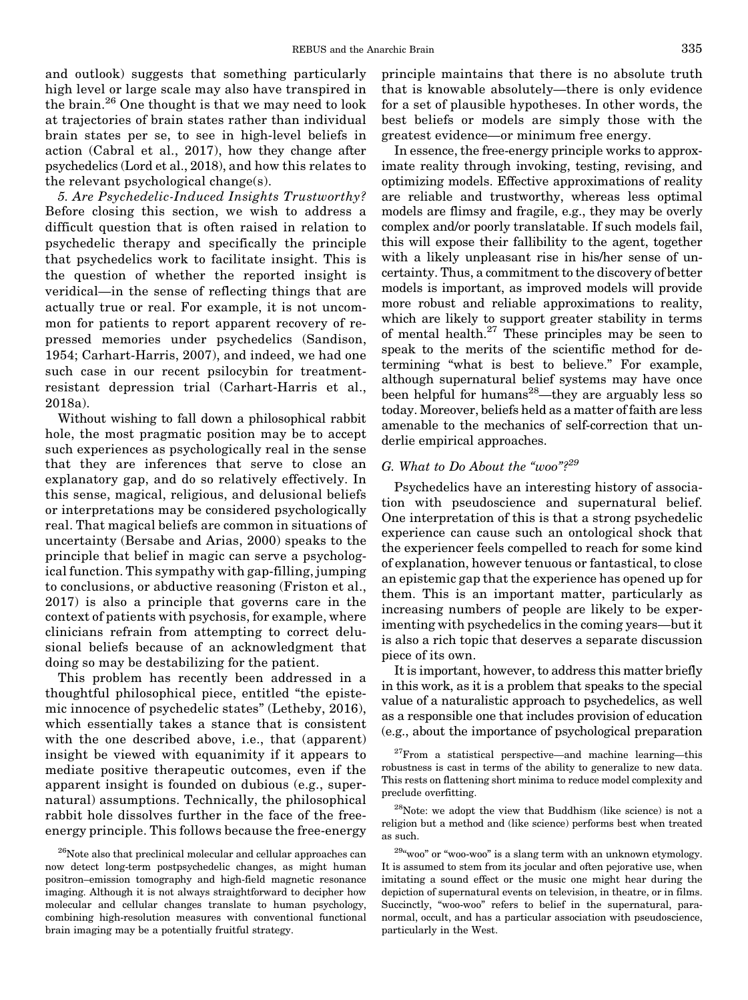<span id="page-19-0"></span>and outlook) suggests that something particularly high level or large scale may also have transpired in the brain.<sup>26</sup> One thought is that we may need to look at trajectories of brain states rather than individual brain states per se, to see in high-level beliefs in action (Cabral et al., 2017), how they change after psychedelics (Lord et al., 2018), and how this relates to the relevant psychological change(s).

5. Are Psychedelic-Induced Insights Trustworthy? Before closing this section, we wish to address a difficult question that is often raised in relation to psychedelic therapy and specifically the principle that psychedelics work to facilitate insight. This is the question of whether the reported insight is veridical—in the sense of reflecting things that are actually true or real. For example, it is not uncommon for patients to report apparent recovery of repressed memories under psychedelics (Sandison, 1954; Carhart-Harris, 2007), and indeed, we had one such case in our recent psilocybin for treatmentresistant depression trial (Carhart-Harris et al., 2018a).

Without wishing to fall down a philosophical rabbit hole, the most pragmatic position may be to accept such experiences as psychologically real in the sense that they are inferences that serve to close an explanatory gap, and do so relatively effectively. In this sense, magical, religious, and delusional beliefs or interpretations may be considered psychologically real. That magical beliefs are common in situations of uncertainty (Bersabe and Arias, 2000) speaks to the principle that belief in magic can serve a psychological function. This sympathy with gap-filling, jumping to conclusions, or abductive reasoning (Friston et al., 2017) is also a principle that governs care in the context of patients with psychosis, for example, where clinicians refrain from attempting to correct delusional beliefs because of an acknowledgment that doing so may be destabilizing for the patient.

This problem has recently been addressed in a thoughtful philosophical piece, entitled "the epistemic innocence of psychedelic states" (Letheby, 2016), which essentially takes a stance that is consistent with the one described above, i.e., that (apparent) insight be viewed with equanimity if it appears to mediate positive therapeutic outcomes, even if the apparent insight is founded on dubious (e.g., supernatural) assumptions. Technically, the philosophical rabbit hole dissolves further in the face of the freeenergy principle. This follows because the free-energy

26Note also that preclinical molecular and cellular approaches can now detect long-term postpsychedelic changes, as might human positron–emission tomography and high-field magnetic resonance imaging. Although it is not always straightforward to decipher how molecular and cellular changes translate to human psychology, combining high-resolution measures with conventional functional brain imaging may be a potentially fruitful strategy.

principle maintains that there is no absolute truth that is knowable absolutely—there is only evidence for a set of plausible hypotheses. In other words, the best beliefs or models are simply those with the greatest evidence—or minimum free energy.

In essence, the free-energy principle works to approximate reality through invoking, testing, revising, and optimizing models. Effective approximations of reality are reliable and trustworthy, whereas less optimal models are flimsy and fragile, e.g., they may be overly complex and/or poorly translatable. If such models fail, this will expose their fallibility to the agent, together with a likely unpleasant rise in his/her sense of uncertainty. Thus, a commitment to the discovery of better models is important, as improved models will provide more robust and reliable approximations to reality, which are likely to support greater stability in terms of mental health. $27$  These principles may be seen to speak to the merits of the scientific method for determining "what is best to believe." For example, although supernatural belief systems may have once been helpful for humans $^{28}$ —they are arguably less so today. Moreover, beliefs held as a matter of faith are less amenable to the mechanics of self-correction that underlie empirical approaches.

### G. What to Do About the "woo"?<sup>29</sup>

Psychedelics have an interesting history of association with pseudoscience and supernatural belief. One interpretation of this is that a strong psychedelic experience can cause such an ontological shock that the experiencer feels compelled to reach for some kind of explanation, however tenuous or fantastical, to close an epistemic gap that the experience has opened up for them. This is an important matter, particularly as increasing numbers of people are likely to be experimenting with psychedelics in the coming years—but it is also a rich topic that deserves a separate discussion piece of its own.

It is important, however, to address this matter briefly in this work, as it is a problem that speaks to the special value of a naturalistic approach to psychedelics, as well as a responsible one that includes provision of education (e.g., about the importance of psychological preparation

 $^{27}$ From a statistical perspective—and machine learning—this robustness is cast in terms of the ability to generalize to new data. This rests on flattening short minima to reduce model complexity and preclude overfitting.

 $^{28}$ Note: we adopt the view that Buddhism (like science) is not a religion but a method and (like science) performs best when treated as such.

<sup>29</sup>"woo" or "woo-woo" is a slang term with an unknown etymology. It is assumed to stem from its jocular and often pejorative use, when imitating a sound effect or the music one might hear during the depiction of supernatural events on television, in theatre, or in films. Succinctly, "woo-woo" refers to belief in the supernatural, paranormal, occult, and has a particular association with pseudoscience, particularly in the West.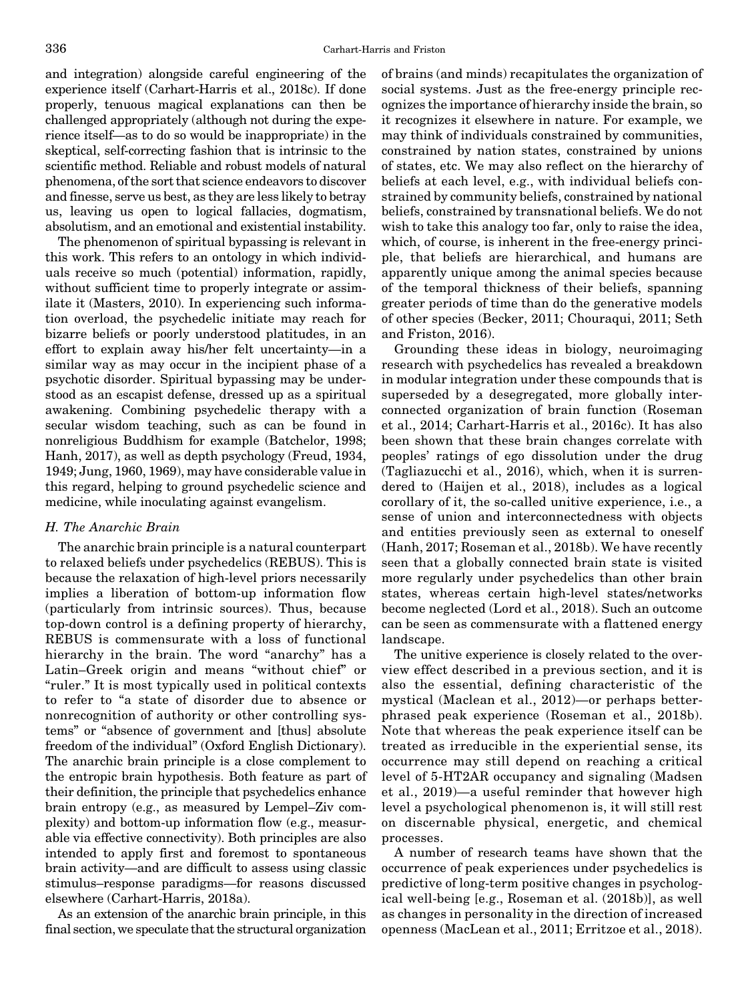<span id="page-20-0"></span>and integration) alongside careful engineering of the experience itself (Carhart-Harris et al., 2018c). If done properly, tenuous magical explanations can then be challenged appropriately (although not during the experience itself—as to do so would be inappropriate) in the skeptical, self-correcting fashion that is intrinsic to the scientific method. Reliable and robust models of natural phenomena, of the sort that science endeavors to discover and finesse, serve us best, as they are less likely to betray us, leaving us open to logical fallacies, dogmatism, absolutism, and an emotional and existential instability.

The phenomenon of spiritual bypassing is relevant in this work. This refers to an ontology in which individuals receive so much (potential) information, rapidly, without sufficient time to properly integrate or assimilate it (Masters, 2010). In experiencing such information overload, the psychedelic initiate may reach for bizarre beliefs or poorly understood platitudes, in an effort to explain away his/her felt uncertainty—in a similar way as may occur in the incipient phase of a psychotic disorder. Spiritual bypassing may be understood as an escapist defense, dressed up as a spiritual awakening. Combining psychedelic therapy with a secular wisdom teaching, such as can be found in nonreligious Buddhism for example (Batchelor, 1998; Hanh, 2017), as well as depth psychology (Freud, 1934, 1949; Jung, 1960, 1969), may have considerable value in this regard, helping to ground psychedelic science and medicine, while inoculating against evangelism.

### H. The Anarchic Brain

The anarchic brain principle is a natural counterpart to relaxed beliefs under psychedelics (REBUS). This is because the relaxation of high-level priors necessarily implies a liberation of bottom-up information flow (particularly from intrinsic sources). Thus, because top-down control is a defining property of hierarchy, REBUS is commensurate with a loss of functional hierarchy in the brain. The word "anarchy" has a Latin–Greek origin and means "without chief" or "ruler." It is most typically used in political contexts to refer to "a state of disorder due to absence or nonrecognition of authority or other controlling systems" or "absence of government and [thus] absolute freedom of the individual" (Oxford English Dictionary). The anarchic brain principle is a close complement to the entropic brain hypothesis. Both feature as part of their definition, the principle that psychedelics enhance brain entropy (e.g., as measured by Lempel–Ziv complexity) and bottom-up information flow (e.g., measurable via effective connectivity). Both principles are also intended to apply first and foremost to spontaneous brain activity—and are difficult to assess using classic stimulus–response paradigms—for reasons discussed elsewhere (Carhart-Harris, 2018a).

As an extension of the anarchic brain principle, in this final section, we speculate that the structural organization of brains (and minds) recapitulates the organization of social systems. Just as the free-energy principle recognizes the importance of hierarchy inside the brain, so it recognizes it elsewhere in nature. For example, we may think of individuals constrained by communities, constrained by nation states, constrained by unions of states, etc. We may also reflect on the hierarchy of beliefs at each level, e.g., with individual beliefs constrained by community beliefs, constrained by national beliefs, constrained by transnational beliefs. We do not wish to take this analogy too far, only to raise the idea, which, of course, is inherent in the free-energy principle, that beliefs are hierarchical, and humans are apparently unique among the animal species because of the temporal thickness of their beliefs, spanning greater periods of time than do the generative models of other species (Becker, 2011; Chouraqui, 2011; Seth and Friston, 2016).

Grounding these ideas in biology, neuroimaging research with psychedelics has revealed a breakdown in modular integration under these compounds that is superseded by a desegregated, more globally interconnected organization of brain function (Roseman et al., 2014; Carhart-Harris et al., 2016c). It has also been shown that these brain changes correlate with peoples' ratings of ego dissolution under the drug (Tagliazucchi et al., 2016), which, when it is surrendered to (Haijen et al., 2018), includes as a logical corollary of it, the so-called unitive experience, i.e., a sense of union and interconnectedness with objects and entities previously seen as external to oneself (Hanh, 2017; Roseman et al., 2018b). We have recently seen that a globally connected brain state is visited more regularly under psychedelics than other brain states, whereas certain high-level states/networks become neglected (Lord et al., 2018). Such an outcome can be seen as commensurate with a flattened energy landscape.

The unitive experience is closely related to the overview effect described in a previous section, and it is also the essential, defining characteristic of the mystical (Maclean et al., 2012)—or perhaps betterphrased peak experience (Roseman et al., 2018b). Note that whereas the peak experience itself can be treated as irreducible in the experiential sense, its occurrence may still depend on reaching a critical level of 5-HT2AR occupancy and signaling (Madsen et al., 2019)—a useful reminder that however high level a psychological phenomenon is, it will still rest on discernable physical, energetic, and chemical processes.

A number of research teams have shown that the occurrence of peak experiences under psychedelics is predictive of long-term positive changes in psychological well-being [e.g., Roseman et al. (2018b)], as well as changes in personality in the direction of increased openness (MacLean et al., 2011; Erritzoe et al., 2018).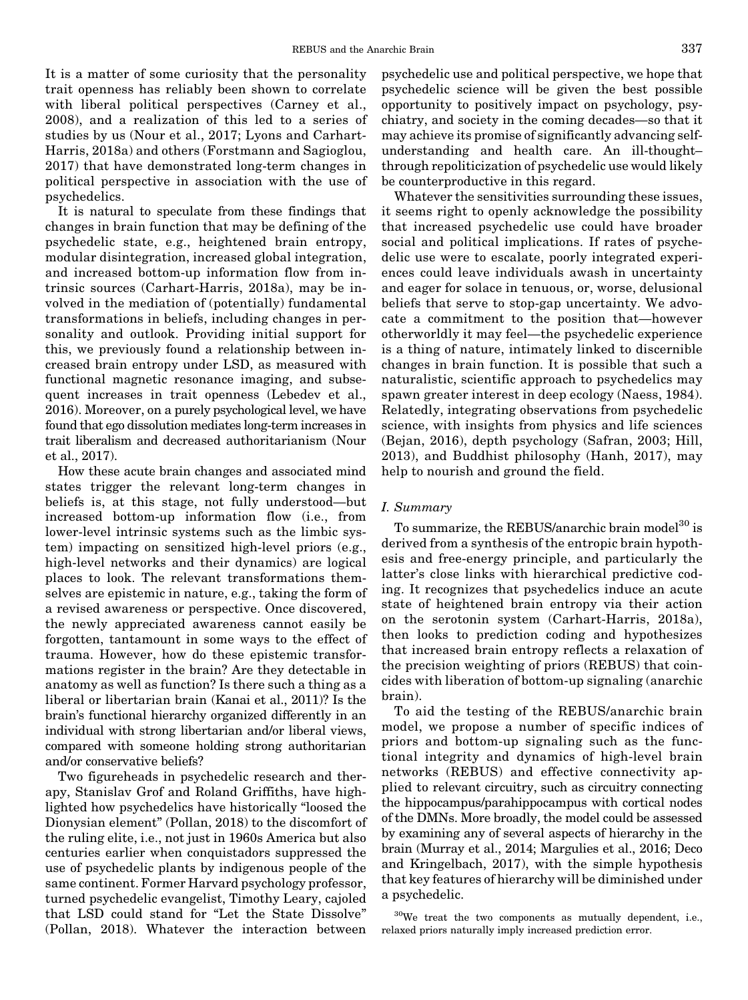<span id="page-21-0"></span>It is a matter of some curiosity that the personality trait openness has reliably been shown to correlate with liberal political perspectives (Carney et al., 2008), and a realization of this led to a series of studies by us (Nour et al., 2017; Lyons and Carhart-Harris, 2018a) and others (Forstmann and Sagioglou, 2017) that have demonstrated long-term changes in political perspective in association with the use of psychedelics.

It is natural to speculate from these findings that changes in brain function that may be defining of the psychedelic state, e.g., heightened brain entropy, modular disintegration, increased global integration, and increased bottom-up information flow from intrinsic sources (Carhart-Harris, 2018a), may be involved in the mediation of (potentially) fundamental transformations in beliefs, including changes in personality and outlook. Providing initial support for this, we previously found a relationship between increased brain entropy under LSD, as measured with functional magnetic resonance imaging, and subsequent increases in trait openness (Lebedev et al., 2016). Moreover, on a purely psychological level, we have found that ego dissolution mediates long-term increases in trait liberalism and decreased authoritarianism (Nour et al., 2017).

How these acute brain changes and associated mind states trigger the relevant long-term changes in beliefs is, at this stage, not fully understood—but increased bottom-up information flow (i.e., from lower-level intrinsic systems such as the limbic system) impacting on sensitized high-level priors (e.g., high-level networks and their dynamics) are logical places to look. The relevant transformations themselves are epistemic in nature, e.g., taking the form of a revised awareness or perspective. Once discovered, the newly appreciated awareness cannot easily be forgotten, tantamount in some ways to the effect of trauma. However, how do these epistemic transformations register in the brain? Are they detectable in anatomy as well as function? Is there such a thing as a liberal or libertarian brain (Kanai et al., 2011)? Is the brain's functional hierarchy organized differently in an individual with strong libertarian and/or liberal views, compared with someone holding strong authoritarian and/or conservative beliefs?

Two figureheads in psychedelic research and therapy, Stanislav Grof and Roland Griffiths, have highlighted how psychedelics have historically "loosed the Dionysian element" (Pollan, 2018) to the discomfort of the ruling elite, i.e., not just in 1960s America but also centuries earlier when conquistadors suppressed the use of psychedelic plants by indigenous people of the same continent. Former Harvard psychology professor, turned psychedelic evangelist, Timothy Leary, cajoled that LSD could stand for "Let the State Dissolve" (Pollan, 2018). Whatever the interaction between

psychedelic use and political perspective, we hope that psychedelic science will be given the best possible opportunity to positively impact on psychology, psychiatry, and society in the coming decades—so that it may achieve its promise of significantly advancing selfunderstanding and health care. An ill-thought– through repoliticization of psychedelic use would likely be counterproductive in this regard.

Whatever the sensitivities surrounding these issues, it seems right to openly acknowledge the possibility that increased psychedelic use could have broader social and political implications. If rates of psychedelic use were to escalate, poorly integrated experiences could leave individuals awash in uncertainty and eager for solace in tenuous, or, worse, delusional beliefs that serve to stop-gap uncertainty. We advocate a commitment to the position that—however otherworldly it may feel—the psychedelic experience is a thing of nature, intimately linked to discernible changes in brain function. It is possible that such a naturalistic, scientific approach to psychedelics may spawn greater interest in deep ecology (Naess, 1984). Relatedly, integrating observations from psychedelic science, with insights from physics and life sciences (Bejan, 2016), depth psychology (Safran, 2003; Hill, 2013), and Buddhist philosophy (Hanh, 2017), may help to nourish and ground the field.

### I. Summary

To summarize, the REBUS/anarchic brain model<sup>30</sup> is derived from a synthesis of the entropic brain hypothesis and free-energy principle, and particularly the latter's close links with hierarchical predictive coding. It recognizes that psychedelics induce an acute state of heightened brain entropy via their action on the serotonin system (Carhart-Harris, 2018a), then looks to prediction coding and hypothesizes that increased brain entropy reflects a relaxation of the precision weighting of priors (REBUS) that coincides with liberation of bottom-up signaling (anarchic brain).

To aid the testing of the REBUS/anarchic brain model, we propose a number of specific indices of priors and bottom-up signaling such as the functional integrity and dynamics of high-level brain networks (REBUS) and effective connectivity applied to relevant circuitry, such as circuitry connecting the hippocampus/parahippocampus with cortical nodes of the DMNs. More broadly, the model could be assessed by examining any of several aspects of hierarchy in the brain (Murray et al., 2014; Margulies et al., 2016; Deco and Kringelbach, 2017), with the simple hypothesis that key features of hierarchy will be diminished under a psychedelic.

 $30\text{We}$  treat the two components as mutually dependent, i.e., relaxed priors naturally imply increased prediction error.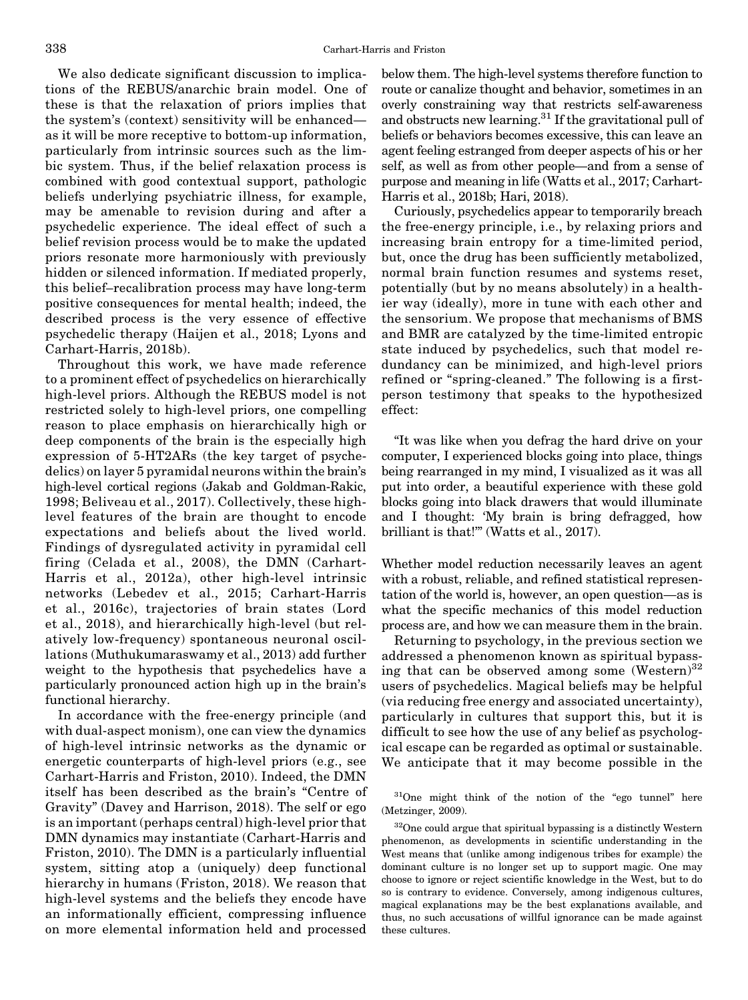We also dedicate significant discussion to implications of the REBUS/anarchic brain model. One of these is that the relaxation of priors implies that the system's (context) sensitivity will be enhanced as it will be more receptive to bottom-up information, particularly from intrinsic sources such as the limbic system. Thus, if the belief relaxation process is combined with good contextual support, pathologic beliefs underlying psychiatric illness, for example, may be amenable to revision during and after a psychedelic experience. The ideal effect of such a belief revision process would be to make the updated priors resonate more harmoniously with previously hidden or silenced information. If mediated properly, this belief–recalibration process may have long-term positive consequences for mental health; indeed, the described process is the very essence of effective psychedelic therapy (Haijen et al., 2018; Lyons and Carhart-Harris, 2018b).

Throughout this work, we have made reference to a prominent effect of psychedelics on hierarchically high-level priors. Although the REBUS model is not restricted solely to high-level priors, one compelling reason to place emphasis on hierarchically high or deep components of the brain is the especially high expression of 5-HT2ARs (the key target of psychedelics) on layer 5 pyramidal neurons within the brain's high-level cortical regions (Jakab and Goldman-Rakic, 1998; Beliveau et al., 2017). Collectively, these highlevel features of the brain are thought to encode expectations and beliefs about the lived world. Findings of dysregulated activity in pyramidal cell firing (Celada et al., 2008), the DMN (Carhart-Harris et al., 2012a), other high-level intrinsic networks (Lebedev et al., 2015; Carhart-Harris et al., 2016c), trajectories of brain states (Lord et al., 2018), and hierarchically high-level (but relatively low-frequency) spontaneous neuronal oscillations (Muthukumaraswamy et al., 2013) add further weight to the hypothesis that psychedelics have a particularly pronounced action high up in the brain's functional hierarchy.

In accordance with the free-energy principle (and with dual-aspect monism), one can view the dynamics of high-level intrinsic networks as the dynamic or energetic counterparts of high-level priors (e.g., see Carhart-Harris and Friston, 2010). Indeed, the DMN itself has been described as the brain's "Centre of Gravity" (Davey and Harrison, 2018). The self or ego is an important (perhaps central) high-level prior that DMN dynamics may instantiate (Carhart-Harris and Friston, 2010). The DMN is a particularly influential system, sitting atop a (uniquely) deep functional hierarchy in humans (Friston, 2018). We reason that high-level systems and the beliefs they encode have an informationally efficient, compressing influence on more elemental information held and processed

below them. The high-level systems therefore function to route or canalize thought and behavior, sometimes in an overly constraining way that restricts self-awareness and obstructs new learning.31 If the gravitational pull of beliefs or behaviors becomes excessive, this can leave an agent feeling estranged from deeper aspects of his or her self, as well as from other people—and from a sense of purpose and meaning in life (Watts et al., 2017; Carhart-Harris et al., 2018b; Hari, 2018).

Curiously, psychedelics appear to temporarily breach the free-energy principle, i.e., by relaxing priors and increasing brain entropy for a time-limited period, but, once the drug has been sufficiently metabolized, normal brain function resumes and systems reset, potentially (but by no means absolutely) in a healthier way (ideally), more in tune with each other and the sensorium. We propose that mechanisms of BMS and BMR are catalyzed by the time-limited entropic state induced by psychedelics, such that model redundancy can be minimized, and high-level priors refined or "spring-cleaned." The following is a firstperson testimony that speaks to the hypothesized effect:

"It was like when you defrag the hard drive on your computer, I experienced blocks going into place, things being rearranged in my mind, I visualized as it was all put into order, a beautiful experience with these gold blocks going into black drawers that would illuminate and I thought: 'My brain is bring defragged, how brilliant is that!'" (Watts et al., 2017).

Whether model reduction necessarily leaves an agent with a robust, reliable, and refined statistical representation of the world is, however, an open question—as is what the specific mechanics of this model reduction process are, and how we can measure them in the brain.

Returning to psychology, in the previous section we addressed a phenomenon known as spiritual bypassing that can be observed among some  $(Western)^{32}$ users of psychedelics. Magical beliefs may be helpful (via reducing free energy and associated uncertainty), particularly in cultures that support this, but it is difficult to see how the use of any belief as psychological escape can be regarded as optimal or sustainable. We anticipate that it may become possible in the

31One might think of the notion of the "ego tunnel" here (Metzinger, 2009).

 $32$ One could argue that spiritual bypassing is a distinctly Western phenomenon, as developments in scientific understanding in the West means that (unlike among indigenous tribes for example) the dominant culture is no longer set up to support magic. One may choose to ignore or reject scientific knowledge in the West, but to do so is contrary to evidence. Conversely, among indigenous cultures, magical explanations may be the best explanations available, and thus, no such accusations of willful ignorance can be made against these cultures.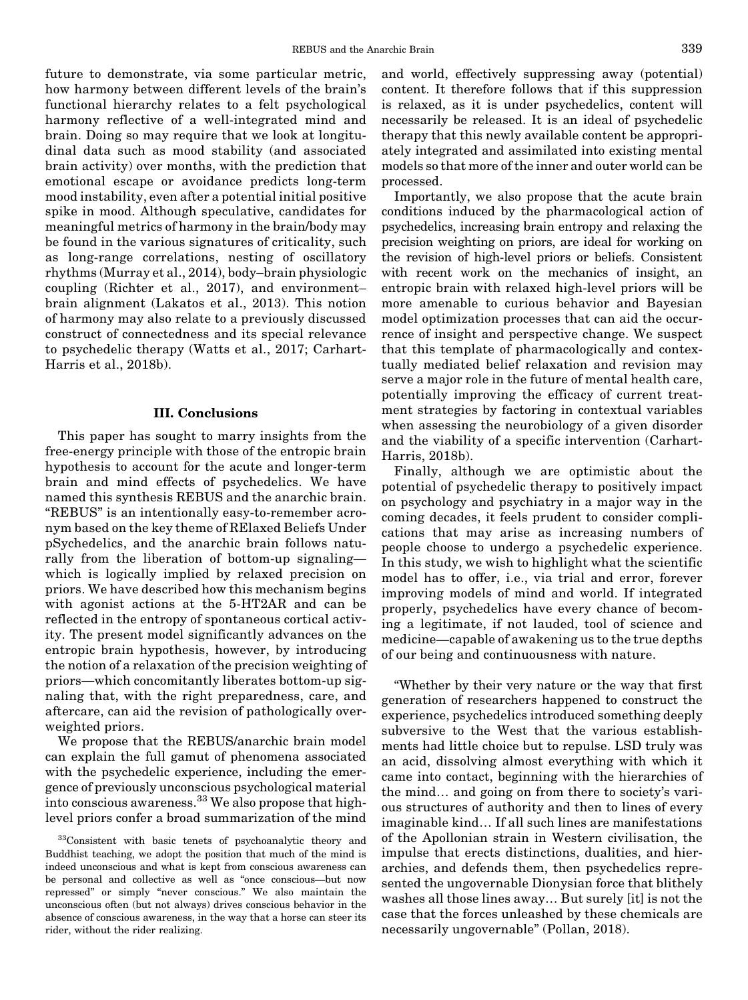<span id="page-23-0"></span>future to demonstrate, via some particular metric, how harmony between different levels of the brain's functional hierarchy relates to a felt psychological harmony reflective of a well-integrated mind and brain. Doing so may require that we look at longitudinal data such as mood stability (and associated brain activity) over months, with the prediction that emotional escape or avoidance predicts long-term mood instability, even after a potential initial positive spike in mood. Although speculative, candidates for meaningful metrics of harmony in the brain/body may be found in the various signatures of criticality, such as long-range correlations, nesting of oscillatory rhythms (Murray et al., 2014), body–brain physiologic coupling (Richter et al., 2017), and environment– brain alignment (Lakatos et al., 2013). This notion of harmony may also relate to a previously discussed construct of connectedness and its special relevance to psychedelic therapy (Watts et al., 2017; Carhart-Harris et al., 2018b).

### III. Conclusions

This paper has sought to marry insights from the free-energy principle with those of the entropic brain hypothesis to account for the acute and longer-term brain and mind effects of psychedelics. We have named this synthesis REBUS and the anarchic brain. "REBUS" is an intentionally easy-to-remember acronym based on the key theme of RElaxed Beliefs Under pSychedelics, and the anarchic brain follows naturally from the liberation of bottom-up signaling which is logically implied by relaxed precision on priors. We have described how this mechanism begins with agonist actions at the 5-HT2AR and can be reflected in the entropy of spontaneous cortical activity. The present model significantly advances on the entropic brain hypothesis, however, by introducing the notion of a relaxation of the precision weighting of priors—which concomitantly liberates bottom-up signaling that, with the right preparedness, care, and aftercare, can aid the revision of pathologically overweighted priors.

We propose that the REBUS/anarchic brain model can explain the full gamut of phenomena associated with the psychedelic experience, including the emergence of previously unconscious psychological material into conscious awareness.<sup>33</sup> We also propose that highlevel priors confer a broad summarization of the mind and world, effectively suppressing away (potential) content. It therefore follows that if this suppression is relaxed, as it is under psychedelics, content will necessarily be released. It is an ideal of psychedelic therapy that this newly available content be appropriately integrated and assimilated into existing mental models so that more of the inner and outer world can be processed.

Importantly, we also propose that the acute brain conditions induced by the pharmacological action of psychedelics, increasing brain entropy and relaxing the precision weighting on priors, are ideal for working on the revision of high-level priors or beliefs. Consistent with recent work on the mechanics of insight, an entropic brain with relaxed high-level priors will be more amenable to curious behavior and Bayesian model optimization processes that can aid the occurrence of insight and perspective change. We suspect that this template of pharmacologically and contextually mediated belief relaxation and revision may serve a major role in the future of mental health care, potentially improving the efficacy of current treatment strategies by factoring in contextual variables when assessing the neurobiology of a given disorder and the viability of a specific intervention (Carhart-Harris, 2018b).

Finally, although we are optimistic about the potential of psychedelic therapy to positively impact on psychology and psychiatry in a major way in the coming decades, it feels prudent to consider complications that may arise as increasing numbers of people choose to undergo a psychedelic experience. In this study, we wish to highlight what the scientific model has to offer, i.e., via trial and error, forever improving models of mind and world. If integrated properly, psychedelics have every chance of becoming a legitimate, if not lauded, tool of science and medicine—capable of awakening us to the true depths of our being and continuousness with nature.

"Whether by their very nature or the way that first generation of researchers happened to construct the experience, psychedelics introduced something deeply subversive to the West that the various establishments had little choice but to repulse. LSD truly was an acid, dissolving almost everything with which it came into contact, beginning with the hierarchies of the mind… and going on from there to society's various structures of authority and then to lines of every imaginable kind… If all such lines are manifestations of the Apollonian strain in Western civilisation, the impulse that erects distinctions, dualities, and hierarchies, and defends them, then psychedelics represented the ungovernable Dionysian force that blithely washes all those lines away… But surely [it] is not the case that the forces unleashed by these chemicals are necessarily ungovernable" (Pollan, 2018).

<sup>&</sup>lt;sup>33</sup>Consistent with basic tenets of psychoanalytic theory and Buddhist teaching, we adopt the position that much of the mind is indeed unconscious and what is kept from conscious awareness can be personal and collective as well as "once conscious—but now repressed" or simply "never conscious." We also maintain the unconscious often (but not always) drives conscious behavior in the absence of conscious awareness, in the way that a horse can steer its rider, without the rider realizing.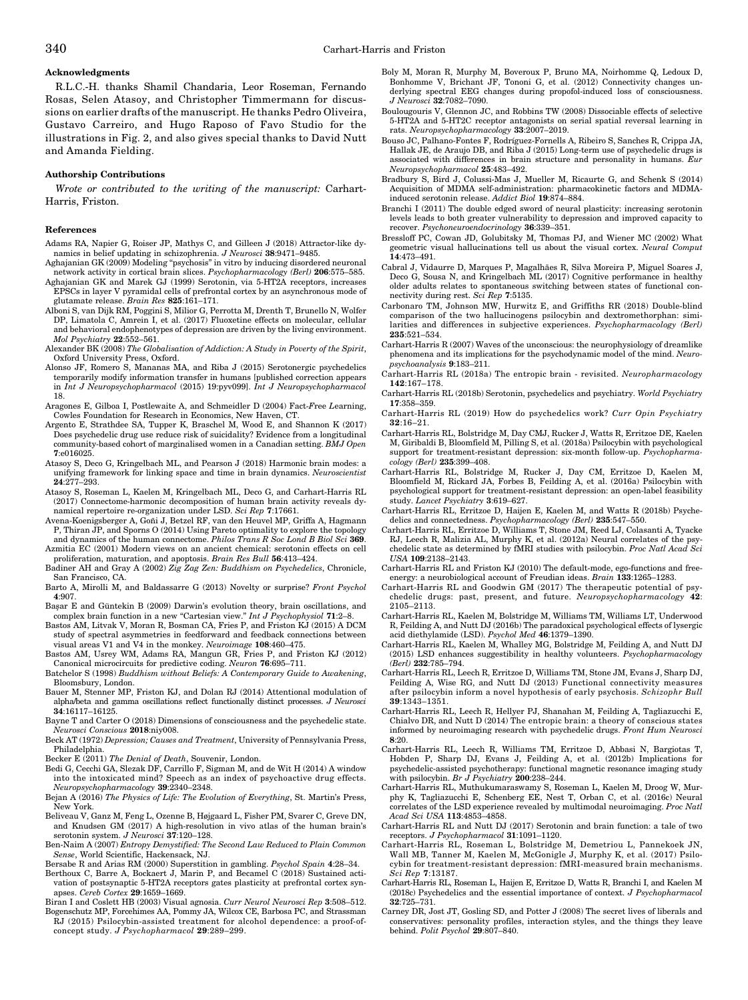#### <span id="page-24-0"></span>Acknowledgments

R.L.C.-H. thanks Shamil Chandaria, Leor Roseman, Fernando Rosas, Selen Atasoy, and Christopher Timmermann for discussions on earlier drafts of the manuscript. He thanks Pedro Oliveira, Gustavo Carreiro, and Hugo Raposo of Favo Studio for the illustrations in Fig. 2, and also gives special thanks to David Nutt and Amanda Fielding.

#### Authorship Contributions

Wrote or contributed to the writing of the manuscript: Carhart-Harris, Friston.

#### References

- Adams RA, Napier G, Roiser JP, Mathys C, and Gilleen J (2018) Attractor-like dynamics in belief updating in schizophrenia. J Neurosci 38:9471–9485.
- Aghajanian GK (2009) Modeling "psychosis" in vitro by inducing disordered neuronal network activity in cortical brain slices. Psychopharmacology (Berl) 206:575–585.
- Aghajanian GK and Marek GJ (1999) Serotonin, via 5-HT2A receptors, increases EPSCs in layer V pyramidal cells of prefrontal cortex by an asynchronous mode of<br>glutamate release. *Brain Res* **825**:161–171.
- Alboni S, van Dijk RM, Poggini S, Milior G, Perrotta M, Drenth T, Brunello N, Wolfer DP, Limatola C, Amrein I, et al. (2017) Fluoxetine effects on molecular, cellular and behavioral endophenotypes of depression are driven by the living environment. Mol Psychiatry 22:552–561.
- Alexander BK (2008) The Globalisation of Addiction: A Study in Poverty of the Spirit, Oxford University Press, Oxford.
- Alonso JF, Romero S, Mananas MA, and Riba J (2015) Serotonergic psychedelics temporarily modify information transfer in humans [published correction appears in Int J Neuropsychopharmacol (2015) 19:pyv099]. Int J Neuropsychopharmacol 18.
- Aragones E, Gilboa I, Postlewaite A, and Schmeidler D (2004) Fact-Free Learning, Cowles Foundation for Research in Economics, New Haven, CT.
- Argento E, Strathdee SA, Tupper K, Braschel M, Wood E, and Shannon K (2017) Does psychedelic drug use reduce risk of suicidality? Evidence from a longitudinal community-based cohort of marginalised women in a Canadian setting. BMJ Open 7:e016025.
- Atasoy S, Deco G, Kringelbach ML, and Pearson J (2018) Harmonic brain modes: a unifying framework for linking space and time in brain dynamics. Neuroscientist 24:277–293.
- Atasoy S, Roseman L, Kaelen M, Kringelbach ML, Deco G, and Carhart-Harris RL (2017) Connectome-harmonic decomposition of human brain activity reveals dynamical repertoire re-organization under LSD. Sci Rep 7:17661.
- Avena-Koenigsberger A, Goñi J, Betzel RF, van den Heuvel MP, Griffa A, Hagmann P, Thiran JP, and Sporns O (2014) Using Pareto optimality to explore the topology and dynamics of the human connectome. Philos Trans R Soc Lond B Biol Sci 369.
- Azmitia EC (2001) Modern views on an ancient chemical: serotonin effects on cell proliferation, maturation, and apoptosis. Brain Res Bull 56:413–424.
- Badiner AH and Gray A (2002) Zig Zag Zen: Buddhism on Psychedelics, Chronicle, San Francisco, CA.
- Barto A, Mirolli M, and Baldassarre G (2013) Novelty or surprise? Front Psychol 4:907.
- Başar E and Güntekin B (2009) Darwin's evolution theory, brain oscillations, and complex brain function in a new "Cartesian view." Int J Psychophysiol 71:2-8.
- Bastos AM, Litvak V, Moran R, Bosman CA, Fries P, and Friston KJ (2015) A DCM study of spectral asymmetries in feedforward and feedback connections between visual areas V1 and V4 in the monkey. Neuroimage 108:460–475.
- Bastos AM, Usrey WM, Adams RA, Mangun GR, Fries P, and Friston KJ (2012) Canonical microcircuits for predictive coding. Neuron 76:695–711.
- Batchelor S (1998) Buddhism without Beliefs: A Contemporary Guide to Awakening, Bloomsbury, London.
- Bauer M, Stenner MP, Friston KJ, and Dolan RJ (2014) Attentional modulation of alpha/beta and gamma oscillations reflect functionally distinct processes. J Neurosci 34:16117–16125.
- Bayne T and Carter O (2018) Dimensions of consciousness and the psychedelic state. Neurosci Conscious 2018:niy008.
- Beck AT (1972) Depression; Causes and Treatment, University of Pennsylvania Press, Philadelphia.
- Becker E (2011) The Denial of Death, Souvenir, London.
- Bedi G, Cecchi GA, Slezak DF, Carrillo F, Sigman M, and de Wit H (2014) A window into the intoxicated mind? Speech as an index of psychoactive drug effects. Neuropsychopharmacology 39:2340–2348.
- Bejan  $\overrightarrow{A}$  (2016) The Physics of Life: The Evolution of Everything, St. Martin's Press, New York.
- Beliveau V, Ganz M, Feng L, Ozenne B, Højgaard L, Fisher PM, Svarer C, Greve DN, and Knudsen GM (2017) A high-resolution in vivo atlas of the human brain's serotonin system. J Neurosci 37:120-128.
- Ben-Naim A (2007) Entropy Demystified: The Second Law Reduced to Plain Common Sense, World Scientific, Hackensack, NJ.
- Bersabe R and Arias RM (2000) Superstition in gambling. Psychol Spain 4:28–34.
- Berthoux C, Barre A, Bockaert J, Marin P, and Becamel C (2018) Sustained activation of postsynaptic 5-HT2A receptors gates plasticity at prefrontal cortex synapses. Cereb Cortex 29:1659–1669.
- Biran I and Coslett HB (2003) Visual agnosia. Curr Neurol Neurosci Rep 3:508–512.
- Bogenschutz MP, Forcehimes AA, Pommy JA, Wilcox CE, Barbosa PC, and Strassman RJ (2015) Psilocybin-assisted treatment for alcohol dependence: a proof-ofconcept study. J Psychopharmacol 29:289–299.
- Boly M, Moran R, Murphy M, Boveroux P, Bruno MA, Noirhomme Q, Ledoux D, Bonhomme V, Brichant JF, Tononi G, et al. (2012) Connectivity changes underlying spectral EEG changes during propofol-induced loss of consciousness. J Neurosci 32:7082–7090.
- Boulougouris V, Glennon JC, and Robbins TW (2008) Dissociable effects of selective 5-HT2A and 5-HT2C receptor antagonists on serial spatial reversal learning in rats. Neuropsychopharmacology 33:2007–2019.
- Bouso JC, Palhano-Fontes F, Rodríguez-Fornells A, Ribeiro S, Sanches R, Crippa JA, Hallak JE, de Araujo DB, and Riba J (2015) Long-term use of psychedelic drugs is associated with differences in brain structure and personality in humans. Eur Neuropsychopharmacol 25:483–492.
- Bradbury S, Bird J, Colussi-Mas J, Mueller M, Ricaurte G, and Schenk S (2014) Acquisition of MDMA self-administration: pharmacokinetic factors and MDMAinduced serotonin release. Addict Biol 19:874–884.
- Branchi I (2011) The double edged sword of neural plasticity: increasing serotonin levels leads to both greater vulnerability to depression and improved capacity to recover. Psychoneuroendocrinology 36:339–351.
- Bressloff PC, Cowan JD, Golubitsky M, Thomas PJ, and Wiener MC (2002) What geometric visual hallucinations tell us about the visual cortex. Neural Comput 14:473–491.
- Cabral J, Vidaurre D, Marques P, Magalhães R, Silva Moreira P, Miguel Soares J, Deco G, Sousa N, and Kringelbach ML (2017) Cognitive performance in healthy older adults relates to spontaneous switching between states of functional connectivity during rest. Sci Rep 7:5135.
- Carbonaro TM, Johnson MW, Hurwitz E, and Griffiths RR (2018) Double-blind comparison of the two hallucinogens psilocybin and dextromethorphan: similarities and differences in subjective experiences. Psychopharmacology (Berl) 235:521–534.
- Carhart-Harris R (2007) Waves of the unconscious: the neurophysiology of dreamlike phenomena and its implications for the psychodynamic model of the mind. Neuropsychoanalysis 9:183–211.
- Carhart-Harris RL (2018a) The entropic brain revisited. Neuropharmacology 142:167–178.
- Carhart-Harris RL (2018b) Serotonin, psychedelics and psychiatry. World Psychiatry 17:358–359.
- Carhart-Harris RL (2019) How do psychedelics work? Curr Opin Psychiatry 32:16–21.
- Carhart-Harris RL, Bolstridge M, Day CMJ, Rucker J, Watts R, Erritzoe DE, Kaelen M, Giribaldi B, Bloomfield M, Pilling S, et al. (2018a) Psilocybin with psychological support for treatment-resistant depression: six-month follow-up. Psychopharmacology (Berl) 235:399–408.
- Carhart-Harris RL, Bolstridge M, Rucker J, Day CM, Erritzoe D, Kaelen M, Bloomfield M, Rickard JA, Forbes B, Feilding A, et al. (2016a) Psilocybin with psychological support for treatment-resistant depression: an open-label feasibility study. Lancet Psychiatry 3:619–627.
- Carhart-Harris RL, Erritzoe D, Haijen E, Kaelen M, and Watts R (2018b) Psychedelics and connectedness. Psychopharmacology (Berl) 235:547–550.
- Carhart-Harris RL, Erritzoe D, Williams T, Stone JM, Reed LJ, Colasanti A, Tyacke RJ, Leech R, Malizia AL, Murphy K, et al. (2012a) Neural correlates of the psychedelic state as determined by fMRI studies with psilocybin. Proc Natl Acad Sci USA 109:2138–2143.
- Carhart-Harris RL and Friston KJ (2010) The default-mode, ego-functions and freeenergy: a neurobiological account of Freudian ideas. Brain 133:1265–1283.
- Carhart-Harris RL and Goodwin GM (2017) The therapeutic potential of psychedelic drugs: past, present, and future. Neuropsychopharmacology 42: 2105–2113.
- Carhart-Harris RL, Kaelen M, Bolstridge M, Williams TM, Williams LT, Underwood R, Feilding A, and Nutt DJ (2016b) The paradoxical psychological effects of lysergic acid diethylamide (LSD). Psychol Med 46:1379–1390.
- Carhart-Harris RL, Kaelen M, Whalley MG, Bolstridge M, Feilding A, and Nutt DJ (2015) LSD enhances suggestibility in healthy volunteers. Psychopharmacology (Berl) 232:785–794.
- Carhart-Harris RL, Leech R, Erritzoe D, Williams TM, Stone JM, Evans J, Sharp DJ, Feilding A, Wise RG, and Nutt DJ (2013) Functional connectivity measures after psilocybin inform a novel hypothesis of early psychosis. Schizophr Bull 39:1343–1351.
- Carhart-Harris RL, Leech R, Hellyer PJ, Shanahan M, Feilding A, Tagliazucchi E, Chialvo DR, and Nutt D (2014) The entropic brain: a theory of conscious states informed by neuroimaging research with psychedelic drugs. Front Hum Neurosci
- 8:20. Carhart-Harris RL, Leech R, Williams TM, Erritzoe D, Abbasi N, Bargiotas T, Hobden P, Sharp DJ, Evans J, Feilding A, et al. (2012b) Implications for psychedelic-assisted psychotherapy: functional magnetic resonance imaging study with psilocybin. Br J Psychiatry 200:238–244.
- Carhart-Harris RL, Muthukumaraswamy S, Roseman L, Kaelen M, Droog W, Murphy K, Tagliazucchi E, Schenberg EE, Nest T, Orban C, et al. (2016c) Neural correlates of the LSD experience revealed by multimodal neuroimaging. Proc Natl Acad Sci USA 113:4853–4858.
- Carhart-Harris RL and Nutt DJ (2017) Serotonin and brain function: a tale of two receptors. J Psychopharmacol 31:1091–1120.
- Carhart-Harris RL, Roseman L, Bolstridge M, Demetriou L, Pannekoek JN, Wall MB, Tanner M, Kaelen M, McGonigle J, Murphy K, et al. (2017) Psilocybin for treatment-resistant depression: fMRI-measured brain mechanisms. Sci Rep 7:13187.
- Carhart-Harris RL, Roseman L, Haijen E, Erritzoe D, Watts R, Branchi I, and Kaelen M (2018c) Psychedelics and the essential importance of context. J Psychopharmacol 32:725–731.
- Carney DR, Jost JT, Gosling SD, and Potter J (2008) The secret lives of liberals and conservatives: personality profiles, interaction styles, and the things they leave behind. Polit Psychol 29:807–840.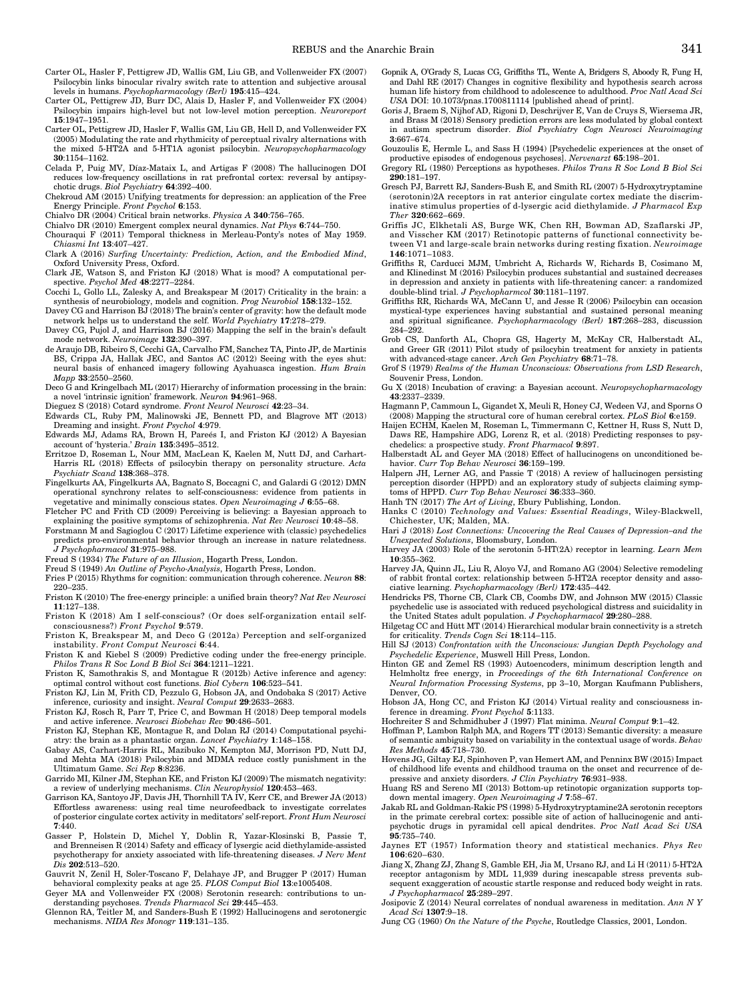- Carter OL, Hasler F, Pettigrew JD, Wallis GM, Liu GB, and Vollenweider FX (2007) Psilocybin links binocular rivalry switch rate to attention and subjective arousal levels in humans. Psychopharmacology (Berl) 195:415–424.
- Carter OL, Pettigrew JD, Burr DC, Alais D, Hasler F, and Vollenweider FX (2004) Psilocybin impairs high-level but not low-level motion perception. Neuroreport 15:1947–1951.
- Carter OL, Pettigrew JD, Hasler F, Wallis GM, Liu GB, Hell D, and Vollenweider FX (2005) Modulating the rate and rhythmicity of perceptual rivalry alternations with the mixed 5-HT2A and 5-HT1A agonist psilocybin. Neuropsychopharmacology 30:1154–1162.
- Celada P, Puig MV, Díaz-Mataix L, and Artigas F (2008) The hallucinogen DOI reduces low-frequency oscillations in rat prefrontal cortex: reversal by antipsychotic drugs. Biol Psychiatry 64:392–400.
- Chekroud AM (2015) Unifying treatments for depression: an application of the Free Energy Principle. Front Psychol 6:153.
- Chialvo DR (2004) Critical brain networks. Physica A 340:756–765.
- Chialvo DR (2010) Emergent complex neural dynamics. Nat Phys 6:744–750.
- Chouraqui F (2011) Temporal thickness in Merleau-Ponty's notes of May 1959. Chiasmi Int 13:407–427. Clark A (2016) Surfing Uncertainty: Prediction, Action, and the Embodied Mind,
- Oxford University Press, Oxford.
- Clark JE, Watson S, and Friston KJ (2018) What is mood? A computational perspective. Psychol Med 48:2277–2284.
- Cocchi L, Gollo LL, Zalesky A, and Breakspear M (2017) Criticality in the brain: a synthesis of neurobiology, models and cognition. Prog Neurobiol 158:132-152.<br>Davey CG and Harrison BJ (2018) The brain's center of gravity: how the default mode
- network helps us to understand the self. World Psychiatry 17:278–279.
- Davey CG, Pujol J, and Harrison BJ (2016) Mapping the self in the brain's default mode network. Neuroimage 132:390–397.
- de Araujo DB, Ribeiro S, Cecchi GA, Carvalho FM, Sanchez TA, Pinto JP, de Martinis BS, Crippa JA, Hallak JEC, and Santos AC (2012) Seeing with the eyes shut:<br>neural basis of enhanced imagery following Ayahuasca ingestion. *Hum Brain* Mapp 33:2550–2560.
- Deco  $\hat{G}$  and Kringelbach ML (2017) Hierarchy of information processing in the brain: a novel 'intrinsic ignition' framework. Neuron 94:961–968.
- Dieguez S (2018) Cotard syndrome. Front Neurol Neurosci 42:23–34.
- Edwards CL, Ruby PM, Malinowski JE, Bennett PD, and Blagrove MT (2013) Dreaming and insight. Front Psychol 4:979.
- Edwards MJ, Adams RA, Brown H, Pareés I, and Friston KJ (2012) A Bayesian account of 'hysteria.' Brain 135:3495–3512.
- Erritzoe D, Roseman L, Nour MM, MacLean K, Kaelen M, Nutt DJ, and Carhart-Harris RL (2018) Effects of psilocybin therapy on personality structure. Acta Psychiatr Scand 138:368–378.
- Fingelkurts AA, Fingelkurts AA, Bagnato S, Boccagni C, and Galardi G (2012) DMN operational synchrony relates to self-consciousness: evidence from patients in vegetative and minimally conscious states. Open Neuroimaging J 6:55-68.
- Fletcher PC and Frith CD (2009) Perceiving is believing: a Bayesian approach to
- explaining the positive symptoms of schizophrenia. *Nat Rev Neurosci* 10:48–58.<br>Forstmann M and Sagioglou C (2017) Lifetime experience with (classic) psychedelics predicts pro-environmental behavior through an increase in nature relatedness. J Psychopharmacol 31:975–988.
- Freud S (1934) The Future of an Illusion, Hogarth Press, London.
- Freud S (1949) An Outline of Psycho-Analysis, Hogarth Press, London.
- Fries P (2015) Rhythms for cognition: communication through coherence. Neuron 88: 220–235.
- Friston K (2010) The free-energy principle: a unified brain theory? Nat Rev Neurosci 11:127–138. Friston K (2018) Am I self-conscious? (Or does self-organization entail self-
- consciousness?) Front Psychol 9:579. Friston K, Breakspear M, and Deco G (2012a) Perception and self-organized
- instability. Front Comput Neurosci 6:44. Friston K and Kiebel S (2009) Predictive coding under the free-energy principle.
- Philos Trans R Soc Lond B Biol Sci 364:1211–1221. Friston K, Samothrakis S, and Montague R (2012b) Active inference and agency:
- optimal control without cost functions. Biol Cybern 106:523–541. Friston KJ, Lin M, Frith CD, Pezzulo G, Hobson JA, and Ondobaka S (2017) Active
- inference, curiosity and insight. Neural Comput 29:2633–2683.
- Friston KJ, Rosch R, Parr T, Price C, and Bowman H (2018) Deep temporal models and active inference. Neurosci Biobehav Rev 90:486–501. Friston KJ, Stephan KE, Montague R, and Dolan RJ (2014) Computational psychi-
- atry: the brain as a phantastic organ. Lancet Psychiatry 1:148–158.
- Gabay AS, Carhart-Harris RL, Mazibuko N, Kempton MJ, Morrison PD, Nutt DJ, and Mehta MA (2018) Psilocybin and MDMA reduce costly punishment in the Ultimatum Game. Sci Rep 8:8236.
- Garrido MI, Kilner JM, Stephan KE, and Friston KJ (2009) The mismatch negativity: a review of underlying mechanisms. Clin Neurophysiol 120:453–463. Garrison KA, Santoyo JF, Davis JH, Thornhill TA IV, Kerr CE, and Brewer JA (2013)
- Effortless awareness: using real time neurofeedback to investigate correlates of posterior cingulate cortex activity in meditators' self-report. Front Hum Neurosci 7:440.
- Gasser P, Holstein D, Michel Y, Doblin R, Yazar-Klosinski B, Passie T, and Brenneisen R (2014) Safety and efficacy of lysergic acid diethylamide-assisted psychotherapy for anxiety associated with life-threatening diseases. J Nerv Ment Dis 202:513–520.
- Gauvrit N, Zenil H, Soler-Toscano F, Delahaye JP, and Brugger P (2017) Human behavioral complexity peaks at age 25. PLOS Comput Biol 13:e1005408.
- Geyer MA and Vollenweider FX (2008) Serotonin research: contributions to understanding psychoses. Trends Pharmacol Sci 29:445–453.
- Glennon RA, Teitler M, and Sanders-Bush E (1992) Hallucinogens and serotonergic mechanisms. NIDA Res Monogr 119:131–135.
- Gopnik A, O'Grady S, Lucas CG, Griffiths TL, Wente A, Bridgers S, Aboody R, Fung H, and Dahl RE (2017) Changes in cognitive flexibility and hypothesis search across human life history from childhood to adolescence to adulthood. Proc Natl Acad Sci USA DOI: [10.1073/pnas.1700811114](http://doi.org/10.1073/pnas.1700811114) [published ahead of print].
- Goris J, Braem S, Nijhof AD, Rigoni D, Deschrijver E, Van de Cruys S, Wiersema JR, and Brass M (2018) Sensory prediction errors are less modulated by global context in autism spectrum disorder. Biol Psychiatry Cogn Neurosci Neuroimaging 3:667–674.
- Gouzoulis E, Hermle L, and Sass H (1994) [Psychedelic experiences at the onset of productive episodes of endogenous psychoses]. Nervenarzt 65:198–201.
- Gregory RL (1980) Perceptions as hypotheses. Philos Trans R Soc Lond B Biol Sci 290:181–197.
- Gresch PJ, Barrett RJ, Sanders-Bush E, and Smith RL (2007) 5-Hydroxytryptamine (serotonin)2A receptors in rat anterior cingulate cortex mediate the discriminative stimulus properties of d-lysergic acid diethylamide. J Pharmacol Exp Ther 320:662–669.
- Griffis JC, Elkhetali AS, Burge WK, Chen RH, Bowman AD, Szaflarski JP, and Visscher KM (2017) Retinotopic patterns of functional connectivity between V1 and large-scale brain networks during resting fixation. Neuroimage 146:1071–1083.
- Griffiths R, Carducci MJM, Umbricht A, Richards W, Richards B, Cosimano M, and Klinedinst M (2016) Psilocybin produces substantial and sustained decreases in depression and anxiety in patients with life-threatening cancer: a randomized double-blind trial. J Psychopharmcol 30:1181–1197.
- Griffiths RR, Richards WA, McCann U, and Jesse R (2006) Psilocybin can occasion mystical-type experiences having substantial and sustained personal meaning and spiritual significance. Psychopharmacology (Berl) 187:268–283, discussion 284–292.
- Grob CS, Danforth AL, Chopra GS, Hagerty M, McKay CR, Halberstadt AL, and Greer GR (2011) Pilot study of psilocybin treatment for anxiety in patients with advanced-stage cancer. Arch Gen Psychiatry 68:71-78.
- Grof S (1979) Realms of the Human Unconscious: Observations from LSD Research, Souvenir Press, London.
- Gu X (2018) Incubation of craving: a Bayesian account. Neuropsychopharmacology 43:2337–2339.
- Hagmann P, Cammoun L, Gigandet X, Meuli R, Honey CJ, Wedeen VJ, and Sporns O (2008) Mapping the structural core of human cerebral cortex. PLoS Biol 6:e159.
- Haijen ECHM, Kaelen M, Roseman L, Timmermann C, Kettner H, Russ S, Nutt D, Daws RE, Hampshire ADG, Lorenz R, et al. (2018) Predicting responses to psychedelics: a prospective study. Front Pharmacol 9:897.
- Halberstadt AL and Geyer MA (2018) Effect of hallucinogens on unconditioned behavior. Curr Top Behav Neurosci 36:159–199.
- Halpern JH, Lerner AG, and Passie T (2018) A review of hallucinogen persisting perception disorder (HPPD) and an exploratory study of subjects claiming symptoms of HPPD. Curr Top Behav Neurosci 36:333–360.
- Hanh TN (2017) The Art of Living, Ebury Publishing, London.
- Hanks C (2010) Technology and Values: Essential Readings, Wiley-Blackwell,
- Chichester, UK; Malden, MA.<br>Hari J (2018) Lost Connections: Uncovering the Real Causes of Depression–and the Unexpected Solutions, Bloomsbury, London.
- Harvey JA (2003) Role of the serotonin 5-HT(2A) receptor in learning. Learn Mem 10:355–362.
- Harvey JA, Quinn JL, Liu R, Aloyo VJ, and Romano AG (2004) Selective remodeling of rabbit frontal cortex: relationship between 5-HT2A receptor density and asso-
- ciative learning. Psychopharmacology (Berl) 172:435–442. Hendricks PS, Thorne CB, Clark CB, Coombs DW, and Johnson MW (2015) Classic psychedelic use is associated with reduced psychological distress and suicidality in the United States adult population. J Psychopharmacol 29:280–288.
- Hilgetag CC and Hütt MT (2014) Hierarchical modular brain connectivity is a stretch for criticality. Trends Cogn Sci 18:114–115.
- Hill SJ (2013) Confrontation with the Unconscious: Jungian Depth Psychology and Psychedelic Experience, Muswell Hill Press, London.
- Hinton GE and Zemel RS (1993) Autoencoders, minimum description length and Helmholtz free energy, in Proceedings of the 6th International Conference on Neural Information Processing Systems, pp 3–10, Morgan Kaufmann Publishers, Denver, CO.
- Hobson JA, Hong CC, and Friston KJ (2014) Virtual reality and consciousness inference in dreaming. Front Psychol 5:1133.
- Hochreiter S and Schmidhuber J (1997) Flat minima. Neural Comput 9:1–42.
- Hoffman P, Lambon Ralph MA, and Rogers TT (2013) Semantic diversity: a measure of semantic ambiguity based on variability in the contextual usage of words. Behav Res Methods 45:718–730.
- Hovens JG, Giltay EJ, Spinhoven P, van Hemert AM, and Penninx BW (2015) Impact of childhood life events and childhood trauma on the onset and recurrence of depressive and anxiety disorders. J Clin Psychiatry 76:931–938.
- Huang RS and Sereno MI (2013) Bottom-up retinotopic organization supports topdown mental imagery. Open Neuroimaging J 7:58-67.
- Jakab RL and Goldman-Rakic PS (1998) 5-Hydroxytryptamine2A serotonin receptors in the primate cerebral cortex: possible site of action of hallucinogenic and antipsychotic drugs in pyramidal cell apical dendrites. Proc Natl Acad Sci USA 95:735–740.
- Jaynes ET (1957) Information theory and statistical mechanics. Phys Rev 106:620–630.
- Jiang X, Zhang ZJ, Zhang S, Gamble EH, Jia M, Ursano RJ, and Li H (2011) 5-HT2A receptor antagonism by MDL 11,939 during inescapable stress prevents subsequent exaggeration of acoustic startle response and reduced body weight in rats. J Psychopharmacol 25:289–297.
- Josipovic  $Z(2014)$  Neural correlates of nondual awareness in meditation. Ann N Y Acad Sci 1307:9–18.
- Jung CG (1960) On the Nature of the Psyche, Routledge Classics, 2001, London.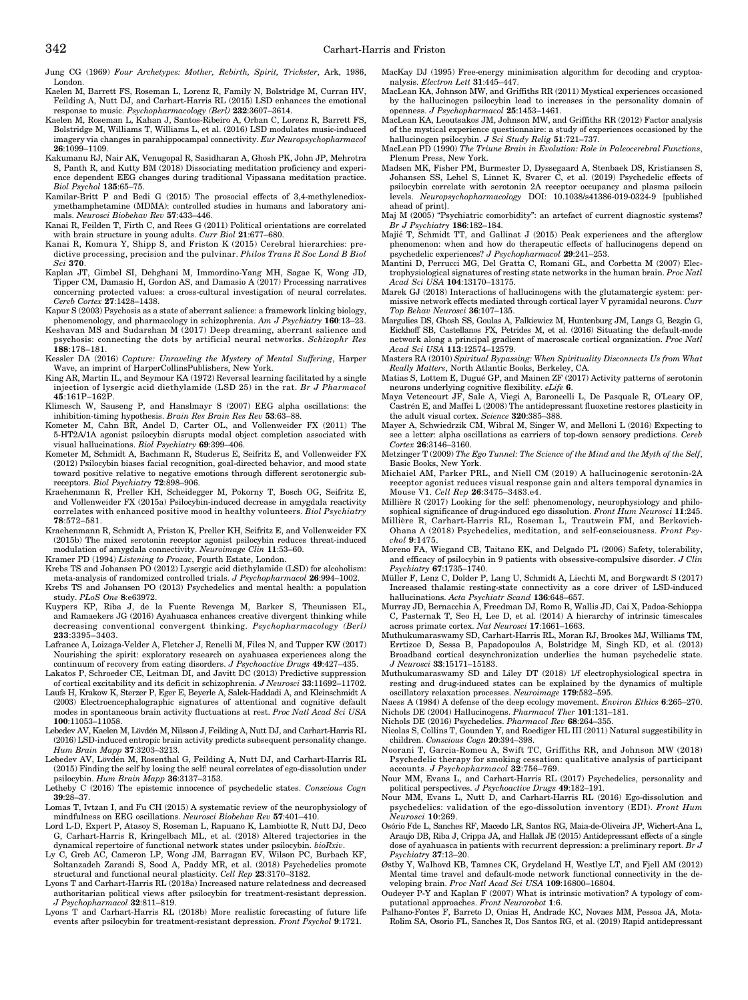Jung CG (1969) Four Archetypes: Mother, Rebirth, Spirit, Trickster, Ark, 1986, London.

- Kaelen M, Barrett FS, Roseman L, Lorenz R, Family N, Bolstridge M, Curran HV, Feilding A, Nutt DJ, and Carhart-Harris RL (2015) LSD enhances the emotional response to music. Psychopharmacology (Berl) 232:3607–3614.
- Kaelen M, Roseman L, Kahan J, Santos-Ribeiro A, Orban C, Lorenz R, Barrett FS, Bolstridge M, Williams T, Williams L, et al. (2016) LSD modulates music-induced imagery via changes in parahippocampal connectivity. Eur Neuropsychopharmacol 26:1099–1109.
- Kakumanu RJ, Nair AK, Venugopal R, Sasidharan A, Ghosh PK, John JP, Mehrotra S, Panth R, and Kutty BM (2018) Dissociating meditation proficiency and experience dependent EEG changes during traditional Vipassana meditation practice. Biol Psychol 135:65–75.
- Kamilar-Britt P and Bedi G (2015) The prosocial effects of 3,4-methylenedioxymethamphetamine (MDMA): controlled studies in humans and laboratory animals. Neurosci Biobehav Rev 57:433–446.
- Kanai R, Feilden T, Firth C, and Rees G (2011) Political orientations are correlated with brain structure in young adults. Curr Biol 21:677–680.
- Kanai R, Komura Y, Shipp S, and Friston K (2015) Cerebral hierarchies: predictive processing, precision and the pulvinar. Philos Trans R Soc Lond B Biol Sci 370.
- Kaplan JT, Gimbel SI, Dehghani M, Immordino-Yang MH, Sagae K, Wong JD, Tipper CM, Damasio H, Gordon AS, and Damasio A (2017) Processing narratives concerning protected values: a cross-cultural investigation of neural correlates. Cereb Cortex 27:1428–1438.
- Kapur S (2003) Psychosis as a state of aberrant salience: a framework linking biology, phenomenology, and pharmacology in schizophrenia. Am J Psychiatry 160:13–23.
- Keshavan MS and Sudarshan M (2017) Deep dreaming, aberrant salience and psychosis: connecting the dots by artificial neural networks. Schizophr Res 188:178–181.
- Kessler DA (2016) *Capture: Unraveling the Mystery of Mental Suffering*, Harper<br>Wave, an imprint of HarperCollinsPublishers, New York.<br>King AR, Martin IL, and Seymour KA (1972) Reversal learning facilitated by a single
- injection of lysergic acid diethylamide (LSD 25) in the rat. Br J Pharmacol 45:161P–162P.
- Klimesch W, Sauseng P, and Hanslmayr S (2007) EEG alpha oscillations: the inhibition-timing hypothesis. Brain Res Brain Res Rev 53:63–88.
- Kometer M, Cahn BR, Andel D, Carter OL, and Vollenweider FX (2011) The 5-HT2A/1A agonist psilocybin disrupts modal object completion associated with visual hallucinations. Biol Psychiatry 69:399–406.
- Kometer M, Schmidt A, Bachmann R, Studerus E, Seifritz E, and Vollenweider FX (2012) Psilocybin biases facial recognition, goal-directed behavior, and mood state toward positive relative to negative emotions through different serotonergic subreceptors. Biol Psychiatry 72:898–906.
- Kraehenmann R, Preller KH, Scheidegger M, Pokorny T, Bosch OG, Seifritz E, and Vollenweider FX (2015a) Psilocybin-induced decrease in amygdala reactivity correlates with enhanced positive mood in healthy volunteers. Biol Psychiatry 78:572–581.
- Kraehenmann R, Schmidt A, Friston K, Preller KH, Seifritz E, and Vollenweider FX (2015b) The mixed serotonin receptor agonist psilocybin reduces threat-induced modulation of amygdala connectivity. Neuroimage Clin 11:53–60.
- Kramer PD (1994) Listening to Prozac, Fourth Estate, London.
- Krebs TS and Johansen PO (2012) Lysergic acid diethylamide (LSD) for alcoholism: meta-analysis of randomized controlled trials. J Psychopharmacol 26:994–1002.
- Krebs TS and Johansen PO (2013) Psychedelics and mental health: a population study. PLoS One 8:e63972.
- Kuypers KP, Riba J, de la Fuente Revenga M, Barker S, Theunissen EL, and Ramaekers JG (2016) Ayahuasca enhances creative divergent thinking while decreasing conventional convergent thinking. Psychopharmacology (Berl) 233:3395–3403.
- Lafrance A, Loizaga-Velder A, Fletcher J, Renelli M, Files N, and Tupper KW (2017) Nourishing the spirit: exploratory research on ayahuasca experiences along the continuum of recovery from eating disorders. J Psychoactive Drugs 49:427-435.
- Lakatos P, Schroeder CE, Leitman DI, and Javitt DC (2013) Predictive suppression of cortical excitability and its deficit in schizophrenia. J Neurosci 33:11692–11702.
- Laufs H, Krakow K, Sterzer P, Eger E, Beyerle A, Salek-Haddadi A, and Kleinschmidt A (2003) Electroencephalographic signatures of attentional and cognitive default modes in spontaneous brain activity fluctuations at rest. Proc Natl Acad Sci USA 100:11053–11058.
- Lebedev AV, Kaelen M, Lövdén M, Nilsson J, Feilding A, Nutt DJ, and Carhart-Harris RL (2016) LSD-induced entropic brain activity predicts subsequent personality change. Hum Brain Mapp 37:3203-3213.
- Lebedev AV, Lövdén M, Rosenthal G, Feilding A, Nutt DJ, and Carhart-Harris RL (2015) Finding the self by losing the self: neural correlates of ego-dissolution under psilocybin. Hum Brain Mapp 36:3137–3153.
- Letheby C (2016) The epistemic innocence of psychedelic states. Conscious Cogn 39:28–37.
- Lomas T, Ivtzan I, and Fu CH (2015) A systematic review of the neurophysiology of mindfulness on EEG oscillations. Neurosci Biobehav Rev 57:401–410.
- Lord L-D, Expert P, Atasoy S, Roseman L, Rapuano K, Lambiotte R, Nutt DJ, Deco G, Carhart-Harris R, Kringelbach ML, et al. (2018) Altered trajectories in the dynamical repertoire of functional network states under psilocybin. bioRxiv.
- Ly C, Greb AC, Cameron LP, Wong JM, Barragan EV, Wilson PC, Burbach KF, Soltanzadeh Zarandi S, Sood A, Paddy MR, et al. (2018) Psychedelics promote structural and functional neural plasticity. Cell Rep 23:3170–3182.
- Lyons T and Carhart-Harris RL (2018a) Increased nature relatedness and decreased authoritarian political views after psilocybin for treatment-resistant depression. J Psychopharmacol 32:811–819.
- Lyons T and Carhart-Harris RL (2018b) More realistic forecasting of future life events after psilocybin for treatment-resistant depression. Front Psychol 9:1721.
- MacKay DJ (1995) Free-energy minimisation algorithm for decoding and cryptoanalysis. Electron Lett 31:445–447.
- MacLean KA, Johnson MW, and Griffiths RR (2011) Mystical experiences occasioned by the hallucinogen psilocybin lead to increases in the personality domain of openness. *J Psychopharmacol* 25:1453–1461.
- MacLean KA, Leoutsakos JM, Johnson MW, and Griffiths RR (2012) Factor analysis of the mystical experience questionnaire: a study of experiences occasioned by the hallucinogen psilocybin. J Sci Study Relig 51:721-737.
- MacLean PD (1990) The Triune Brain in Evolution: Role in Paleocerebral Functions, Plenum Press, New York.
- Madsen MK, Fisher PM, Burmester D, Dyssegaard A, Stenbaek DS, Kristiansen S, Johansen SS, Lehel S, Linnet K, Svarer C, et al. (2019) Psychedelic effects of psilocybin correlate with serotonin 2A receptor occupancy and plasma psilocin levels. Neuropsychopharmacology DOI: [10.1038/s41386-019-0324-9](http://doi.org/10.1038/s41386-019-0324-9) [published ahead of print].
- Maj M (2005) "Psychiatric comorbidity": an artefact of current diagnostic systems? Br J Psychiatry 186:182–184.
- Majic T, Schmidt TT, and Gallinat J (2015) Peak experiences and the afterglow phenomenon: when and how do therapeutic effects of hallucinogens depend on psychedelic experiences? J Psychopharmacol 29:241–253.
- Mantini D, Perrucci MG, Del Gratta C, Romani GL, and Corbetta M (2007) Electrophysiological signatures of resting state networks in the human brain. Proc Natl Acad Sci USA 104:13170–13175.
- Marek GJ (2018) Interactions of hallucinogens with the glutamatergic system: permissive network effects mediated through cortical layer V pyramidal neurons. Curr Top Behav Neurosci 36:107–135.
- Margulies DS, Ghosh SS, Goulas A, Falkiewicz M, Huntenburg JM, Langs G, Bezgin G, Eickhoff SB, Castellanos FX, Petrides M, et al. (2016) Situating the default-mode network along a principal gradient of macroscale cortical organization. Proc Natl Acad Sci USA 113:12574–12579.
- Masters RA (2010) Spiritual Bypassing: When Spirituality Disconnects Us from What<br>Really Matters, North Atlantic Books, Berkeley, CA.<br>Matias S, Lottem E, Dugué GP, and Mainen ZF (2017) Activity patterns of serotonin
- neurons underlying cognitive flexibility. eLife 6.
- Maya Vetencourt JF, Sale A, Viegi A, Baroncelli L, De Pasquale R, O'Leary OF, Castrén E, and Maffei L (2008) The antidepressant fluoxetine restores plasticity in the adult visual cortex. Science 320:385–388.
- Mayer A, Schwiedrzik CM, Wibral M, Singer W, and Melloni L (2016) Expecting to see a letter: alpha oscillations as carriers of top-down sensory predictions. Cereb Cortex 26:3146–3160.
- Metzinger T (2009) The Ego Tunnel: The Science of the Mind and the Myth of the Self, Basic Books, New York.
- Michaiel AM, Parker PRL, and Niell CM (2019) A hallucinogenic serotonin-2A receptor agonist reduces visual response gain and alters temporal dynamics in Mouse V1. Cell Rep 26:3475–3483.e4.
- Millière R (2017) Looking for the self: phenomenology, neurophysiology and philosophical significance of drug-induced ego dissolution. Front Hum Neurosci 11:245.
- Millière R, Carhart-Harris RL, Roseman L, Trautwein FM, and Berkovich-Ohana A (2018) Psychedelics, meditation, and self-consciousness. Front Psychol 9:1475.
- Moreno FA, Wiegand CB, Taitano EK, and Delgado PL (2006) Safety, tolerability, and efficacy of psilocybin in 9 patients with obsessive-compulsive disorder. J Clin Psychiatry 67:1735–1740.
- Müller F, Lenz C, Dolder P, Lang U, Schmidt A, Liechti M, and Borgwardt S (2017) Increased thalamic resting-state connectivity as a core driver of LSD-induced hallucinations. Acta Psychiatr Scand 136:648-657.
- Murray JD, Bernacchia A, Freedman DJ, Romo R, Wallis JD, Cai X, Padoa-Schioppa C, Pasternak T, Seo H, Lee D, et al. (2014) A hierarchy of intrinsic timescales across primate cortex. Nat Neurosci 17:1661–1663.
- Muthukumaraswamy SD, Carhart-Harris RL, Moran RJ, Brookes MJ, Williams TM, Errtizoe D, Sessa B, Papadopoulos A, Bolstridge M, Singh KD, et al. (2013) Broadband cortical desynchronization underlies the human psychedelic state. J Neurosci 33:15171–15183.
- Muthukumaraswamy SD and Liley DT (2018) 1/f electrophysiological spectra in resting and drug-induced states can be explained by the dynamics of multiple oscillatory relaxation processes. Neuroimage 179:582–595.
- Naess A (1984) A defense of the deep ecology movement. Environ Ethics 6:265–270. Nichols DE (2004) Hallucinogens. Pharmacol Ther 101:131–181.
- Nichols DE (2016) Psychedelics. Pharmacol Rev 68:264-355.
- Nicolas S, Collins T, Gounden Y, and Roediger HL III (2011) Natural suggestibility in children. Conscious Cogn 20:394–398.
- Noorani T, Garcia-Romeu A, Swift TC, Griffiths RR, and Johnson MW (2018) Psychedelic therapy for smoking cessation: qualitative analysis of participant accounts. J Psychopharmacol 32:756–769.
- Nour MM, Evans L, and Carhart-Harris RL (2017) Psychedelics, personality and political perspectives. J Psychoactive Drugs 49:182–191.
- Nour MM, Evans L, Nutt D, and Carhart-Harris RL (2016) Ego-dissolution and psychedelics: validation of the ego-dissolution inventory (EDI). Front Hum Neurosci 10:269.
- Osório Fde L, Sanches RF, Macedo LR, Santos RG, Maia-de-Oliveira JP, Wichert-Ana L, Araujo DB, Riba J, Crippa JA, and Hallak JE (2015) Antidepressant effects of a single dose of ayahuasca in patients with recurrent depression: a preliminary report. Br  $J$ Psychiatry 37:13–20.
- Østby Y, Walhovd KB, Tamnes CK, Grydeland H, Westlye LT, and Fjell AM (2012) Mental time travel and default-mode network functional connectivity in the developing brain. Proc Natl Acad Sci USA 109:16800–16804.
- Oudeyer P-Y and Kaplan F (2007) What is intrinsic motivation? A typology of computational approaches. Front Neurorobot 1:6.
- Palhano-Fontes F, Barreto D, Onias H, Andrade KC, Novaes MM, Pessoa JA, Mota-Rolim SA, Osorio FL, Sanches R, Dos Santos RG, et al. (2019) Rapid antidepressant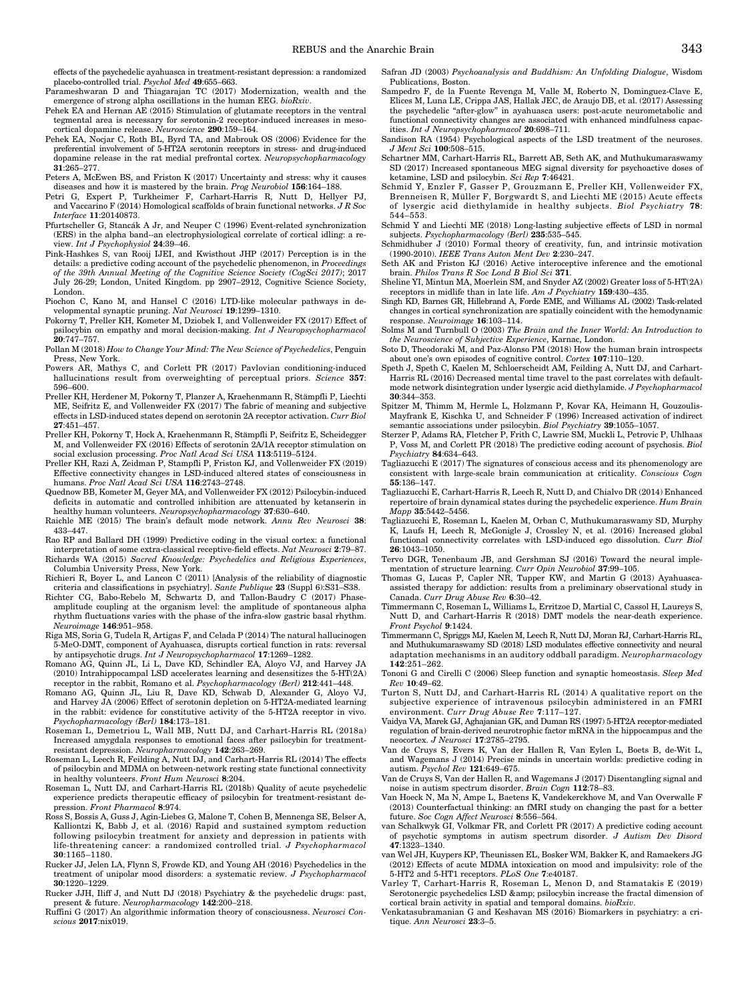effects of the psychedelic ayahuasca in treatment-resistant depression: a randomized placebo-controlled trial. Psychol Med 49:655–663.

- Parameshwaran D and Thiagarajan TC (2017) Modernization, wealth and the emergence of strong alpha oscillations in the human EEG. bioRxiv.
- Pehek EA and Hernan AE (2015) Stimulation of glutamate receptors in the ventral tegmental area is necessary for serotonin-2 receptor-induced increases in mesocortical dopamine release. Neuroscience 290:159-164.
- Pehek EA, Nocjar C, Roth BL, Byrd TA, and Mabrouk OS (2006) Evidence for the preferential involvement of 5-HT2A serotonin receptors in stress- and drug-induced dopamine release in the rat medial prefrontal cortex. Neuropsychopharmacology 31:265–277.
- Peters A, McEwen BS, and Friston K (2017) Uncertainty and stress: why it causes diseases and how it is mastered by the brain. Prog Neurobiol 156:164–188.
- Petri G, Expert P, Turkheimer F, Carhart-Harris R, Nutt D, Hellyer PJ, and Vaccarino F (2014) Homological scaffolds of brain functional networks. J R Soc Interface 11:20140873.
- Pfurtscheller G, Stancák A Jr, and Neuper C (1996) Event-related synchronization (ERS) in the alpha band--an electrophysiological correlate of cortical idling: a review. Int J Psychophysiol 24:39–46.
- Pink-Hashkes S, van Rooij IJEI, and Kwisthout JHP (2017) Perception is in the details: a predictive coding account of the psychedelic phenomenon, in Proceedings of the 39th Annual Meeting of the Cognitive Science Society (CogSci 2017); 2017 July 26-29; London, United Kingdom. pp 2907–2912, Cognitive Science Society, London.
- Piochon C, Kano M, and Hansel C (2016) LTD-like molecular pathways in developmental synaptic pruning. Nat Neurosci 19:1299–1310.
- Pokorny T, Preller KH, Kometer M, Dziobek I, and Vollenweider FX (2017) Effect of psilocybin on empathy and moral decision-making. Int J Neuropsychopharmacol 20:747–757.
- Pollan M (2018) How to Change Your Mind: The New Science of Psychedelics, Penguin Press, New York.
- Powers AR, Mathys C, and Corlett PR (2017) Pavlovian conditioning-induced hallucinations result from overweighting of perceptual priors. Science 357: 596–600.
- Preller KH, Herdener M, Pokorny T, Planzer A, Kraehenmann R, Stämpfli P, Liechti ME, Seifritz E, and Vollenweider FX (2017) The fabric of meaning and subjective effects in LSD-induced states depend on serotonin 2A receptor activation. Curr Biol 27:451–457.
- Preller KH, Pokorny T, Hock A, Kraehenmann R, Stämpfli P, Seifritz E, Scheidegger M, and Vollenweider FX (2016) Effects of serotonin 2A/1A receptor stimulation on social exclusion processing. Proc Natl Acad Sci USA 113:5119-5124.
- Preller KH, Razi A, Zeidman P, Stampfli P, Friston KJ, and Vollenweider FX (2019) Effective connectivity changes in LSD-induced altered states of consciousness in humans. Proc Natl Acad Sci USA 116:2743-2748.
- Quednow BB, Kometer M, Geyer MA, and Vollenweider FX (2012) Psilocybin-induced deficits in automatic and controlled inhibition are attenuated by ketanserin in healthy human volunteers. Neuropsychopharmacology 37:630–640.
- Raichle ME (2015) The brain's default mode network. Annu Rev Neurosci 38: 433–447.
- Rao RP and Ballard DH (1999) Predictive coding in the visual cortex: a functional interpretation of some extra-classical receptive-field effects. Nat Neurosci 2:79–87.
- Richards WA (2015) Sacred Knowledge: Psychedelics and Religious Experiences, Columbia University Press, New York.
- Richieri R, Boyer L, and Lancon C (2011) [Analysis of the reliability of diagnostic criteria and classifications in psychiatry]. Sante Publique 23 (Suppl 6):S31–S38.<br>Richter CG, Babo-Rebelo M, Schwartz D, and Tallon-Baudry C (2017) Phase-
- amplitude coupling at the organism level: the amplitude of spontaneous alpha rhythm fluctuations varies with the phase of the infra-slow gastric basal rhythm. Neuroimage 146:951–958.
- Riga MS, Soria G, Tudela R, Artigas F, and Celada P (2014) The natural hallucinogen 5-MeO-DMT, component of Ayahuasca, disrupts cortical function in rats: reversal
- by antipsychotic drugs. Int J Neuropsychopharmacol 17:1269-1282.<br>Romano AG, Quinn JL, Li L, Dave KD, Schindler EA, Aloyo VJ, and Harvey JA (2010) Intrahippocampal LSD accelerates learning and desensitizes the 5-HT(2A) receptor in the rabbit, Romano et al. Psychopharmacology (Berl) 212:441-448.
- Romano AG, Quinn JL, Liu R, Dave KD, Schwab D, Alexander G, Aloyo VJ, and Harvey JA (2006) Effect of serotonin depletion on 5-HT2A-mediated learning in the rabbit: evidence for constitutive activity of the 5-HT2A receptor in vivo. Psychopharmacology (Berl) 184:173–181.
- Roseman L, Demetriou L, Wall MB, Nutt DJ, and Carhart-Harris RL (2018a) Increased amygdala responses to emotional faces after psilocybin for treatmentresistant depression. Neuropharmacology 142:263–269.
- Roseman L, Leech R, Feilding A, Nutt DJ, and Carhart-Harris RL (2014) The effects of psilocybin and MDMA on between-network resting state functional connectivity in healthy volunteers. Front Hum Neurosci 8:204.
- Roseman L, Nutt DJ, and Carhart-Harris RL (2018b) Quality of acute psychedelic experience predicts therapeutic efficacy of psilocybin for treatment-resistant depression. Front Pharmacol 8:974.
- Ross S, Bossis A, Guss J, Agin-Liebes G, Malone T, Cohen B, Mennenga SE, Belser A, Kalliontzi K, Babb J, et al. (2016) Rapid and sustained symptom reduction following psilocybin treatment for anxiety and depression in patients with life-threatening cancer: a randomized controlled trial. J Psychopharmacol 30:1165–1180.
- Rucker JJ, Jelen LA, Flynn S, Frowde KD, and Young AH (2016) Psychedelics in the treatment of unipolar mood disorders: a systematic review. *J Psychopharmacol* 30:1220–1229.
- Rucker JJH, Iliff J, and Nutt DJ (2018) Psychiatry & the psychedelic drugs: past, present & future. Neuropharmacology 142:200–218.
- Ruffini G (2017) An algorithmic information theory of consciousness. Neurosci Conscious 2017:nix019.
- Safran JD (2003) Psychoanalysis and Buddhism: An Unfolding Dialogue, Wisdom Publications, Boston.
- Sampedro F, de la Fuente Revenga M, Valle M, Roberto N, Dominguez-Clave E, Elices M, Luna LE, Crippa JAS, Hallak JEC, de Araujo DB, et al. (2017) Assessing the psychedelic "after-glow" in ayahuasca users: post-acute neurometabolic and functional connectivity changes are associated with enhanced mindfulness capacities. Int J Neuropsychopharmacol 20:698–711.
- Sandison RA (1954) Psychological aspects of the LSD treatment of the neuroses. J Ment Sci 100:508–515.
- Schartner MM, Carhart-Harris RL, Barrett AB, Seth AK, and Muthukumaraswamy SD (2017) Increased spontaneous MEG signal diversity for psychoactive doses of ketamine, LSD and psilocybin. Sci Rep 7:46421.
- Schmid Y, Enzler F, Gasser P, Grouzmann E, Preller KH, Vollenweider FX, Brenneisen R, Müller F, Borgwardt S, and Liechti ME (2015) Acute effects of lysergic acid diethylamide in healthy subjects. Biol Psychiatry 78: 544–553.
- Schmid Y and Liechti ME (2018) Long-lasting subjective effects of LSD in normal subjects. Psychopharmacology (Berl) 235:535–545.
- Schmidhuber J (2010) Formal theory of creativity, fun, and intrinsic motivation (1990-2010). IEEE Trans Auton Ment Dev 2:230–247.
- Seth AK and Friston KJ (2016) Active interoceptive inference and the emotional brain. Philos Trans R Soc Lond B Biol Sci 371.
- Sheline YI, Mintun MA, Moerlein SM, and Snyder AZ (2002) Greater loss of 5-HT(2A) receptors in midlife than in late life. Am J Psychiatry 159:430–435.
- Singh KD, Barnes GR, Hillebrand A, Forde EME, and Williams AL (2002) Task-related changes in cortical synchronization are spatially coincident with the hemodynamic response. Neuroimage 16:103–114.
- Solms M and Turnbull O (2003) The Brain and the Inner World: An Introduction to the Neuroscience of Subjective Experience, Karnac, London.
- Soto D, Theodoraki M, and Paz-Alonso PM (2018) How the human brain introspects
- about one's own episodes of cognitive control. *Cortex* 107:110–120.<br>Speth J, Speth C, Kaelen M, Schloerscheidt AM, Feilding A, Nutt DJ, and Carhart-Harris RL (2016) Decreased mental time travel to the past correlates with defaultmode network disintegration under lysergic acid diethylamide. J Psychopharmacol 30:344–353.
- Spitzer M, Thimm M, Hermle L, Holzmann P, Kovar KA, Heimann H, Gouzoulis-Mayfrank E, Kischka U, and Schneider F (1996) Increased activation of indirect semantic associations under psilocybin. Biol Psychiatry 39:1055–1057.
- Sterzer P, Adams RA, Fletcher P, Frith C, Lawrie SM, Muckli L, Petrovic P, Uhlhaas P, Voss M, and Corlett PR (2018) The predictive coding account of psychosis. Biol Psychiatry 84:634–643.
- Tagliazucchi E (2017) The signatures of conscious access and its phenomenology are consistent with large-scale brain communication at criticality. Conscious Cogn 55:136–147.
- Tagliazucchi E, Carhart-Harris R, Leech R, Nutt D, and Chialvo DR (2014) Enhanced repertoire of brain dynamical states during the psychedelic experience. Hum Brain Mapp 35:5442–5456.
- Tagliazucchi E, Roseman L, Kaelen M, Orban C, Muthukumaraswamy SD, Murphy K, Laufs H, Leech R, McGonigle J, Crossley N, et al. (2016) Increased global functional connectivity correlates with LSD-induced ego dissolution. Curr Biol 26:1043–1050.
- Tervo DGR, Tenenbaum JB, and Gershman SJ (2016) Toward the neural implementation of structure learning. Curr Opin Neurobiol 37:99–105.
- Thomas G, Lucas P, Capler NR, Tupper KW, and Martin G (2013) Ayahuascaassisted therapy for addiction: results from a preliminary observational study in Canada. Curr Drug Abuse Rev 6:30–42.
- Timmermann C, Roseman L, Williams L, Erritzoe D, Martial C, Cassol H, Laureys S, Nutt D, and Carhart-Harris R (2018) DMT models the near-death experience. Front Psychol 9:1424.
- Timmermann C, Spriggs MJ, Kaelen M, Leech R, Nutt DJ, Moran RJ, Carhart-Harris RL, and Muthukumaraswamy SD (2018) LSD modulates effective connectivity and neural adaptation mechanisms in an auditory oddball paradigm. Neuropharmacology 142:251–262.
- Tononi G and Cirelli C (2006) Sleep function and synaptic homeostasis. Sleep Med Rev 10:49–62.
- Turton S, Nutt DJ, and Carhart-Harris RL (2014) A qualitative report on the subjective experience of intravenous psilocybin administered in an FMRI<br>environment. Curr Drug Abuse Rev 7:117–127.
- Vaidya VA, Marek GJ, Aghajanian GK, and Duman RS (1997) 5-HT2A receptor-mediated regulation of brain-derived neurotrophic factor mRNA in the hippocampus and the neocortex. J Neurosci 17:2785–2795.
- Van de Cruys S, Evers K, Van der Hallen R, Van Eylen L, Boets B, de-Wit L, and Wagemans J (2014) Precise minds in uncertain worlds: predictive coding in autism. Psychol Rev 121:649–675.
- Van de Cruys S, Van der Hallen R, and Wagemans J (2017) Disentangling signal and
- noise in autism spectrum disorder. Brain Cogn 112:78–83.<br>Van Hoeck N, Ma N, Ampe L, Baetens K, Vandekerckhove M, and Van Overwalle F (2013) Counterfactual thinking: an fMRI study on changing the past for a better future. Soc Cogn Affect Neurosci 8:556–564.
- van Schalkwyk GI, Volkmar FR, and Corlett PR (2017) A predictive coding account of psychotic symptoms in autism spectrum disorder. J Autism Dev Disord 47:1323–1340.
- van Wel JH, Kuypers KP, Theunissen EL, Bosker WM, Bakker K, and Ramaekers JG (2012) Effects of acute MDMA intoxication on mood and impulsivity: role of the 5-HT2 and 5-HT1 receptors. PLoS One 7:e40187.
- Varley T, Carhart-Harris R, Roseman L, Menon D, and Stamatakis E (2019) Serotonergic psychedelics LSD & amp; psilocybin increase the fractal dimension of cortical brain activity in spatial and temporal domains. bioRxiv.
- Venkatasubramanian G and Keshavan MS (2016) Biomarkers in psychiatry: a critique. Ann Neurosci 23:3–5.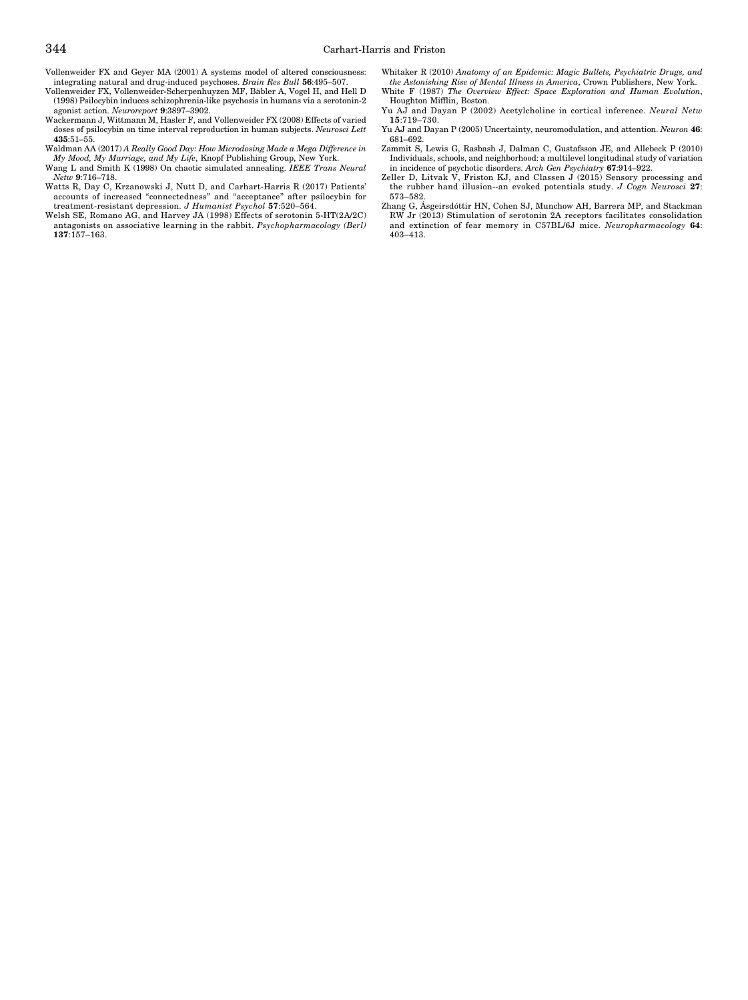Vollenweider FX and Geyer MA (2001) A systems model of altered consciousness: integrating natural and drug-induced psychoses. Brain Res Bull 56:495–507.

- Vollenweider FX, Vollenweider-Scherpenhuyzen MF, Bäbler A, Vogel H, and Hell D (1998) Psilocybin induces schizophrenia-like psychosis in humans via a serotonin-2 agonist action. Neuroreport 9:3897–3902.
- Wackermann J, Wittmann M, Hasler F, and Vollenweider FX (2008) Effects of varied doses of psilocybin on time interval reproduction in human subjects. Neurosci Lett 435:51–55.
- Waldman AA (2017) *A Really Good Day: How Microdosing Made a Mega Difference in*<br>My *Mood, My Marriage, and My Life,* Knopf Publishing Group, New York.<br>Wang L and Smith K (1998) On chaotic simulated annealing. *IEEE Trans*
- Netw 9:716–718.
- Watts R, Day C, Krzanowski J, Nutt D, and Carhart-Harris R (2017) Patients' accounts of increased "connectedness" and "acceptance" after psilocybin for treatment-resistant depression. J Humanist Psychol 57:520–564.
- Welsh SE, Romano AG, and Harvey JA (1998) Effects of serotonin 5-HT(2A/2C) antagonists on associative learning in the rabbit. Psychopharmacology (Berl) 137:157–163.
- Whitaker R (2010) Anatomy of an Epidemic: Magic Bullets, Psychiatric Drugs, and the Astonishing Rise of Mental Illness in America, Crown Publishers, New York.
- White F (1987) The Overview Effect: Space Exploration and Human Evolution, Houghton Mifflin, Boston.
- Yu AJ and Dayan P (2002) Acetylcholine in cortical inference. Neural Netw 15:719–730.
- Yu AJ and Dayan P (2005) Uncertainty, neuromodulation, and attention. Neuron 46: 681–692.
- Zammit S, Lewis G, Rasbash J, Dalman C, Gustafsson JE, and Allebeck P (2010) Individuals, schools, and neighborhood: a multilevel longitudinal study of variation
- in incidence of psychotic disorders. Arch Gen Psychiatry 67:914–922. Zeller D, Litvak V, Friston KJ, and Classen J (2015) Sensory processing and the rubber hand illusion--an evoked potentials study. J Cogn Neurosci 27: 573–582.
- Zhang G, Ásgeirsdóttir HN, Cohen SJ, Munchow AH, Barrera MP, and Stackman RW Jr (2013) Stimulation of serotonin 2A receptors facilitates consolidation and extinction of fear memory in C57BL/6J mice. Neuropharmacology 64: 403–413.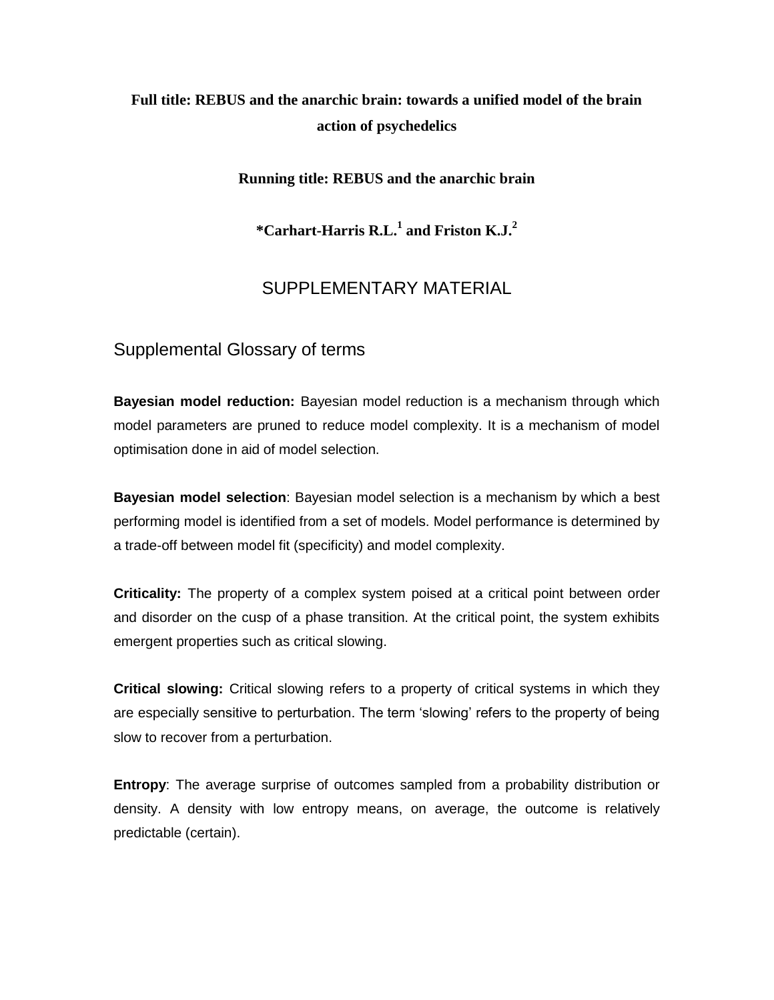# **Full title: REBUS and the anarchic brain: towards a unified model of the brain action of psychedelics**

### **Running title: REBUS and the anarchic brain**

**\*Carhart-Harris R.L.<sup>1</sup> and Friston K.J.<sup>2</sup>**

# SUPPLEMENTARY MATERIAL

## Supplemental Glossary of terms

**Bayesian model reduction:** Bayesian model reduction is a mechanism through which model parameters are pruned to reduce model complexity. It is a mechanism of model optimisation done in aid of model selection.

**Bayesian model selection**: Bayesian model selection is a mechanism by which a best performing model is identified from a set of models. Model performance is determined by a trade-off between model fit (specificity) and model complexity.

**Criticality:** The property of a complex system poised at a critical point between order and disorder on the cusp of a phase transition. At the critical point, the system exhibits emergent properties such as critical slowing.

**Critical slowing:** Critical slowing refers to a property of critical systems in which they are especially sensitive to perturbation. The term 'slowing' refers to the property of being slow to recover from a perturbation.

**Entropy**: The average surprise of outcomes sampled from a probability distribution or density. A density with low entropy means, on average, the outcome is relatively predictable (certain).